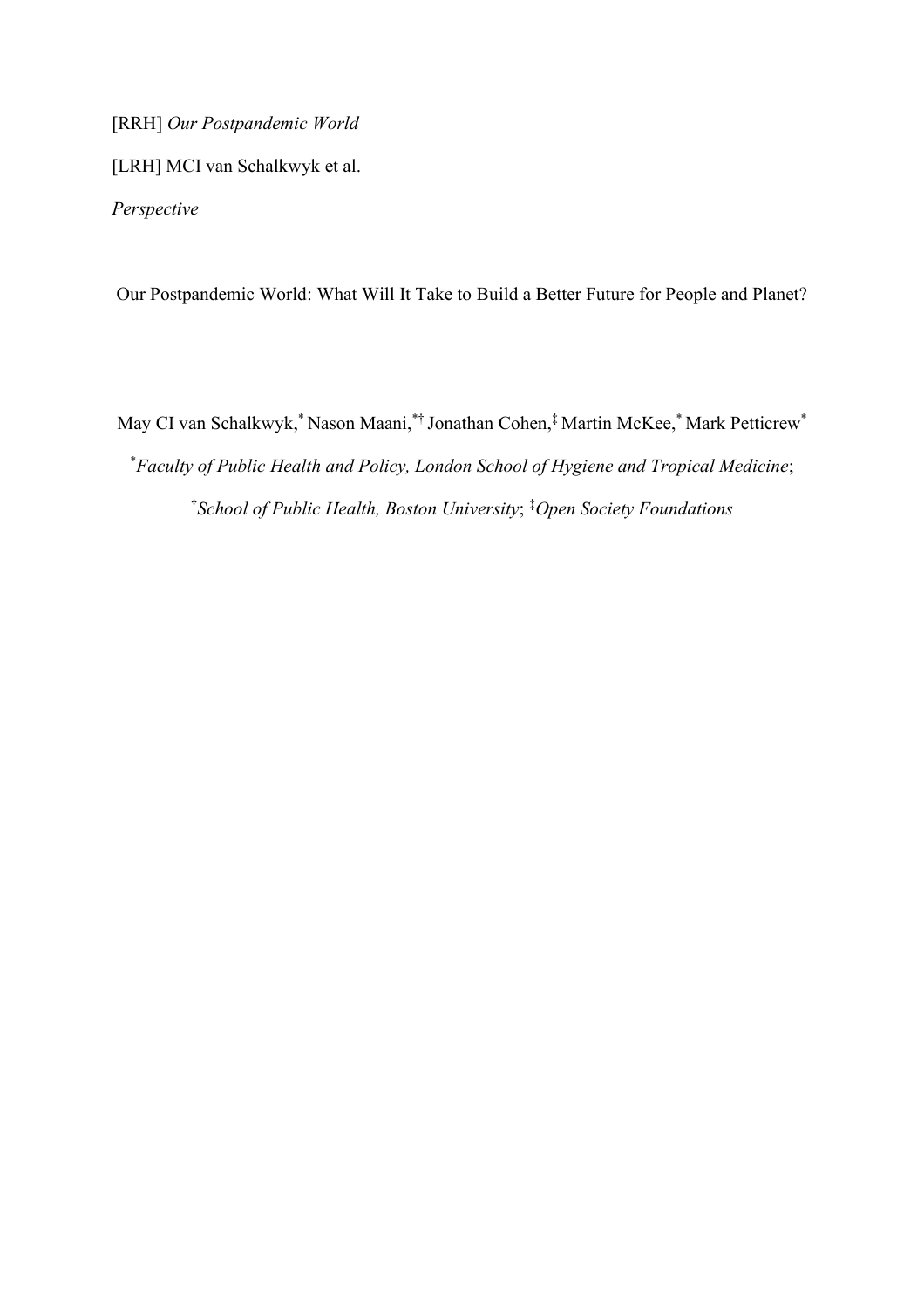[RRH] *Our Postpandemic World*

[LRH] MCI van Schalkwyk et al.

*Perspective*

Our Postpandemic World: What Will It Take to Build a Better Future for People and Planet?

May CI van Schalkwyk, \* Nason Maani,\*† Jonathan Cohen,‡ Martin McKee,\* Mark Petticrew\* \**Faculty of Public Health and Policy, London School of Hygiene and Tropical Medicine*; † *School of Public Health, Boston University*; ‡*Open Society Foundations*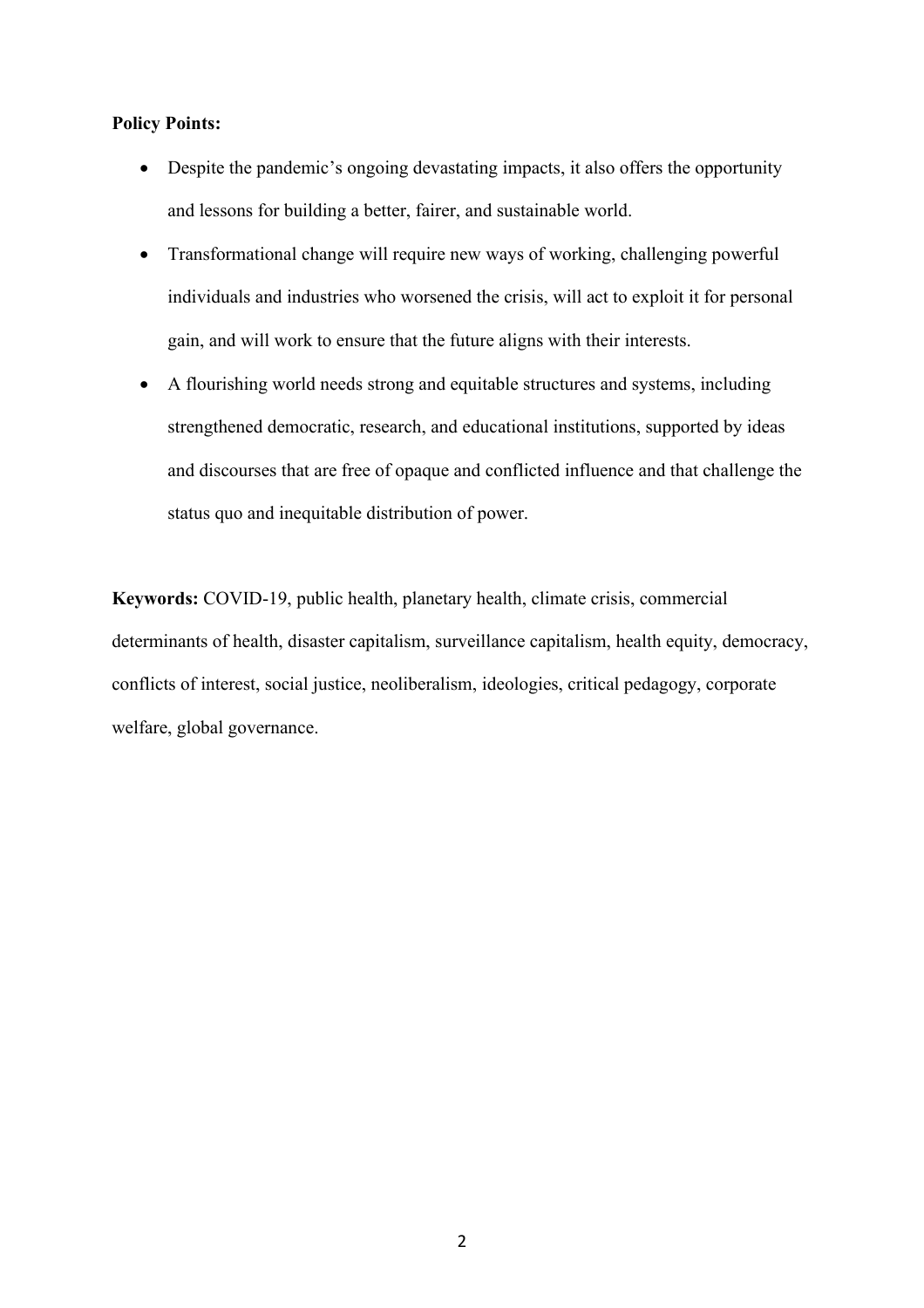## **Policy Points:**

- Despite the pandemic's ongoing devastating impacts, it also offers the opportunity and lessons for building a better, fairer, and sustainable world.
- Transformational change will require new ways of working, challenging powerful individuals and industries who worsened the crisis, will act to exploit it for personal gain, and will work to ensure that the future aligns with their interests.
- A flourishing world needs strong and equitable structures and systems, including strengthened democratic, research, and educational institutions, supported by ideas and discourses that are free of opaque and conflicted influence and that challenge the status quo and inequitable distribution of power.

**Keywords:** COVID-19, public health, planetary health, climate crisis, commercial determinants of health, disaster capitalism, surveillance capitalism, health equity, democracy, conflicts of interest, social justice, neoliberalism, ideologies, critical pedagogy, corporate welfare, global governance.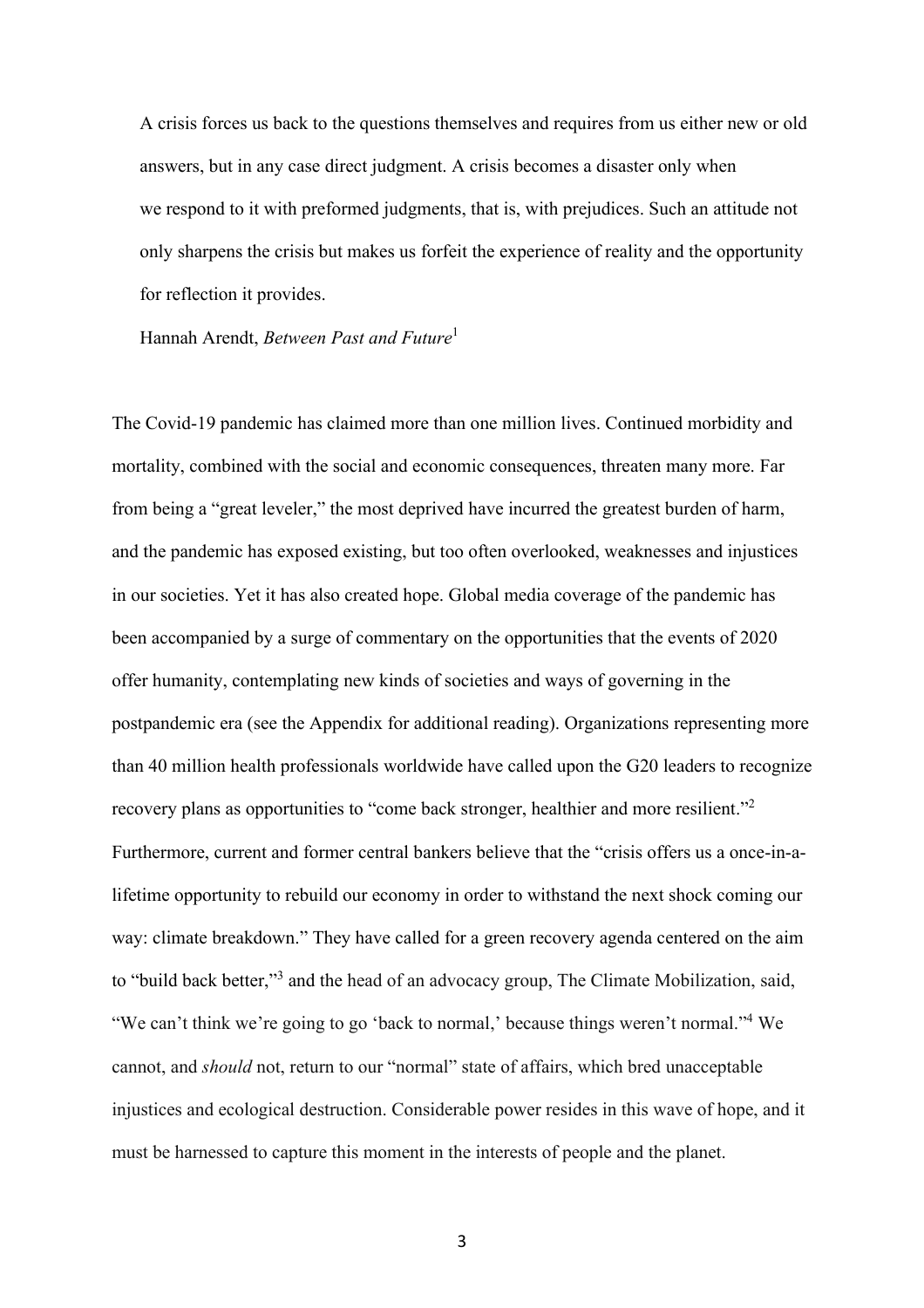A crisis forces us back to the questions themselves and requires from us either new or old answers, but in any case direct judgment. A crisis becomes a disaster only when we respond to it with preformed judgments, that is, with prejudices. Such an attitude not only sharpens the crisis but makes us forfeit the experience of reality and the opportunity for reflection it provides.

Hannah Arendt, *Between Past and Future*<sup>1</sup>

The Covid-19 pandemic has claimed more than one million lives. Continued morbidity and mortality, combined with the social and economic consequences, threaten many more. Far from being a "great leveler," the most deprived have incurred the greatest burden of harm, and the pandemic has exposed existing, but too often overlooked, weaknesses and injustices in our societies. Yet it has also created hope. Global media coverage of the pandemic has been accompanied by a surge of commentary on the opportunities that the events of 2020 offer humanity, contemplating new kinds of societies and ways of governing in the postpandemic era (see the Appendix for additional reading). Organizations representing more than 40 million health professionals worldwide have called upon the G20 leaders to recognize recovery plans as opportunities to "come back stronger, healthier and more resilient."<sup>2</sup> Furthermore, current and former central bankers believe that the "crisis offers us a once-in-alifetime opportunity to rebuild our economy in order to withstand the next shock coming our way: climate breakdown." They have called for a green recovery agenda centered on the aim to "build back better,"<sup>3</sup> and the head of an advocacy group, The Climate Mobilization, said, "We can't think we're going to go 'back to normal,' because things weren't normal."<sup>4</sup> We cannot, and *should* not, return to our "normal" state of affairs, which bred unacceptable injustices and ecological destruction. Considerable power resides in this wave of hope, and it must be harnessed to capture this moment in the interests of people and the planet.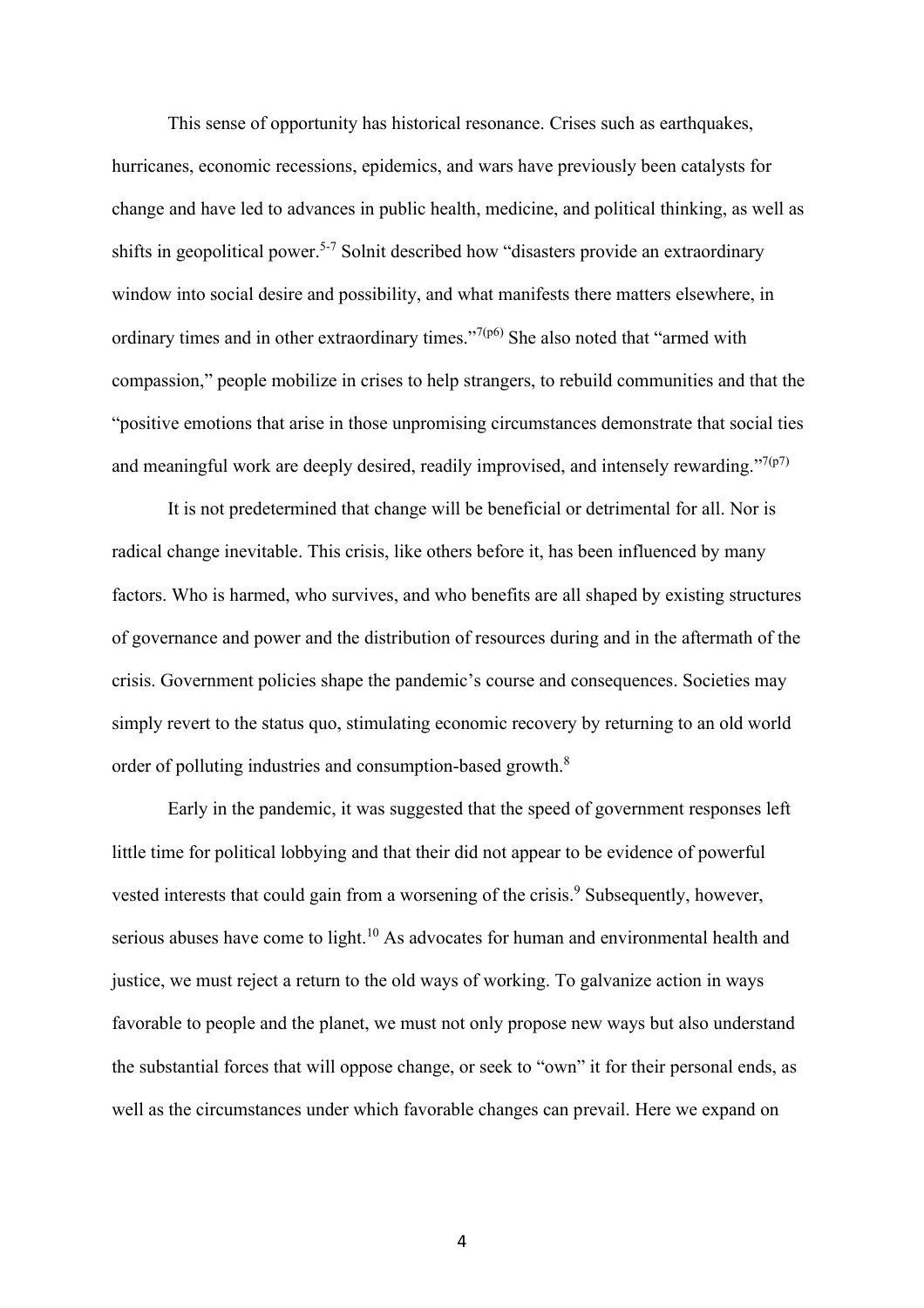This sense of opportunity has historical resonance. Crises such as earthquakes, hurricanes, economic recessions, epidemics, and wars have previously been catalysts for change and have led to advances in public health, medicine, and political thinking, as well as shifts in geopolitical power. 5-7 Solnit described how "disasters provide an extraordinary window into social desire and possibility, and what manifests there matters elsewhere, in ordinary times and in other extraordinary times."<sup>7(p6)</sup> She also noted that "armed with compassion," people mobilize in crises to help strangers, to rebuild communities and that the "positive emotions that arise in those unpromising circumstances demonstrate that social ties and meaningful work are deeply desired, readily improvised, and intensely rewarding." $7(p7)$ 

It is not predetermined that change will be beneficial or detrimental for all. Nor is radical change inevitable. This crisis, like others before it, has been influenced by many factors. Who is harmed, who survives, and who benefits are all shaped by existing structures of governance and power and the distribution of resources during and in the aftermath of the crisis. Government policies shape the pandemic's course and consequences. Societies may simply revert to the status quo, stimulating economic recovery by returning to an old world order of polluting industries and consumption-based growth.<sup>8</sup>

Early in the pandemic, it was suggested that the speed of government responses left little time for political lobbying and that their did not appear to be evidence of powerful vested interests that could gain from a worsening of the crisis.<sup>9</sup> Subsequently, however, serious abuses have come to light.<sup>10</sup> As advocates for human and environmental health and justice, we must reject a return to the old ways of working. To galvanize action in ways favorable to people and the planet, we must not only propose new ways but also understand the substantial forces that will oppose change, or seek to "own" it for their personal ends, as well as the circumstances under which favorable changes can prevail. Here we expand on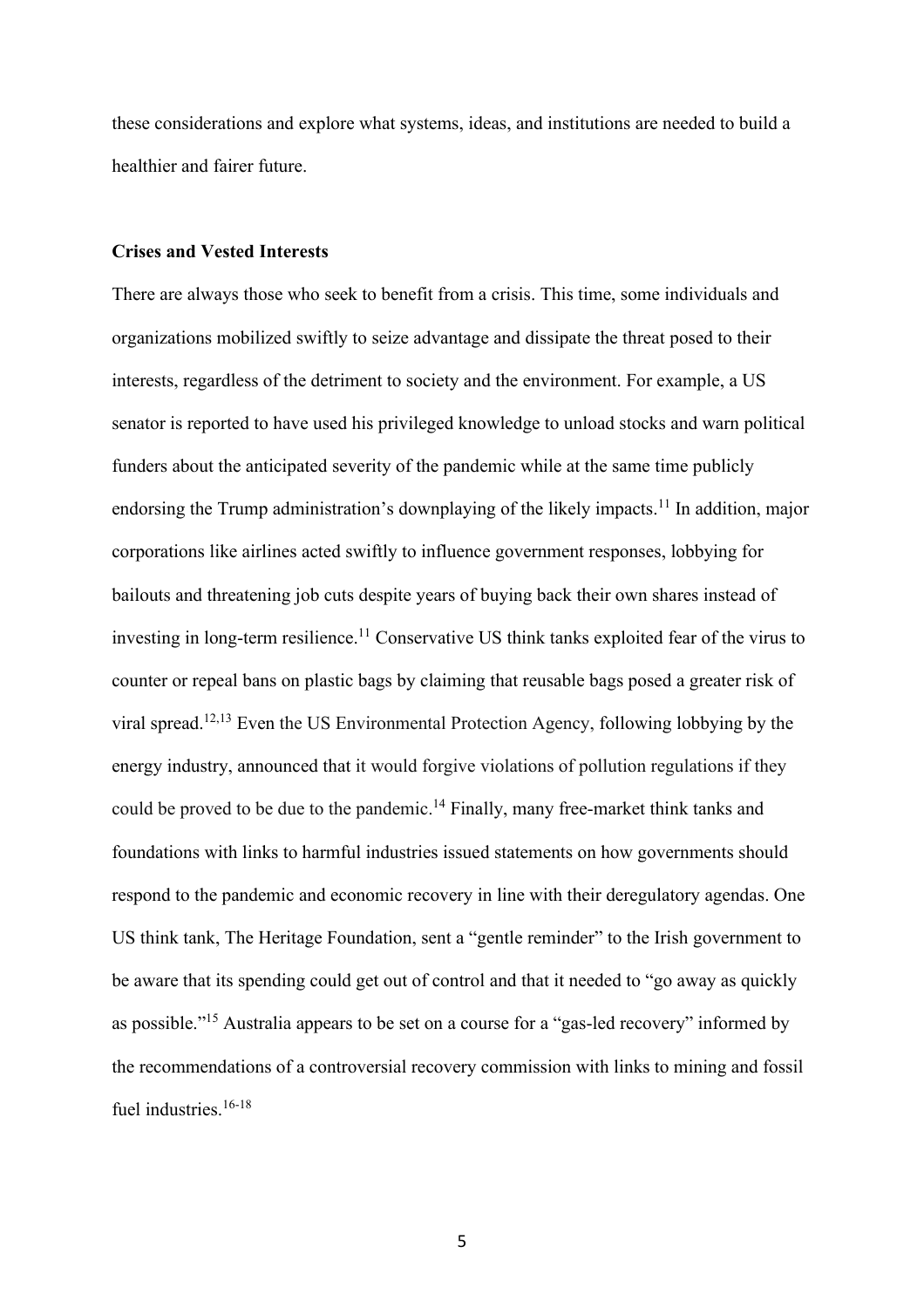these considerations and explore what systems, ideas, and institutions are needed to build a healthier and fairer future.

## **Crises and Vested Interests**

There are always those who seek to benefit from a crisis. This time, some individuals and organizations mobilized swiftly to seize advantage and dissipate the threat posed to their interests, regardless of the detriment to society and the environment. For example, a US senator is reported to have used his privileged knowledge to unload stocks and warn political funders about the anticipated severity of the pandemic while at the same time publicly endorsing the Trump administration's downplaying of the likely impacts.<sup>11</sup> In addition, major corporations like airlines acted swiftly to influence government responses, lobbying for bailouts and threatening job cuts despite years of buying back their own shares instead of investing in long-term resilience. <sup>11</sup> Conservative US think tanks exploited fear of the virus to counter or repeal bans on plastic bags by claiming that reusable bags posed a greater risk of viral spread. 12,13 Even the US Environmental Protection Agency, following lobbying by the energy industry, announced that it would forgive violations of pollution regulations if they could be proved to be due to the pandemic.<sup>14</sup> Finally, many free-market think tanks and foundations with links to harmful industries issued statements on how governments should respond to the pandemic and economic recovery in line with their deregulatory agendas. One US think tank, The Heritage Foundation, sent a "gentle reminder" to the Irish government to be aware that its spending could get out of control and that it needed to "go away as quickly as possible."<sup>15</sup> Australia appears to be set on a course for a "gas-led recovery" informed by the recommendations of a controversial recovery commission with links to mining and fossil fuel industries.<sup>16-18</sup>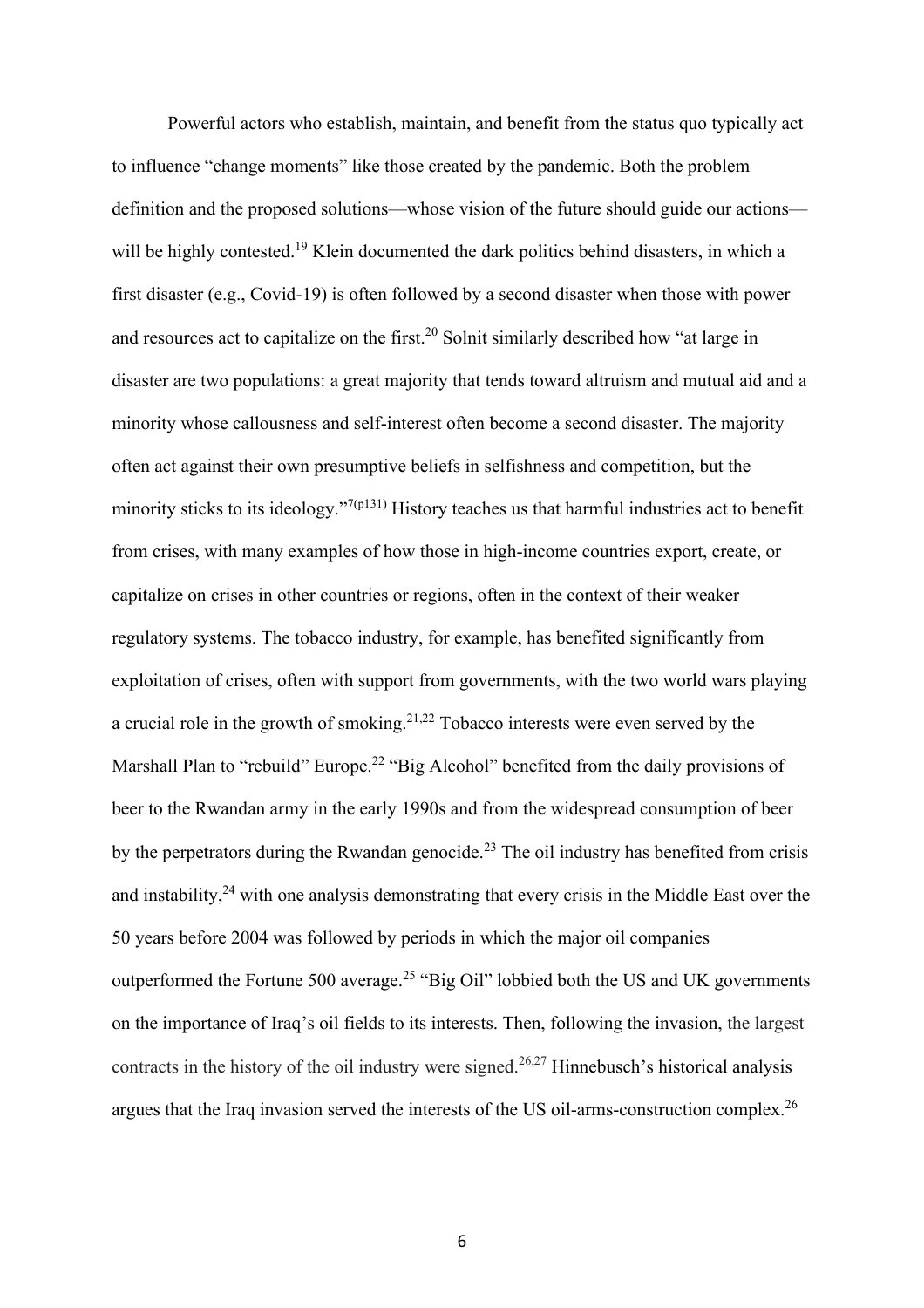Powerful actors who establish, maintain, and benefit from the status quo typically act to influence "change moments" like those created by the pandemic. Both the problem definition and the proposed solutions—whose vision of the future should guide our actions will be highly contested.<sup>19</sup> Klein documented the dark politics behind disasters, in which a first disaster (e.g., Covid-19) is often followed by a second disaster when those with power and resources act to capitalize on the first.<sup>20</sup> Solnit similarly described how "at large in disaster are two populations: a great majority that tends toward altruism and mutual aid and a minority whose callousness and self-interest often become a second disaster. The majority often act against their own presumptive beliefs in selfishness and competition, but the minority sticks to its ideology."<sup>7(p131)</sup> History teaches us that harmful industries act to benefit from crises, with many examples of how those in high-income countries export, create, or capitalize on crises in other countries or regions, often in the context of their weaker regulatory systems. The tobacco industry, for example, has benefited significantly from exploitation of crises, often with support from governments, with the two world wars playing a crucial role in the growth of smoking.<sup>21,22</sup> Tobacco interests were even served by the Marshall Plan to "rebuild" Europe.<sup>22</sup> "Big Alcohol" benefited from the daily provisions of beer to the Rwandan army in the early 1990s and from the widespread consumption of beer by the perpetrators during the Rwandan genocide.<sup>23</sup> The oil industry has benefited from crisis and instability,<sup>24</sup> with one analysis demonstrating that every crisis in the Middle East over the 50 years before 2004 was followed by periods in which the major oil companies outperformed the Fortune 500 average.<sup>25</sup> "Big Oil" lobbied both the US and UK governments on the importance of Iraq's oil fields to its interests. Then, following the invasion, the largest contracts in the history of the oil industry were signed. 26,27 Hinnebusch's historical analysis argues that the Iraq invasion served the interests of the US oil-arms-construction complex.<sup>26</sup>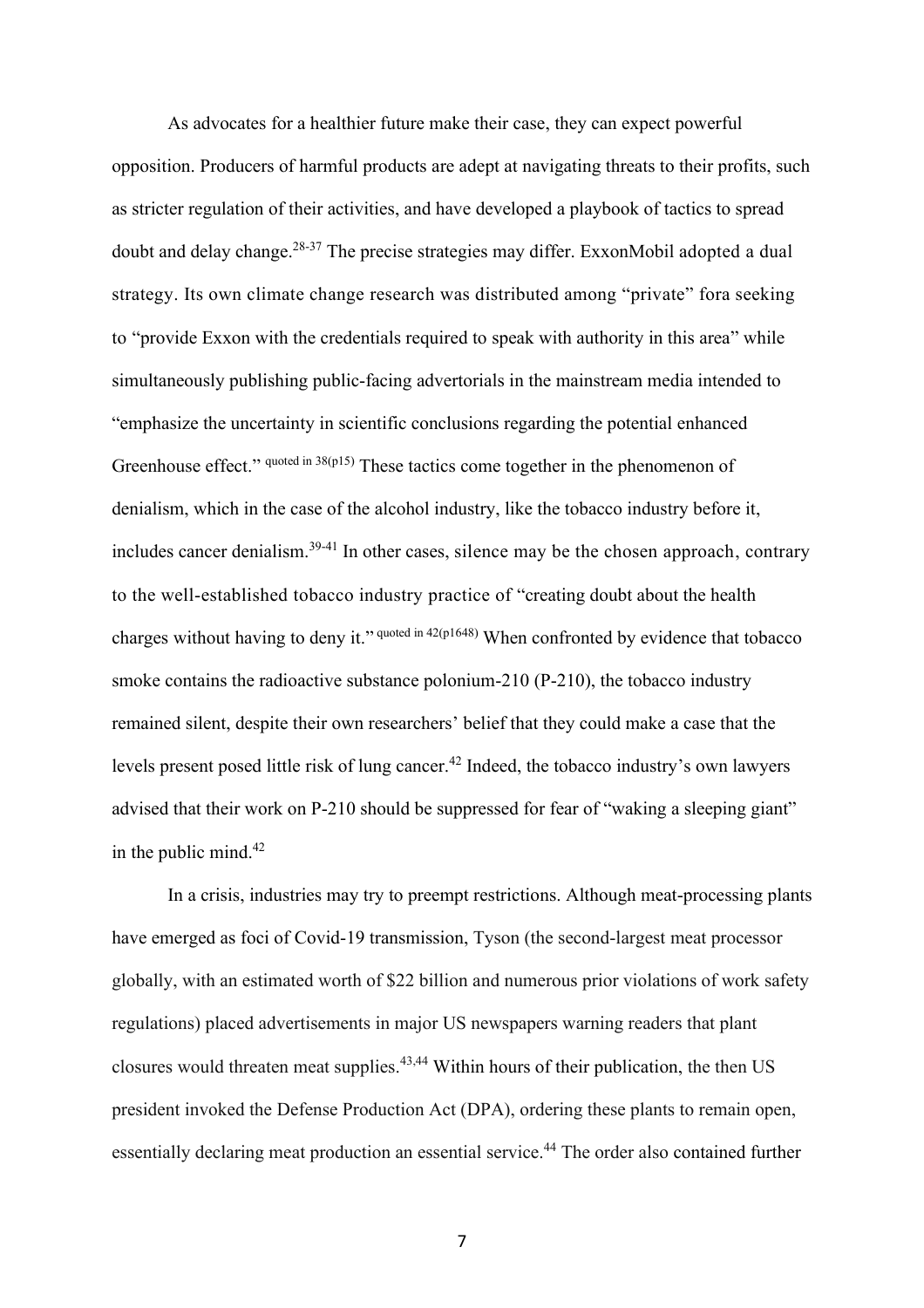As advocates for a healthier future make their case, they can expect powerful opposition. Producers of harmful products are adept at navigating threats to their profits, such as stricter regulation of their activities, and have developed a playbook of tactics to spread doubt and delay change. 28-37 The precise strategies may differ. ExxonMobil adopted a dual strategy. Its own climate change research was distributed among "private" fora seeking to "provide Exxon with the credentials required to speak with authority in this area" while simultaneously publishing public-facing advertorials in the mainstream media intended to "emphasize the uncertainty in scientific conclusions regarding the potential enhanced Greenhouse effect." quoted in 38(p15) These tactics come together in the phenomenon of denialism, which in the case of the alcohol industry, like the tobacco industry before it, includes cancer denialism.<sup>39-41</sup> In other cases, silence may be the chosen approach, contrary to the well-established tobacco industry practice of "creating doubt about the health charges without having to deny it." <sup>quoted in 42(p1648)</sup> When confronted by evidence that tobacco smoke contains the radioactive substance polonium-210 (P-210), the tobacco industry remained silent, despite their own researchers' belief that they could make a case that the levels present posed little risk of lung cancer. <sup>42</sup> Indeed, the tobacco industry's own lawyers advised that their work on P-210 should be suppressed for fear of "waking a sleeping giant" in the public mind.<sup>42</sup>

In a crisis, industries may try to preempt restrictions. Although meat-processing plants have emerged as foci of Covid-19 transmission, Tyson (the second-largest meat processor globally, with an estimated worth of \$22 billion and numerous prior violations of work safety regulations) placed advertisements in major US newspapers warning readers that plant closures would threaten meat supplies.<sup>43,44</sup> Within hours of their publication, the then US president invoked the Defense Production Act (DPA), ordering these plants to remain open, essentially declaring meat production an essential service.<sup>44</sup> The order also contained further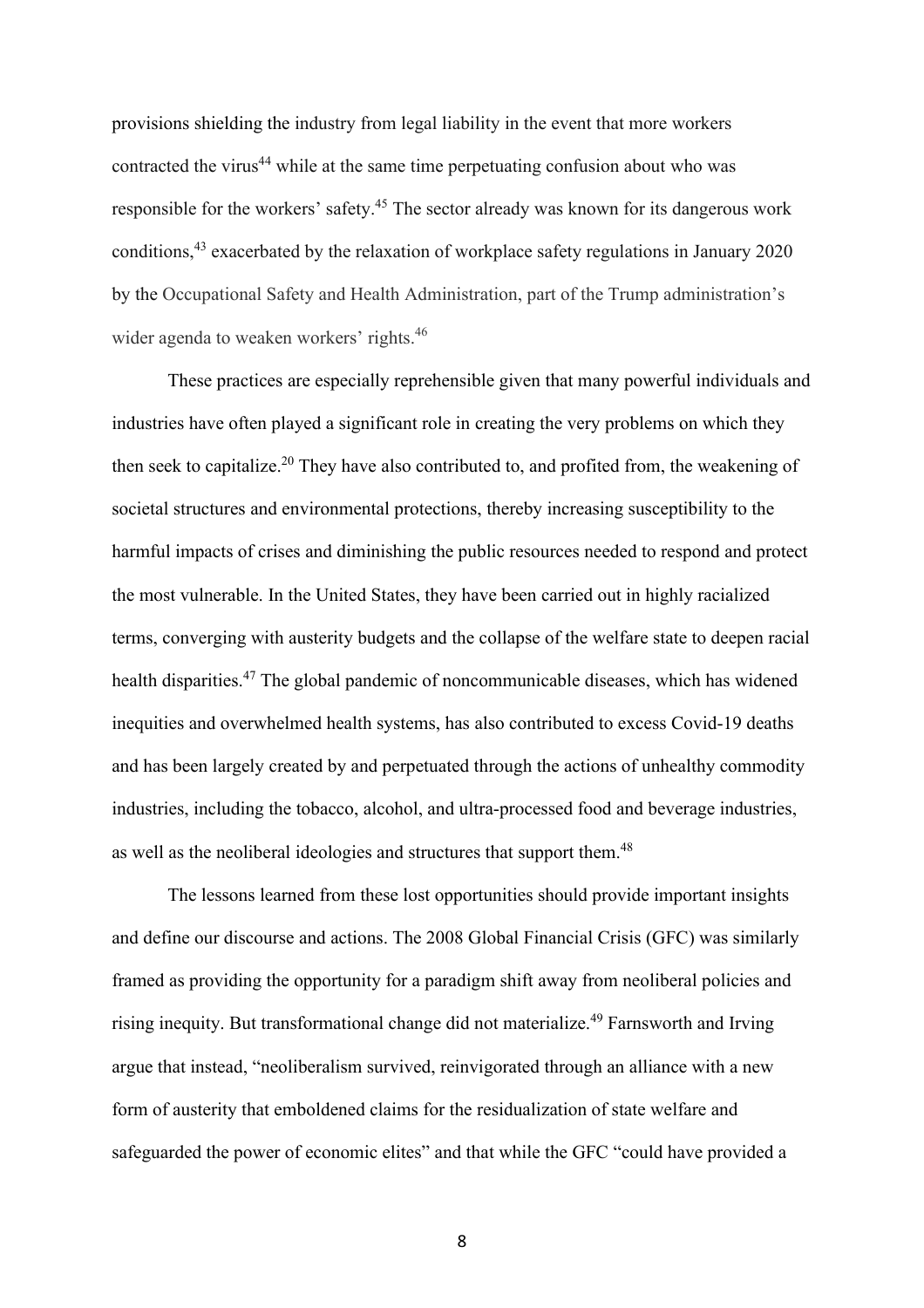provisions shielding the industry from legal liability in the event that more workers contracted the virus<sup>44</sup> while at the same time perpetuating confusion about who was responsible for the workers' safety.<sup>45</sup> The sector already was known for its dangerous work conditions,<sup>43</sup> exacerbated by the relaxation of workplace safety regulations in January 2020 by the Occupational Safety and Health Administration, part of the Trump administration's wider agenda to weaken workers' rights.<sup>46</sup>

These practices are especially reprehensible given that many powerful individuals and industries have often played a significant role in creating the very problems on which they then seek to capitalize.<sup>20</sup> They have also contributed to, and profited from, the weakening of societal structures and environmental protections, thereby increasing susceptibility to the harmful impacts of crises and diminishing the public resources needed to respond and protect the most vulnerable. In the United States, they have been carried out in highly racialized terms, converging with austerity budgets and the collapse of the welfare state to deepen racial health disparities.<sup>47</sup> The global pandemic of noncommunicable diseases, which has widened inequities and overwhelmed health systems, has also contributed to excess Covid-19 deaths and has been largely created by and perpetuated through the actions of unhealthy commodity industries, including the tobacco, alcohol, and ultra-processed food and beverage industries, as well as the neoliberal ideologies and structures that support them.<sup>48</sup>

The lessons learned from these lost opportunities should provide important insights and define our discourse and actions. The 2008 Global Financial Crisis (GFC) was similarly framed as providing the opportunity for a paradigm shift away from neoliberal policies and rising inequity. But transformational change did not materialize.<sup>49</sup> Farnsworth and Irving argue that instead, "neoliberalism survived, reinvigorated through an alliance with a new form of austerity that emboldened claims for the residualization of state welfare and safeguarded the power of economic elites" and that while the GFC "could have provided a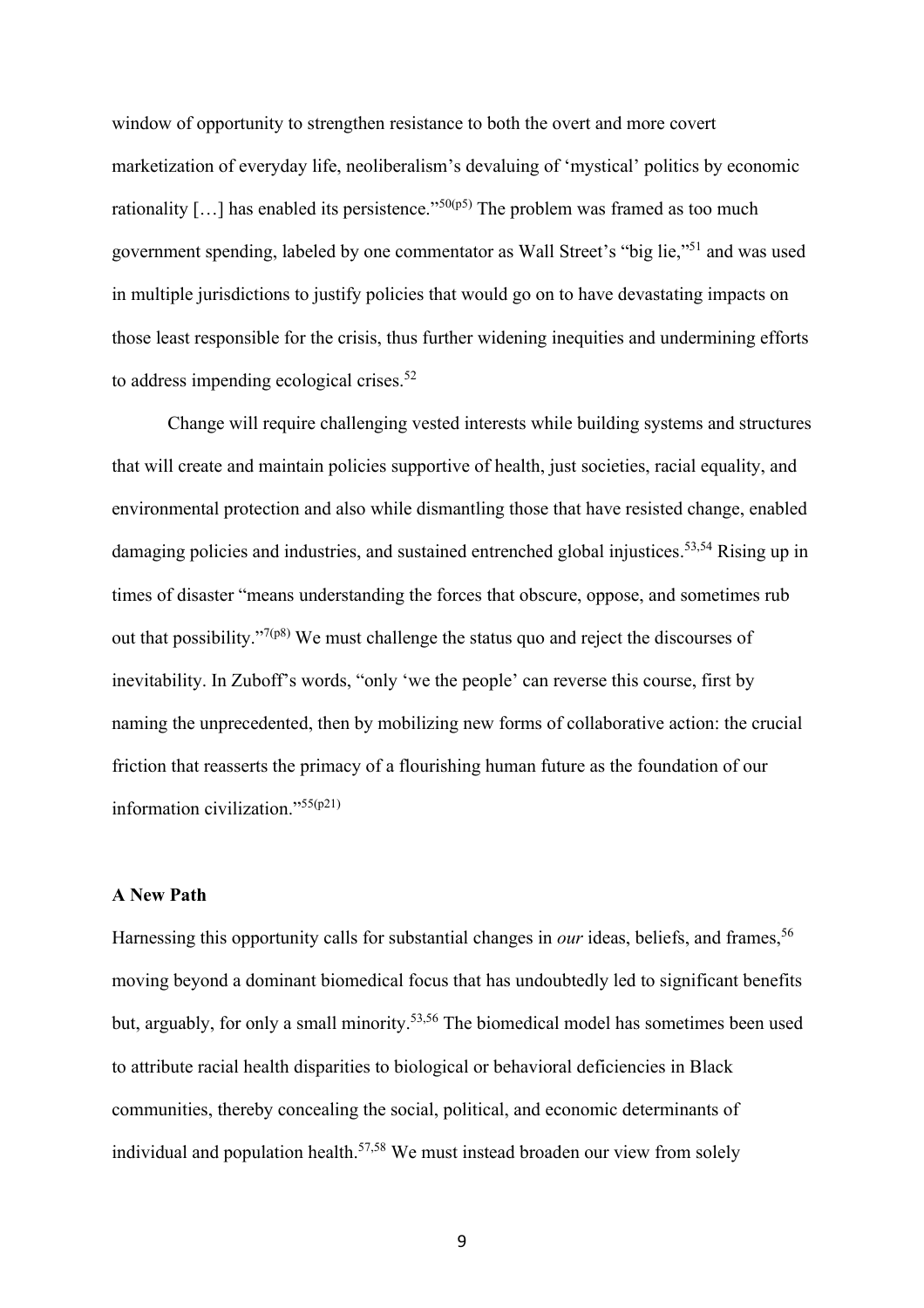window of opportunity to strengthen resistance to both the overt and more covert marketization of everyday life, neoliberalism's devaluing of 'mystical' politics by economic rationality [...] has enabled its persistence."<sup>50(p5)</sup> The problem was framed as too much government spending, labeled by one commentator as Wall Street's "big lie,"<sup>51</sup> and was used in multiple jurisdictions to justify policies that would go on to have devastating impacts on those least responsible for the crisis, thus further widening inequities and undermining efforts to address impending ecological crises.<sup>52</sup>

Change will require challenging vested interests while building systems and structures that will create and maintain policies supportive of health, just societies, racial equality, and environmental protection and also while dismantling those that have resisted change, enabled damaging policies and industries, and sustained entrenched global injustices.<sup>53,54</sup> Rising up in times of disaster "means understanding the forces that obscure, oppose, and sometimes rub out that possibility."<sup>7(p8)</sup> We must challenge the status quo and reject the discourses of inevitability. In Zuboff's words, "only 'we the people' can reverse this course, first by naming the unprecedented, then by mobilizing new forms of collaborative action: the crucial friction that reasserts the primacy of a flourishing human future as the foundation of our information civilization." $55(p21)$ 

## **A New Path**

Harnessing this opportunity calls for substantial changes in *our* ideas, beliefs, and frames, 56 moving beyond a dominant biomedical focus that has undoubtedly led to significant benefits but, arguably, for only a small minority.<sup>53,56</sup> The biomedical model has sometimes been used to attribute racial health disparities to biological or behavioral deficiencies in Black communities, thereby concealing the social, political, and economic determinants of individual and population health.57,58 We must instead broaden our view from solely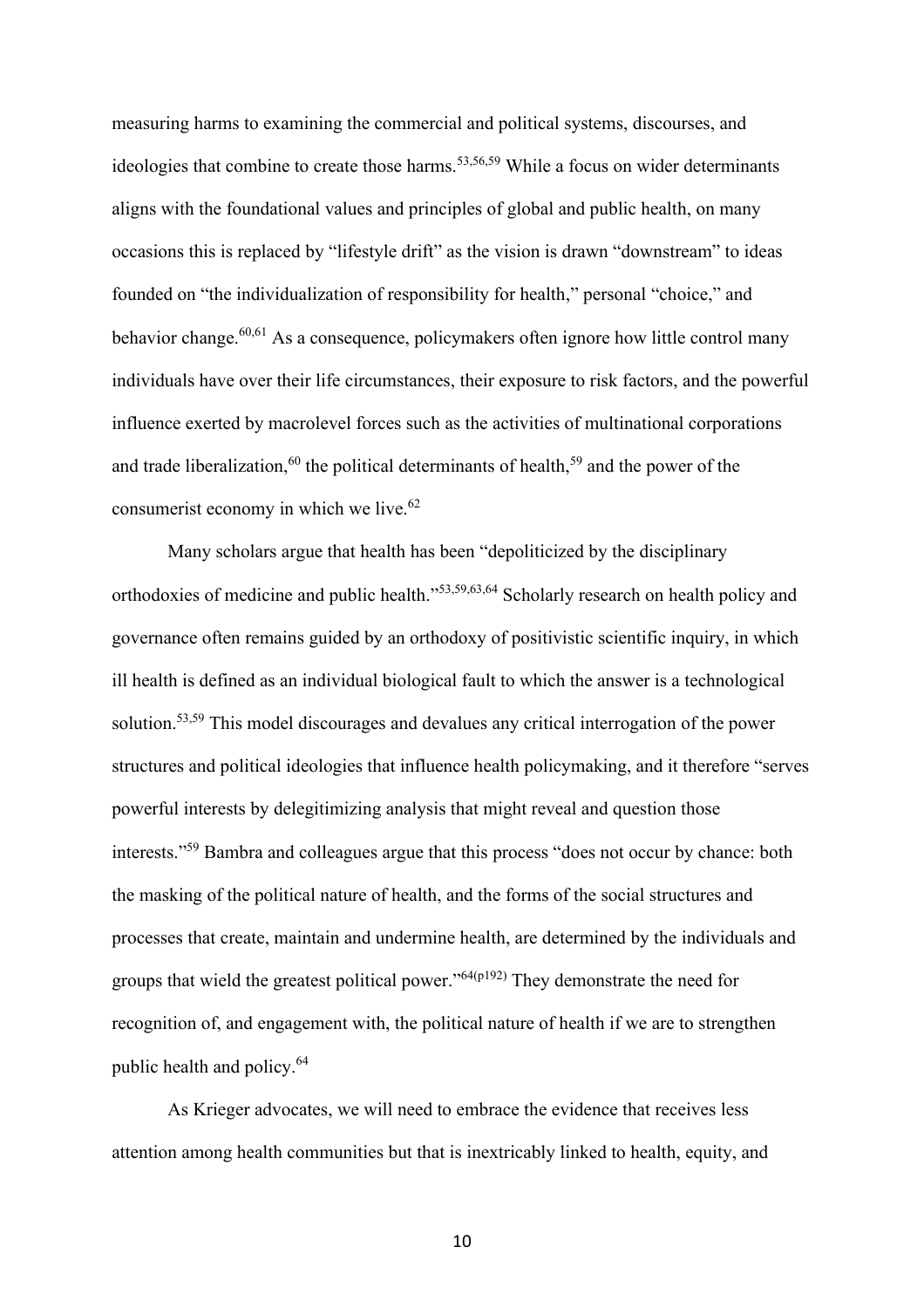measuring harms to examining the commercial and political systems, discourses, and ideologies that combine to create those harms.<sup>53,56,59</sup> While a focus on wider determinants aligns with the foundational values and principles of global and public health, on many occasions this is replaced by "lifestyle drift" as the vision is drawn "downstream" to ideas founded on "the individualization of responsibility for health," personal "choice," and behavior change.<sup>60,61</sup> As a consequence, policymakers often ignore how little control many individuals have over their life circumstances, their exposure to risk factors, and the powerful influence exerted by macrolevel forces such as the activities of multinational corporations and trade liberalization,<sup>60</sup> the political determinants of health,<sup>59</sup> and the power of the consumerist economy in which we live.<sup>62</sup>

Many scholars argue that health has been "depoliticized by the disciplinary orthodoxies of medicine and public health."53,59,63,64 Scholarly research on health policy and governance often remains guided by an orthodoxy of positivistic scientific inquiry, in which ill health is defined as an individual biological fault to which the answer is a technological solution.<sup>53,59</sup> This model discourages and devalues any critical interrogation of the power structures and political ideologies that influence health policymaking, and it therefore "serves powerful interests by delegitimizing analysis that might reveal and question those interests."<sup>59</sup> Bambra and colleagues argue that this process "does not occur by chance: both the masking of the political nature of health, and the forms of the social structures and processes that create, maintain and undermine health, are determined by the individuals and groups that wield the greatest political power." $64(p192)$  They demonstrate the need for recognition of, and engagement with, the political nature of health if we are to strengthen public health and policy.<sup>64</sup>

As Krieger advocates, we will need to embrace the evidence that receives less attention among health communities but that is inextricably linked to health, equity, and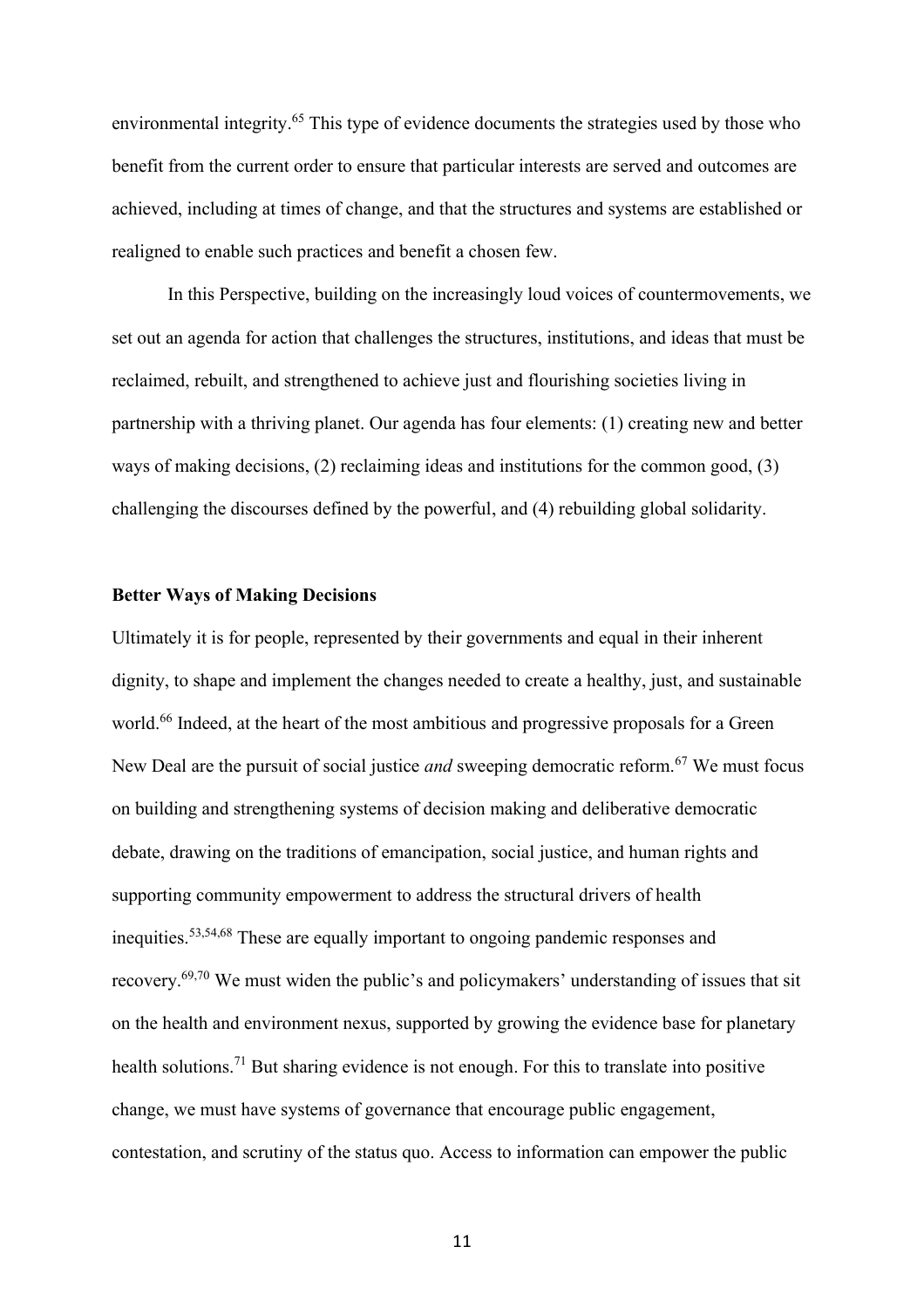environmental integrity.<sup>65</sup> This type of evidence documents the strategies used by those who benefit from the current order to ensure that particular interests are served and outcomes are achieved, including at times of change, and that the structures and systems are established or realigned to enable such practices and benefit a chosen few.

In this Perspective, building on the increasingly loud voices of countermovements, we set out an agenda for action that challenges the structures, institutions, and ideas that must be reclaimed, rebuilt, and strengthened to achieve just and flourishing societies living in partnership with a thriving planet. Our agenda has four elements: (1) creating new and better ways of making decisions, (2) reclaiming ideas and institutions for the common good, (3) challenging the discourses defined by the powerful, and (4) rebuilding global solidarity.

## **Better Ways of Making Decisions**

Ultimately it is for people, represented by their governments and equal in their inherent dignity, to shape and implement the changes needed to create a healthy, just, and sustainable world.<sup>66</sup> Indeed, at the heart of the most ambitious and progressive proposals for a Green New Deal are the pursuit of social justice *and* sweeping democratic reform.<sup>67</sup> We must focus on building and strengthening systems of decision making and deliberative democratic debate, drawing on the traditions of emancipation, social justice, and human rights and supporting community empowerment to address the structural drivers of health inequities. 53,54,68 These are equally important to ongoing pandemic responses and recovery.69,70 We must widen the public's and policymakers' understanding of issues that sit on the health and environment nexus, supported by growing the evidence base for planetary health solutions.<sup>71</sup> But sharing evidence is not enough. For this to translate into positive change, we must have systems of governance that encourage public engagement, contestation, and scrutiny of the status quo. Access to information can empower the public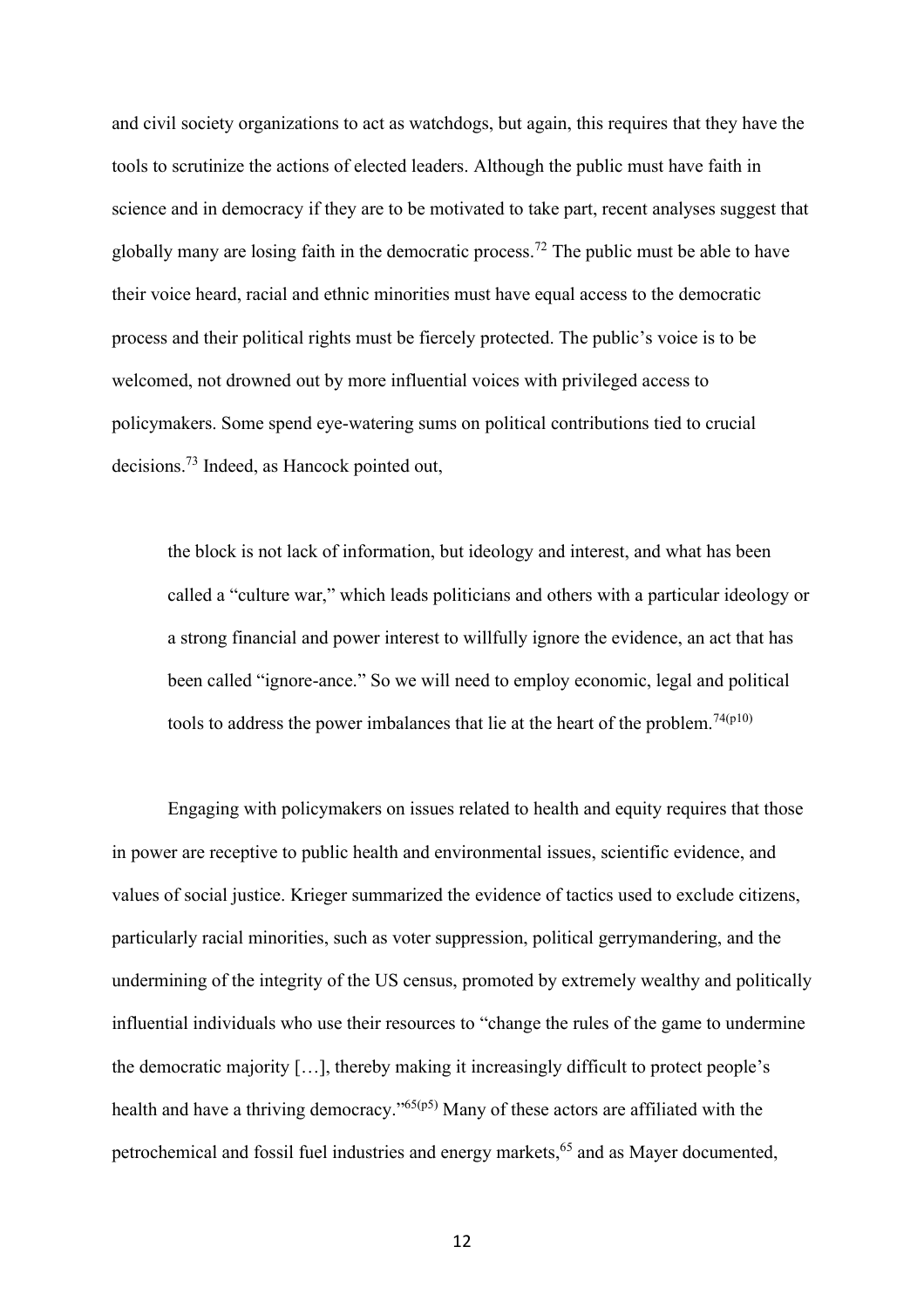and civil society organizations to act as watchdogs, but again, this requires that they have the tools to scrutinize the actions of elected leaders. Although the public must have faith in science and in democracy if they are to be motivated to take part, recent analyses suggest that globally many are losing faith in the democratic process.<sup>72</sup> The public must be able to have their voice heard, racial and ethnic minorities must have equal access to the democratic process and their political rights must be fiercely protected. The public's voice is to be welcomed, not drowned out by more influential voices with privileged access to policymakers. Some spend eye-watering sums on political contributions tied to crucial decisions.<sup>73</sup> Indeed, as Hancock pointed out,

the block is not lack of information, but ideology and interest, and what has been called a "culture war," which leads politicians and others with a particular ideology or a strong financial and power interest to willfully ignore the evidence, an act that has been called "ignore-ance." So we will need to employ economic, legal and political tools to address the power imbalances that lie at the heart of the problem.<sup>74(p10)</sup>

Engaging with policymakers on issues related to health and equity requires that those in power are receptive to public health and environmental issues, scientific evidence, and values of social justice. Krieger summarized the evidence of tactics used to exclude citizens, particularly racial minorities, such as voter suppression, political gerrymandering, and the undermining of the integrity of the US census, promoted by extremely wealthy and politically influential individuals who use their resources to "change the rules of the game to undermine the democratic majority […], thereby making it increasingly difficult to protect people's health and have a thriving democracy."65(p5) Many of these actors are affiliated with the petrochemical and fossil fuel industries and energy markets,<sup>65</sup> and as Mayer documented,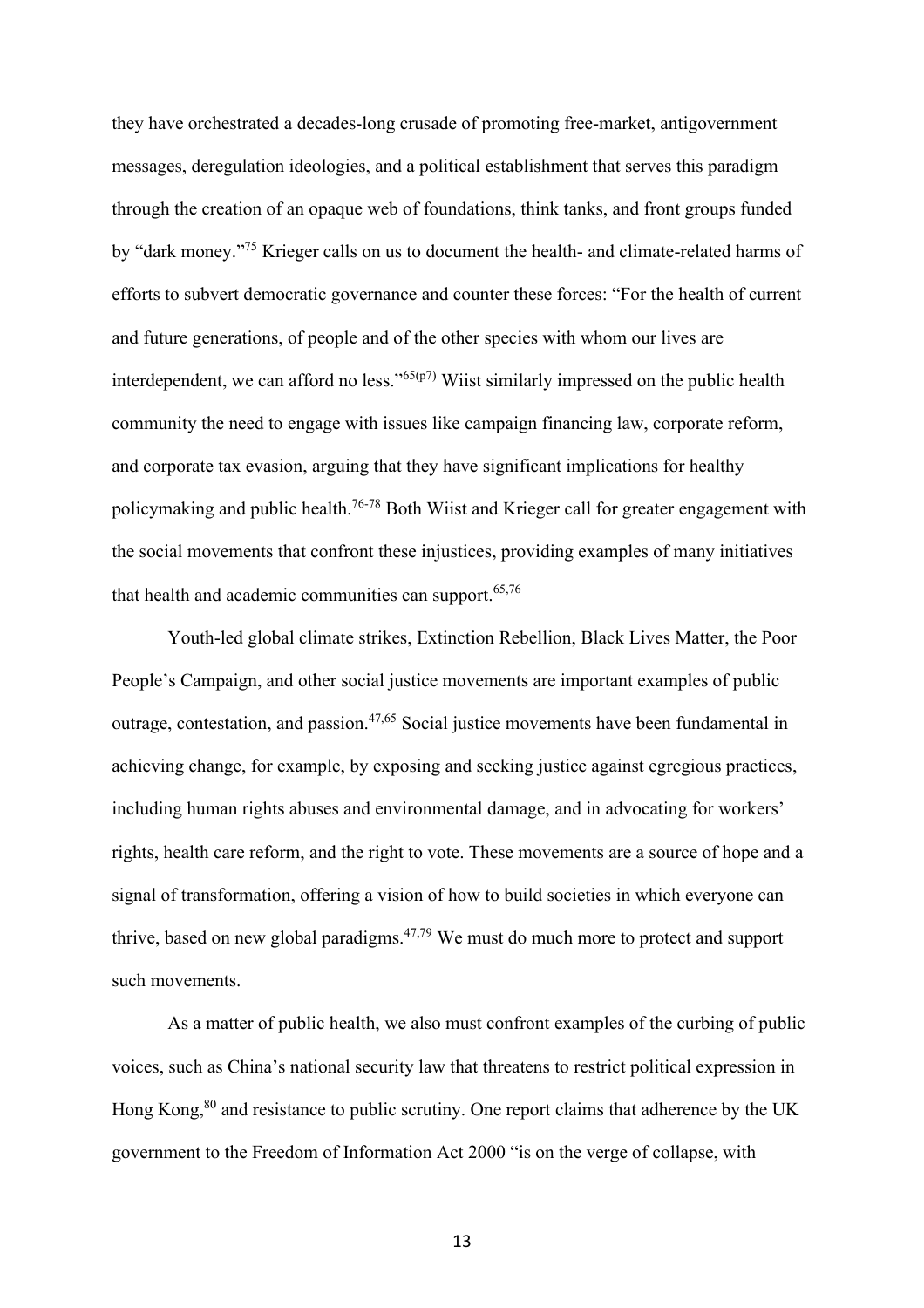they have orchestrated a decades-long crusade of promoting free-market, antigovernment messages, deregulation ideologies, and a political establishment that serves this paradigm through the creation of an opaque web of foundations, think tanks, and front groups funded by "dark money."<sup>75</sup> Krieger calls on us to document the health- and climate-related harms of efforts to subvert democratic governance and counter these forces: "For the health of current and future generations, of people and of the other species with whom our lives are interdependent, we can afford no less." $65(p7)$  Wiist similarly impressed on the public health community the need to engage with issues like campaign financing law, corporate reform, and corporate tax evasion, arguing that they have significant implications for healthy policymaking and public health.<sup>76-78</sup> Both Wiist and Krieger call for greater engagement with the social movements that confront these injustices, providing examples of many initiatives that health and academic communities can support.<sup>65,76</sup>

Youth-led global climate strikes, Extinction Rebellion, Black Lives Matter, the Poor People's Campaign, and other social justice movements are important examples of public outrage, contestation, and passion.<sup>47,65</sup> Social justice movements have been fundamental in achieving change, for example, by exposing and seeking justice against egregious practices, including human rights abuses and environmental damage, and in advocating for workers' rights, health care reform, and the right to vote. These movements are a source of hope and a signal of transformation, offering a vision of how to build societies in which everyone can thrive, based on new global paradigms. $47,79$  We must do much more to protect and support such movements.

As a matter of public health, we also must confront examples of the curbing of public voices, such as China's national security law that threatens to restrict political expression in Hong Kong,<sup>80</sup> and resistance to public scrutiny. One report claims that adherence by the UK government to the Freedom of Information Act 2000 "is on the verge of collapse, with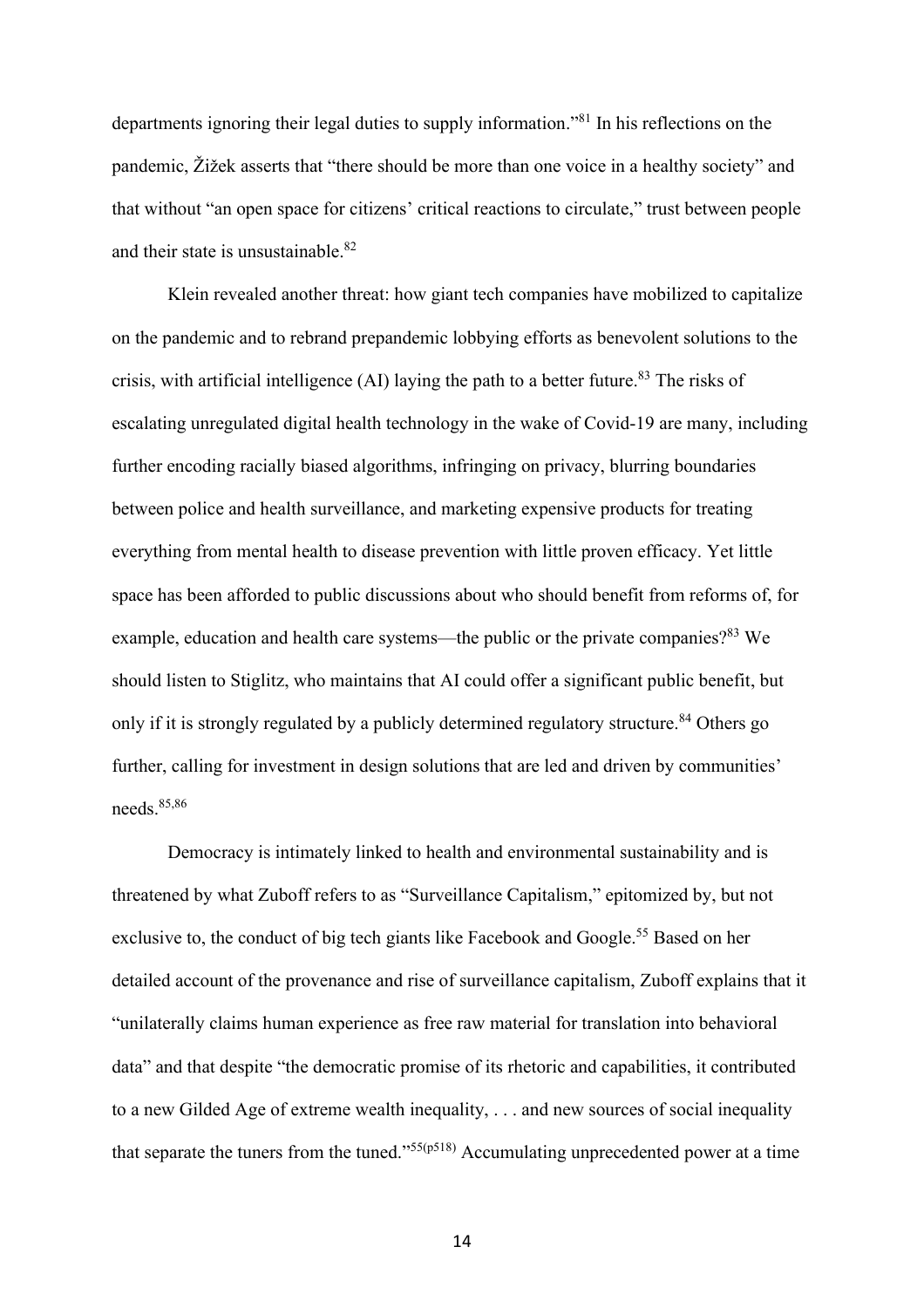departments ignoring their legal duties to supply information." <sup>81</sup> In his reflections on the pandemic, Žižek asserts that "there should be more than one voice in a healthy society" and that without "an open space for citizens' critical reactions to circulate," trust between people and their state is unsustainable.<sup>82</sup>

Klein revealed another threat: how giant tech companies have mobilized to capitalize on the pandemic and to rebrand prepandemic lobbying efforts as benevolent solutions to the crisis, with artificial intelligence (AI) laying the path to a better future.<sup>83</sup> The risks of escalating unregulated digital health technology in the wake of Covid-19 are many, including further encoding racially biased algorithms, infringing on privacy, blurring boundaries between police and health surveillance, and marketing expensive products for treating everything from mental health to disease prevention with little proven efficacy. Yet little space has been afforded to public discussions about who should benefit from reforms of, for example, education and health care systems—the public or the private companies?<sup>83</sup> We should listen to Stiglitz, who maintains that AI could offer a significant public benefit, but only if it is strongly regulated by a publicly determined regulatory structure.<sup>84</sup> Others go further, calling for investment in design solutions that are led and driven by communities' needs. 85,86

Democracy is intimately linked to health and environmental sustainability and is threatened by what Zuboff refers to as "Surveillance Capitalism," epitomized by, but not exclusive to, the conduct of big tech giants like Facebook and Google.<sup>55</sup> Based on her detailed account of the provenance and rise of surveillance capitalism, Zuboff explains that it "unilaterally claims human experience as free raw material for translation into behavioral data" and that despite "the democratic promise of its rhetoric and capabilities, it contributed to a new Gilded Age of extreme wealth inequality, . . . and new sources of social inequality that separate the tuners from the tuned." $55(p518)$  Accumulating unprecedented power at a time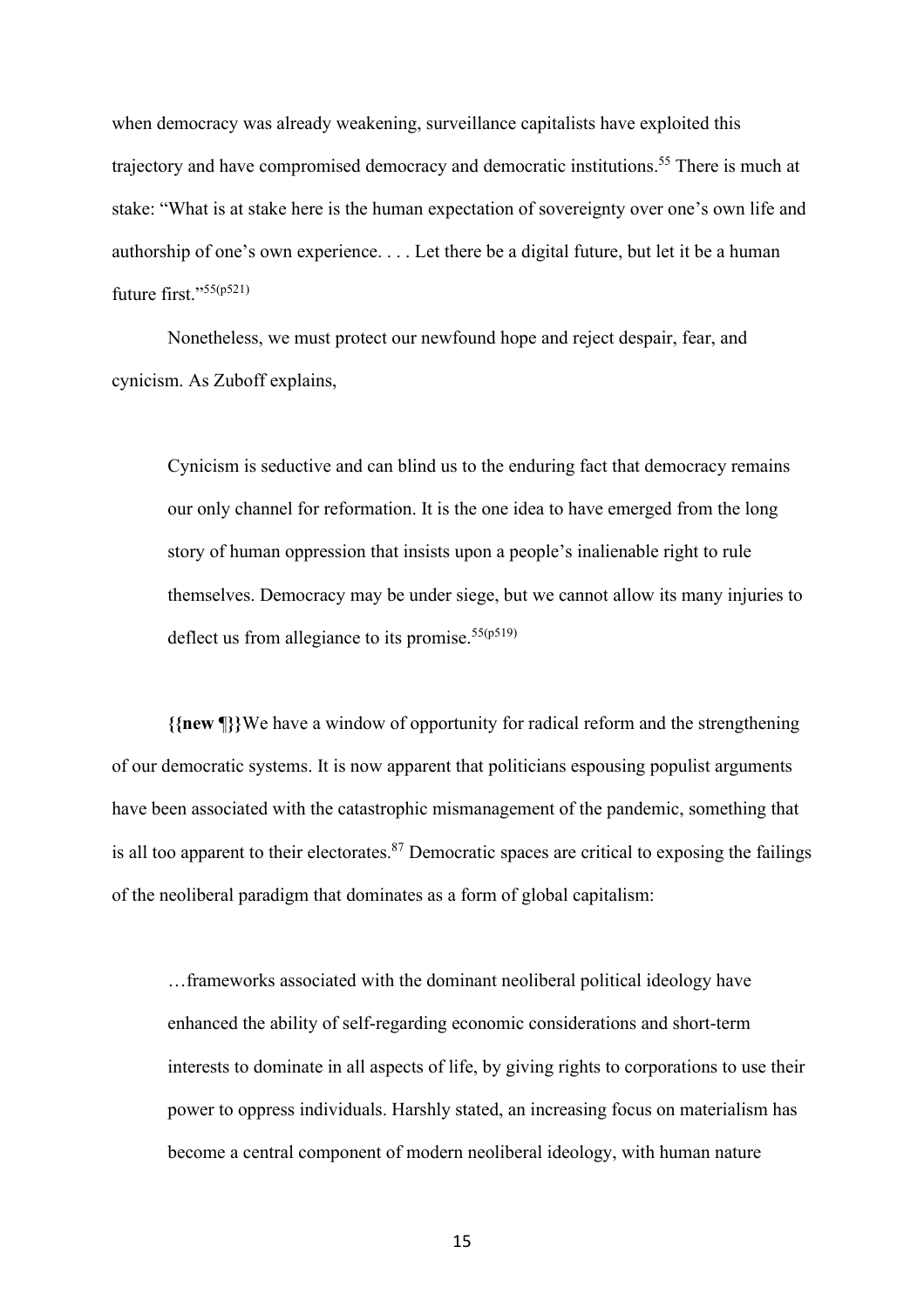when democracy was already weakening, surveillance capitalists have exploited this trajectory and have compromised democracy and democratic institutions. <sup>55</sup> There is much at stake: "What is at stake here is the human expectation of sovereignty over one's own life and authorship of one's own experience. . . . Let there be a digital future, but let it be a human future first."55(p521)

Nonetheless, we must protect our newfound hope and reject despair, fear, and cynicism. As Zuboff explains,

Cynicism is seductive and can blind us to the enduring fact that democracy remains our only channel for reformation. It is the one idea to have emerged from the long story of human oppression that insists upon a people's inalienable right to rule themselves. Democracy may be under siege, but we cannot allow its many injuries to deflect us from allegiance to its promise.<sup>55(p519)</sup>

**{{new** ¶**}}**We have a window of opportunity for radical reform and the strengthening of our democratic systems. It is now apparent that politicians espousing populist arguments have been associated with the catastrophic mismanagement of the pandemic, something that is all too apparent to their electorates. $87$  Democratic spaces are critical to exposing the failings of the neoliberal paradigm that dominates as a form of global capitalism:

…frameworks associated with the dominant neoliberal political ideology have enhanced the ability of self-regarding economic considerations and short-term interests to dominate in all aspects of life, by giving rights to corporations to use their power to oppress individuals. Harshly stated, an increasing focus on materialism has become a central component of modern neoliberal ideology, with human nature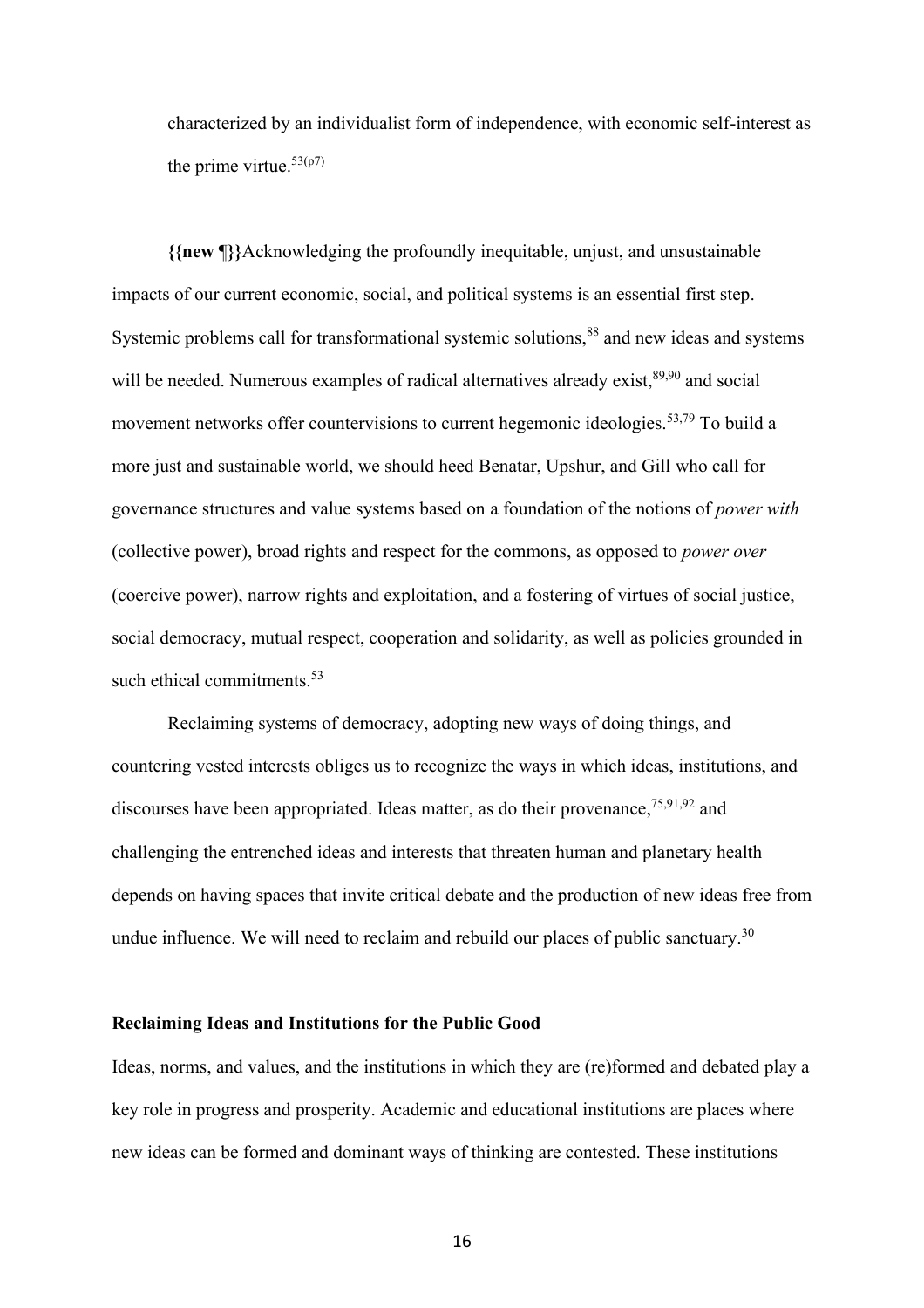characterized by an individualist form of independence, with economic self-interest as the prime virtue. $53(p7)$ 

**{{new** ¶**}}**Acknowledging the profoundly inequitable, unjust, and unsustainable impacts of our current economic, social, and political systems is an essential first step. Systemic problems call for transformational systemic solutions,<sup>88</sup> and new ideas and systems will be needed. Numerous examples of radical alternatives already exist,  $89,90$  and social movement networks offer countervisions to current hegemonic ideologies. 53,79 To build a more just and sustainable world, we should heed Benatar, Upshur, and Gill who call for governance structures and value systems based on a foundation of the notions of *power with* (collective power), broad rights and respect for the commons, as opposed to *power over* (coercive power), narrow rights and exploitation, and a fostering of virtues of social justice, social democracy, mutual respect, cooperation and solidarity, as well as policies grounded in such ethical commitments.<sup>53</sup>

Reclaiming systems of democracy, adopting new ways of doing things, and countering vested interests obliges us to recognize the ways in which ideas, institutions, and discourses have been appropriated. Ideas matter, as do their provenance, <sup>75,91,92</sup> and challenging the entrenched ideas and interests that threaten human and planetary health depends on having spaces that invite critical debate and the production of new ideas free from undue influence. We will need to reclaim and rebuild our places of public sanctuary.<sup>30</sup>

## **Reclaiming Ideas and Institutions for the Public Good**

Ideas, norms, and values, and the institutions in which they are (re)formed and debated play a key role in progress and prosperity. Academic and educational institutions are places where new ideas can be formed and dominant ways of thinking are contested. These institutions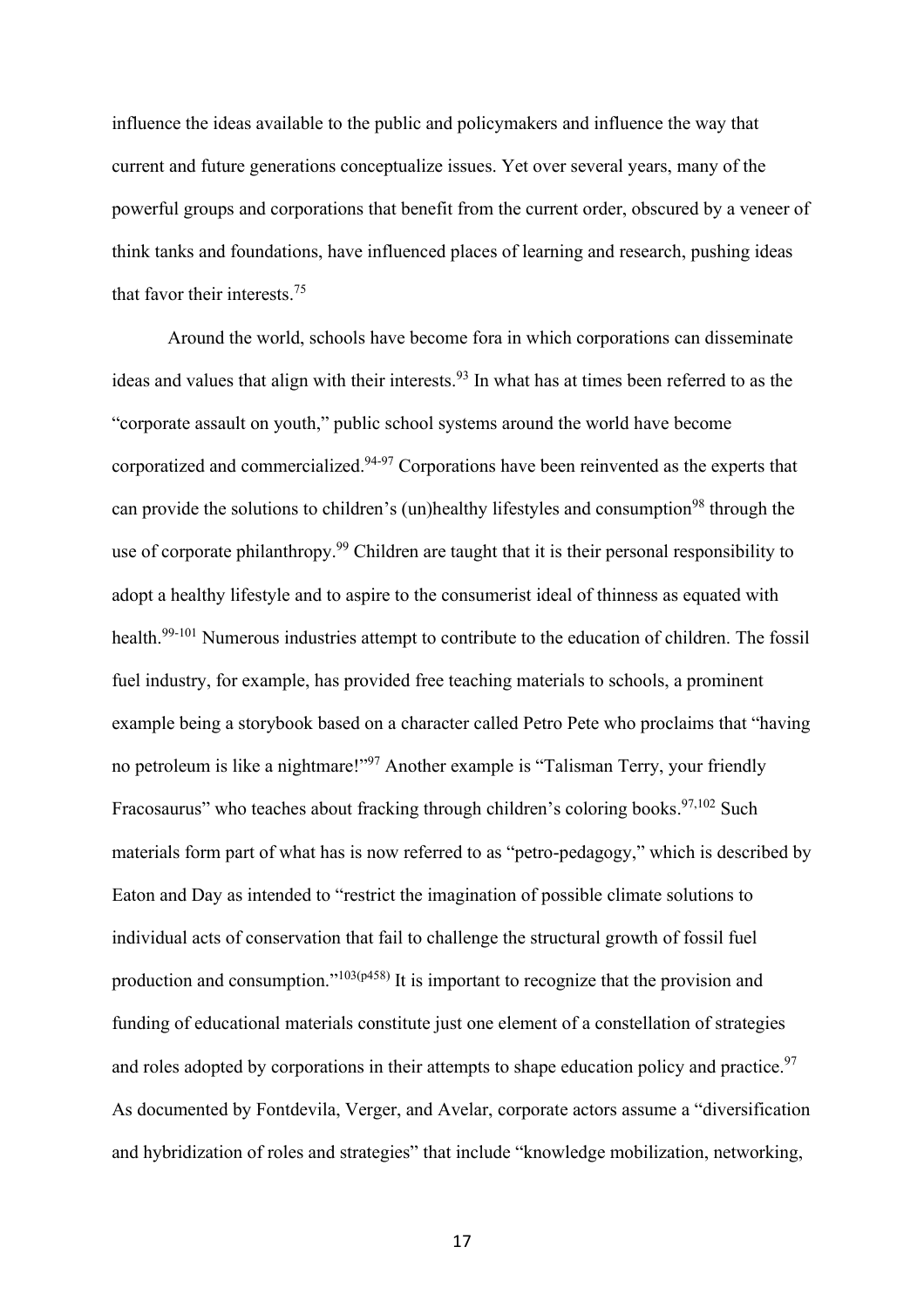influence the ideas available to the public and policymakers and influence the way that current and future generations conceptualize issues. Yet over several years, many of the powerful groups and corporations that benefit from the current order, obscured by a veneer of think tanks and foundations, have influenced places of learning and research, pushing ideas that favor their interests. 75

Around the world, schools have become fora in which corporations can disseminate ideas and values that align with their interests.<sup>93</sup> In what has at times been referred to as the "corporate assault on youth," public school systems around the world have become corporatized and commercialized.<sup>94-97</sup> Corporations have been reinvented as the experts that can provide the solutions to children's (un)healthy lifestyles and consumption<sup>98</sup> through the use of corporate philanthropy.<sup>99</sup> Children are taught that it is their personal responsibility to adopt a healthy lifestyle and to aspire to the consumerist ideal of thinness as equated with health.<sup>99-101</sup> Numerous industries attempt to contribute to the education of children. The fossil fuel industry, for example, has provided free teaching materials to schools, a prominent example being a storybook based on a character called Petro Pete who proclaims that "having no petroleum is like a nightmare!"<sup>97</sup> Another example is "Talisman Terry, your friendly Fracosaurus" who teaches about fracking through children's coloring books.  $97,102$  Such materials form part of what has is now referred to as "petro-pedagogy," which is described by Eaton and Day as intended to "restrict the imagination of possible climate solutions to individual acts of conservation that fail to challenge the structural growth of fossil fuel production and consumption."<sup>103(p458)</sup> It is important to recognize that the provision and funding of educational materials constitute just one element of a constellation of strategies and roles adopted by corporations in their attempts to shape education policy and practice.<sup>97</sup> As documented by Fontdevila, Verger, and Avelar, corporate actors assume a "diversification and hybridization of roles and strategies" that include "knowledge mobilization, networking,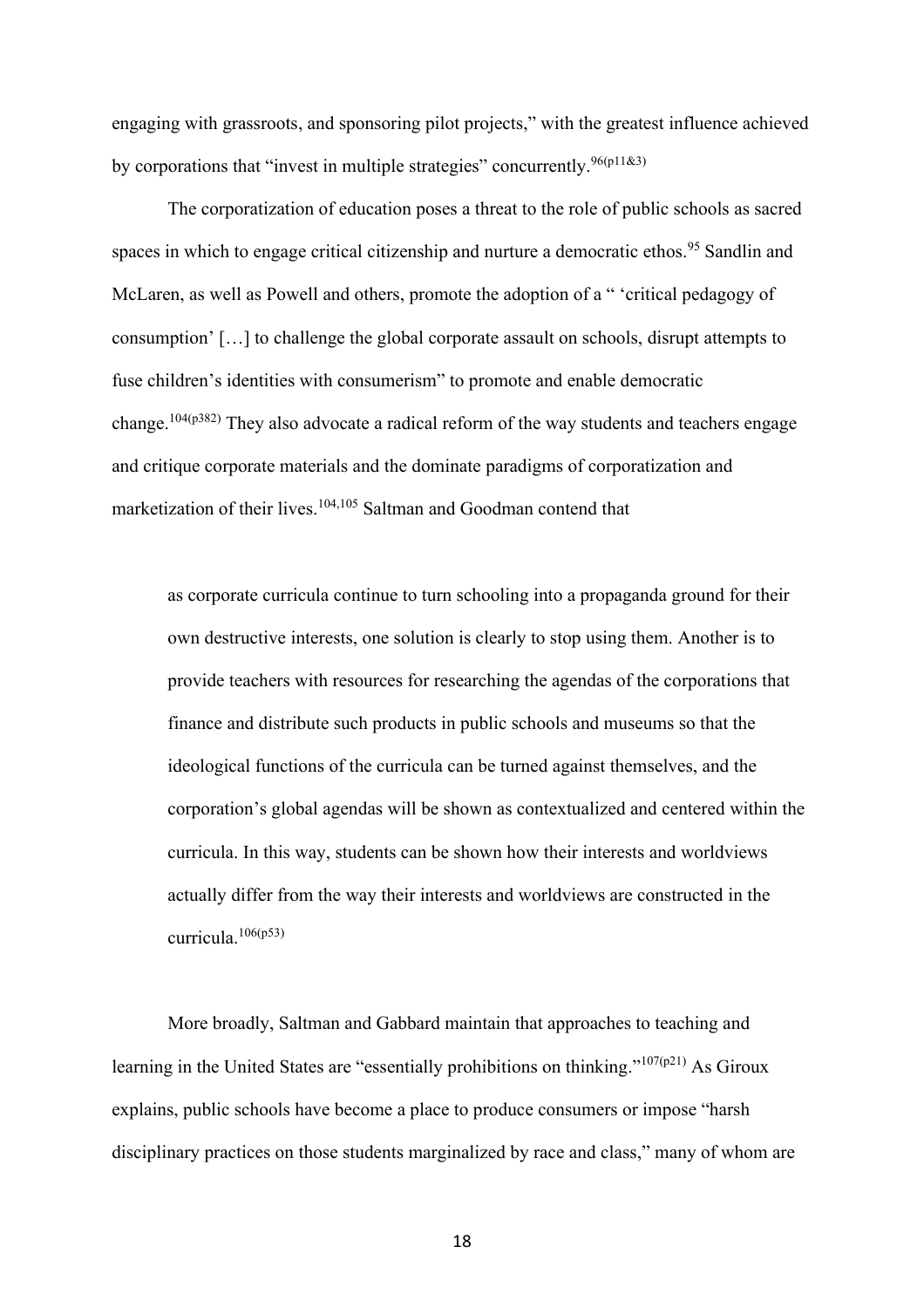engaging with grassroots, and sponsoring pilot projects," with the greatest influence achieved by corporations that "invest in multiple strategies" concurrently.  $96(p11&3)$ 

The corporatization of education poses a threat to the role of public schools as sacred spaces in which to engage critical citizenship and nurture a democratic ethos.<sup>95</sup> Sandlin and McLaren, as well as Powell and others, promote the adoption of a " 'critical pedagogy of consumption' […] to challenge the global corporate assault on schools, disrupt attempts to fuse children's identities with consumerism" to promote and enable democratic change.<sup>104(p382)</sup> They also advocate a radical reform of the way students and teachers engage and critique corporate materials and the dominate paradigms of corporatization and marketization of their lives.<sup>104,105</sup> Saltman and Goodman contend that

as corporate curricula continue to turn schooling into a propaganda ground for their own destructive interests, one solution is clearly to stop using them. Another is to provide teachers with resources for researching the agendas of the corporations that finance and distribute such products in public schools and museums so that the ideological functions of the curricula can be turned against themselves, and the corporation's global agendas will be shown as contextualized and centered within the curricula. In this way, students can be shown how their interests and worldviews actually differ from the way their interests and worldviews are constructed in the curricula.106(p53)

More broadly, Saltman and Gabbard maintain that approaches to teaching and learning in the United States are "essentially prohibitions on thinking."<sup>107(p21)</sup> As Giroux explains, public schools have become a place to produce consumers or impose "harsh disciplinary practices on those students marginalized by race and class," many of whom are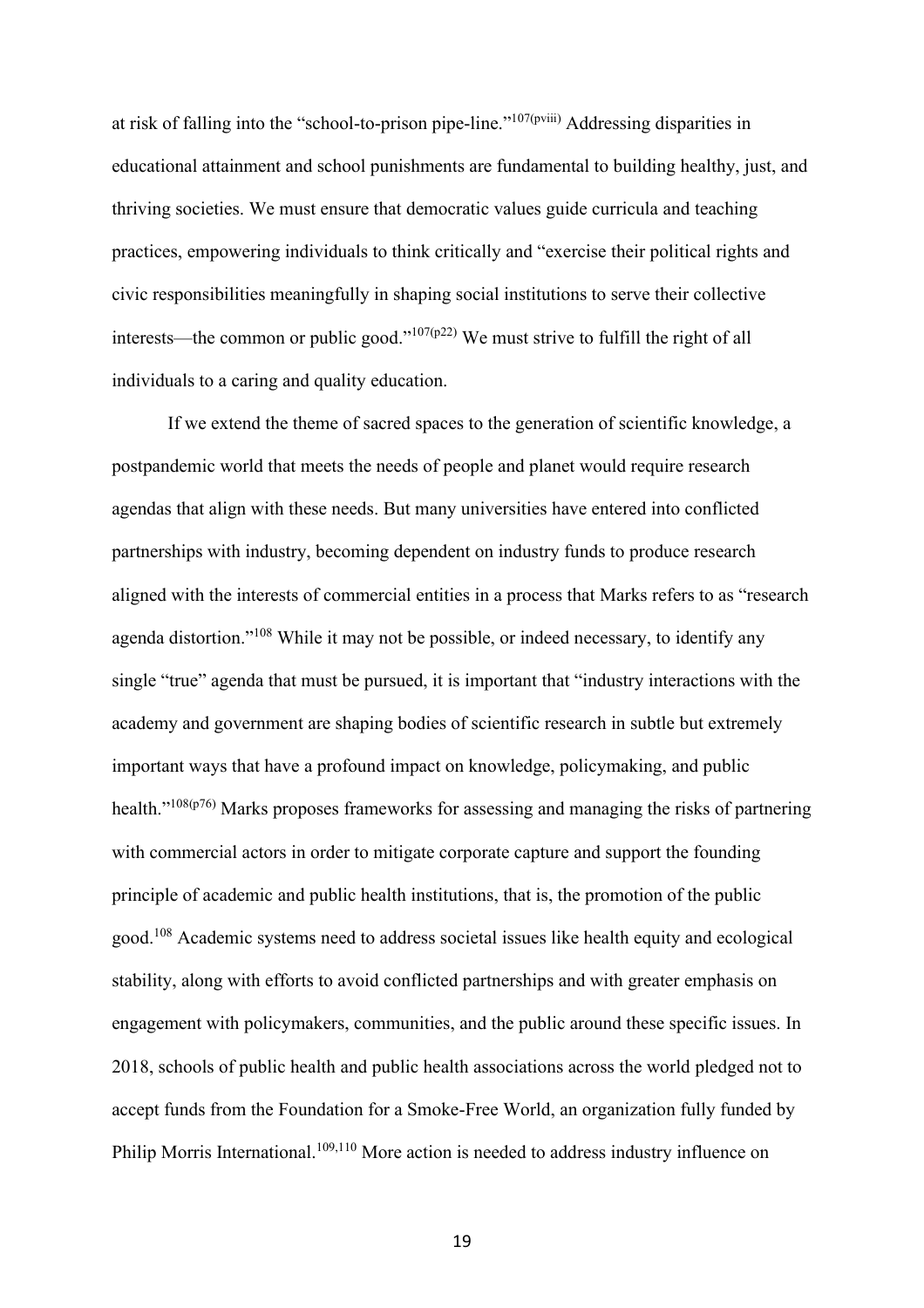at risk of falling into the "school-to-prison pipe-line."107(pviii) Addressing disparities in educational attainment and school punishments are fundamental to building healthy, just, and thriving societies. We must ensure that democratic values guide curricula and teaching practices, empowering individuals to think critically and "exercise their political rights and civic responsibilities meaningfully in shaping social institutions to serve their collective interests—the common or public good."<sup>107(p22)</sup> We must strive to fulfill the right of all individuals to a caring and quality education.

If we extend the theme of sacred spaces to the generation of scientific knowledge, a postpandemic world that meets the needs of people and planet would require research agendas that align with these needs. But many universities have entered into conflicted partnerships with industry, becoming dependent on industry funds to produce research aligned with the interests of commercial entities in a process that Marks refers to as "research agenda distortion."<sup>108</sup> While it may not be possible, or indeed necessary, to identify any single "true" agenda that must be pursued, it is important that "industry interactions with the academy and government are shaping bodies of scientific research in subtle but extremely important ways that have a profound impact on knowledge, policymaking, and public health."<sup>108(p76)</sup> Marks proposes frameworks for assessing and managing the risks of partnering with commercial actors in order to mitigate corporate capture and support the founding principle of academic and public health institutions, that is, the promotion of the public good.<sup>108</sup> Academic systems need to address societal issues like health equity and ecological stability, along with efforts to avoid conflicted partnerships and with greater emphasis on engagement with policymakers, communities, and the public around these specific issues. In 2018, schools of public health and public health associations across the world pledged not to accept funds from the Foundation for a Smoke-Free World, an organization fully funded by Philip Morris International.<sup>109,110</sup> More action is needed to address industry influence on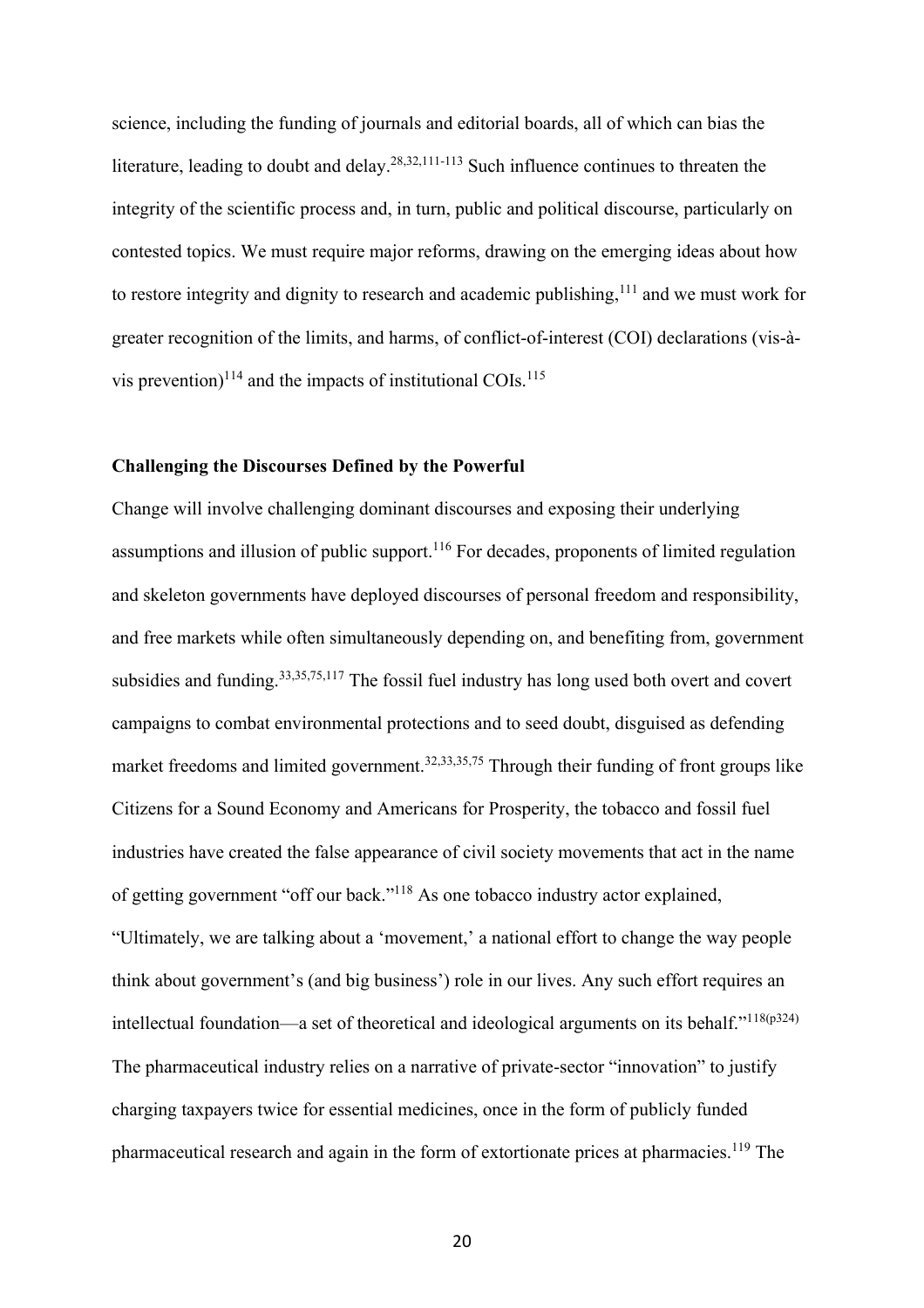science, including the funding of journals and editorial boards, all of which can bias the literature, leading to doubt and delay.<sup>28,32,111-113</sup> Such influence continues to threaten the integrity of the scientific process and, in turn, public and political discourse, particularly on contested topics. We must require major reforms, drawing on the emerging ideas about how to restore integrity and dignity to research and academic publishing, <sup>111</sup> and we must work for greater recognition of the limits, and harms, of conflict-of-interest (COI) declarations (vis-àvis prevention)<sup>114</sup> and the impacts of institutional COIs.<sup>115</sup>

### **Challenging the Discourses Defined by the Powerful**

Change will involve challenging dominant discourses and exposing their underlying assumptions and illusion of public support.<sup>116</sup> For decades, proponents of limited regulation and skeleton governments have deployed discourses of personal freedom and responsibility, and free markets while often simultaneously depending on, and benefiting from, government subsidies and funding.33,35,75,117 The fossil fuel industry has long used both overt and covert campaigns to combat environmental protections and to seed doubt, disguised as defending market freedoms and limited government.<sup>32,33,35,75</sup> Through their funding of front groups like Citizens for a Sound Economy and Americans for Prosperity, the tobacco and fossil fuel industries have created the false appearance of civil society movements that act in the name of getting government "off our back."<sup>118</sup> As one tobacco industry actor explained, "Ultimately, we are talking about a 'movement,' a national effort to change the way people think about government's (and big business') role in our lives. Any such effort requires an intellectual foundation—a set of theoretical and ideological arguments on its behalf." $118(p324)$ The pharmaceutical industry relies on a narrative of private-sector "innovation" to justify charging taxpayers twice for essential medicines, once in the form of publicly funded pharmaceutical research and again in the form of extortionate prices at pharmacies.<sup>119</sup> The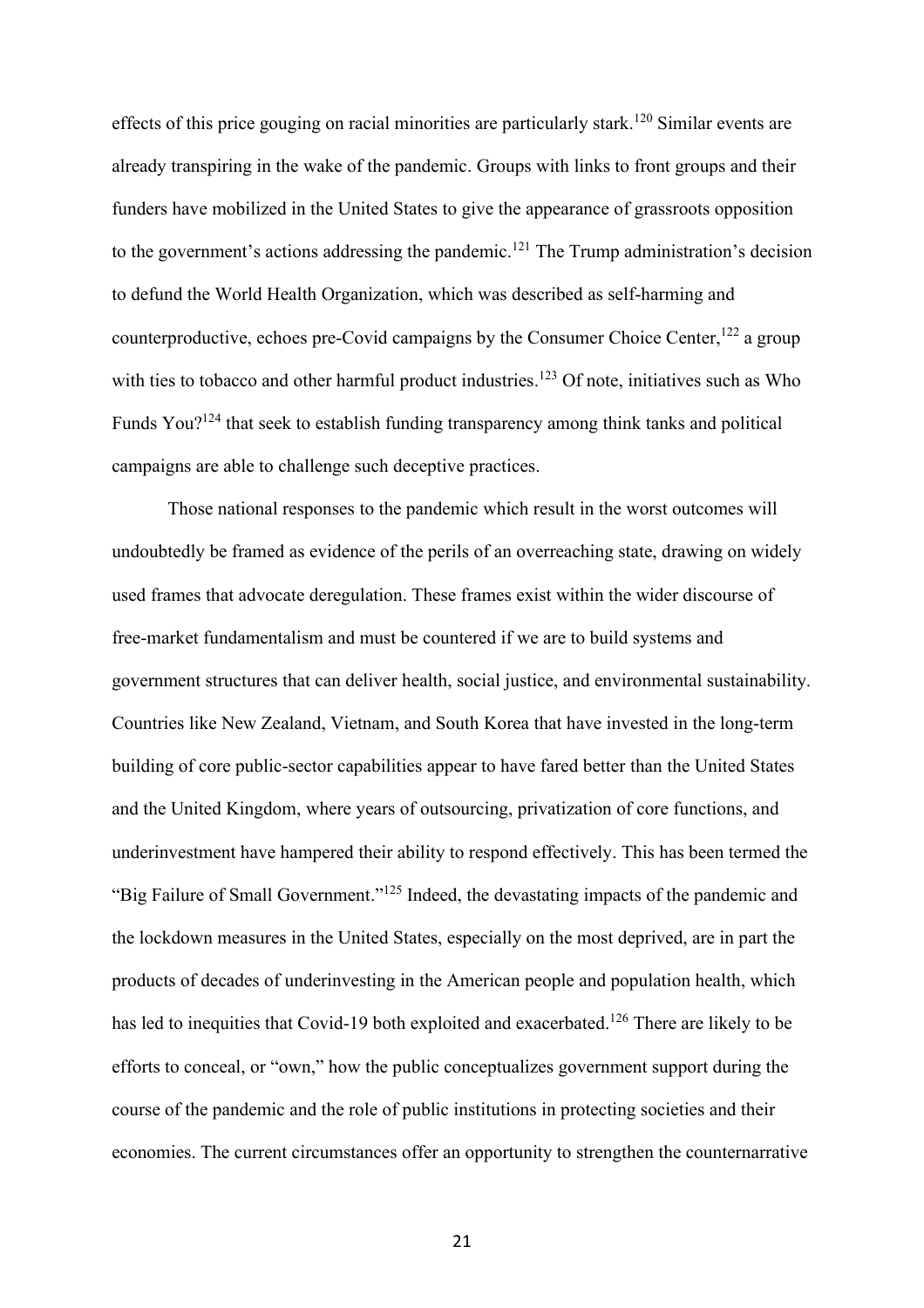effects of this price gouging on racial minorities are particularly stark.<sup>120</sup> Similar events are already transpiring in the wake of the pandemic. Groups with links to front groups and their funders have mobilized in the United States to give the appearance of grassroots opposition to the government's actions addressing the pandemic.<sup>121</sup> The Trump administration's decision to defund the World Health Organization, which was described as self-harming and counterproductive, echoes pre-Covid campaigns by the Consumer Choice Center,<sup>122</sup> a group with ties to tobacco and other harmful product industries.<sup>123</sup> Of note, initiatives such as Who Funds You?<sup>124</sup> that seek to establish funding transparency among think tanks and political campaigns are able to challenge such deceptive practices.

Those national responses to the pandemic which result in the worst outcomes will undoubtedly be framed as evidence of the perils of an overreaching state, drawing on widely used frames that advocate deregulation. These frames exist within the wider discourse of free-market fundamentalism and must be countered if we are to build systems and government structures that can deliver health, social justice, and environmental sustainability. Countries like New Zealand, Vietnam, and South Korea that have invested in the long-term building of core public-sector capabilities appear to have fared better than the United States and the United Kingdom, where years of outsourcing, privatization of core functions, and underinvestment have hampered their ability to respond effectively. This has been termed the "Big Failure of Small Government."<sup>125</sup> Indeed, the devastating impacts of the pandemic and the lockdown measures in the United States, especially on the most deprived, are in part the products of decades of underinvesting in the American people and population health, which has led to inequities that Covid-19 both exploited and exacerbated.<sup>126</sup> There are likely to be efforts to conceal, or "own," how the public conceptualizes government support during the course of the pandemic and the role of public institutions in protecting societies and their economies. The current circumstances offer an opportunity to strengthen the counternarrative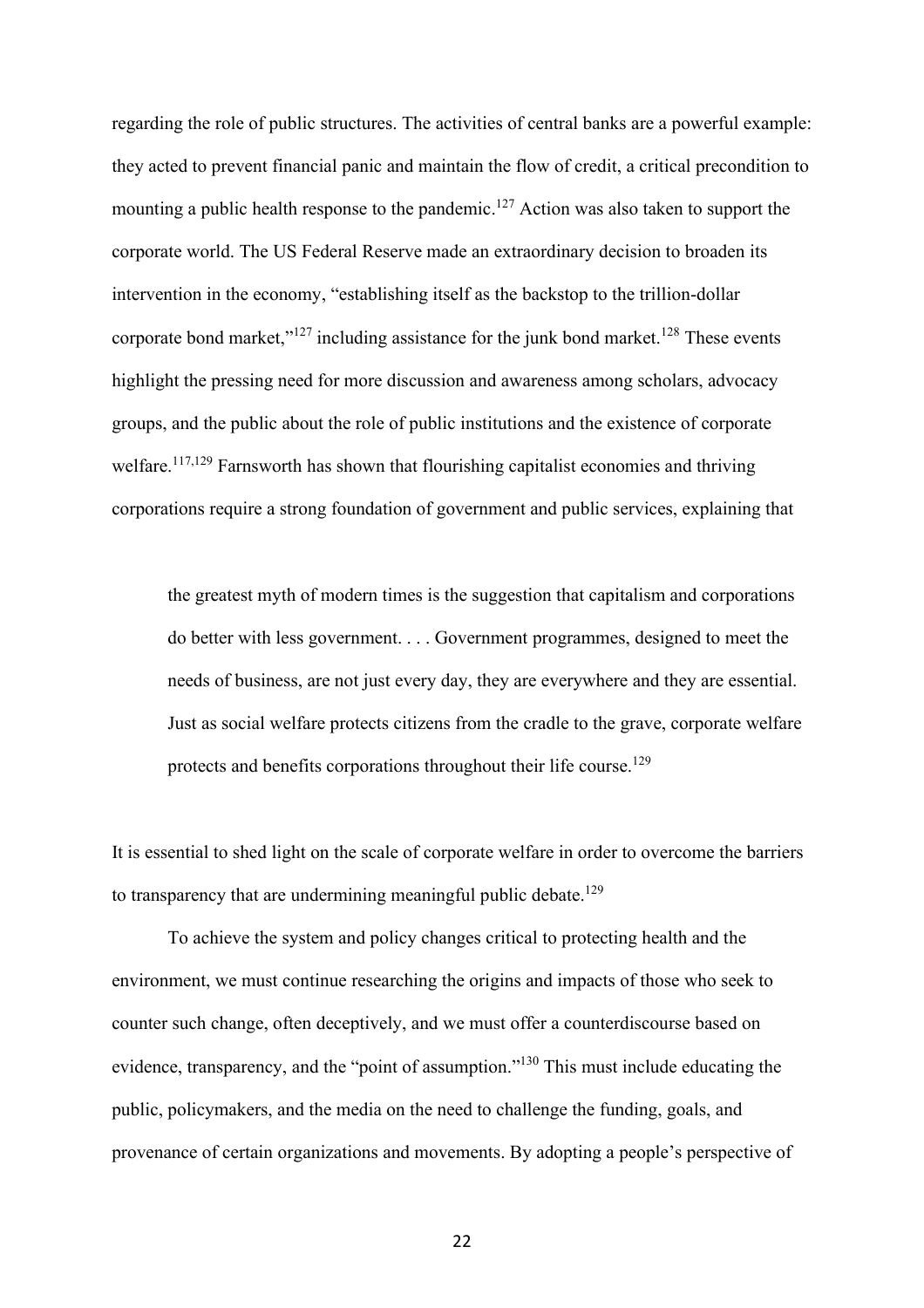regarding the role of public structures. The activities of central banks are a powerful example: they acted to prevent financial panic and maintain the flow of credit, a critical precondition to mounting a public health response to the pandemic.<sup>127</sup> Action was also taken to support the corporate world. The US Federal Reserve made an extraordinary decision to broaden its intervention in the economy, "establishing itself as the backstop to the trillion-dollar corporate bond market," $127$  including assistance for the junk bond market.<sup>128</sup> These events highlight the pressing need for more discussion and awareness among scholars, advocacy groups, and the public about the role of public institutions and the existence of corporate welfare.<sup>117,129</sup> Farnsworth has shown that flourishing capitalist economies and thriving corporations require a strong foundation of government and public services, explaining that

the greatest myth of modern times is the suggestion that capitalism and corporations do better with less government. . . . Government programmes, designed to meet the needs of business, are not just every day, they are everywhere and they are essential. Just as social welfare protects citizens from the cradle to the grave, corporate welfare protects and benefits corporations throughout their life course.<sup>129</sup>

It is essential to shed light on the scale of corporate welfare in order to overcome the barriers to transparency that are undermining meaningful public debate.<sup>129</sup>

To achieve the system and policy changes critical to protecting health and the environment, we must continue researching the origins and impacts of those who seek to counter such change, often deceptively, and we must offer a counterdiscourse based on evidence, transparency, and the "point of assumption."<sup>130</sup> This must include educating the public, policymakers, and the media on the need to challenge the funding, goals, and provenance of certain organizations and movements. By adopting a people's perspective of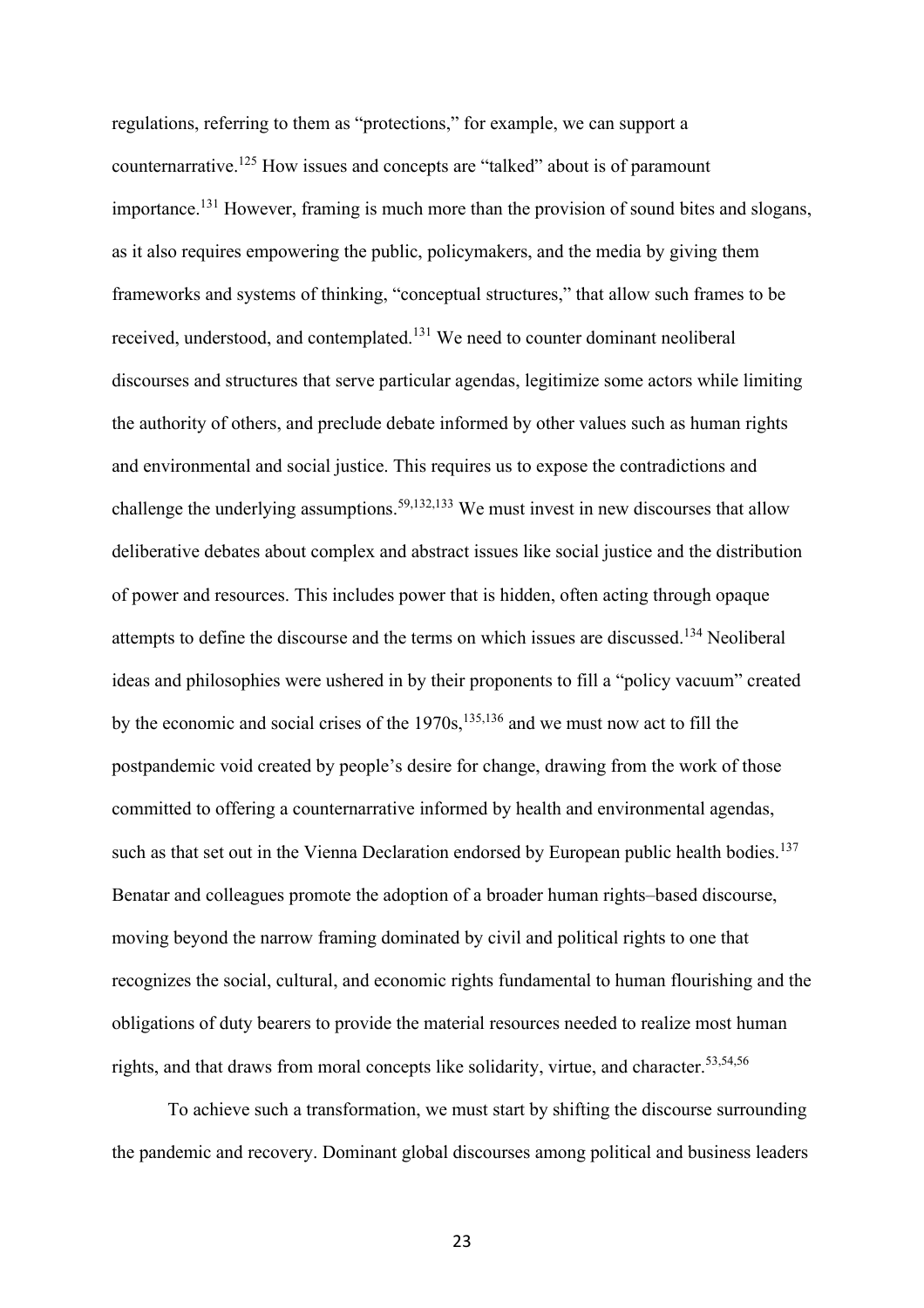regulations, referring to them as "protections," for example, we can support a counternarrative.<sup>125</sup> How issues and concepts are "talked" about is of paramount importance.<sup>131</sup> However, framing is much more than the provision of sound bites and slogans, as it also requires empowering the public, policymakers, and the media by giving them frameworks and systems of thinking, "conceptual structures," that allow such frames to be received, understood, and contemplated.<sup>131</sup> We need to counter dominant neoliberal discourses and structures that serve particular agendas, legitimize some actors while limiting the authority of others, and preclude debate informed by other values such as human rights and environmental and social justice. This requires us to expose the contradictions and challenge the underlying assumptions.<sup>59,132,133</sup> We must invest in new discourses that allow deliberative debates about complex and abstract issues like social justice and the distribution of power and resources. This includes power that is hidden, often acting through opaque attempts to define the discourse and the terms on which issues are discussed.<sup>134</sup> Neoliberal ideas and philosophies were ushered in by their proponents to fill a "policy vacuum" created by the economic and social crises of the 1970s,  $135,136$  and we must now act to fill the postpandemic void created by people's desire for change, drawing from the work of those committed to offering a counternarrative informed by health and environmental agendas, such as that set out in the Vienna Declaration endorsed by European public health bodies.<sup>137</sup> Benatar and colleagues promote the adoption of a broader human rights–based discourse, moving beyond the narrow framing dominated by civil and political rights to one that recognizes the social, cultural, and economic rights fundamental to human flourishing and the obligations of duty bearers to provide the material resources needed to realize most human rights, and that draws from moral concepts like solidarity, virtue, and character.<sup>53,54,56</sup>

To achieve such a transformation, we must start by shifting the discourse surrounding the pandemic and recovery. Dominant global discourses among political and business leaders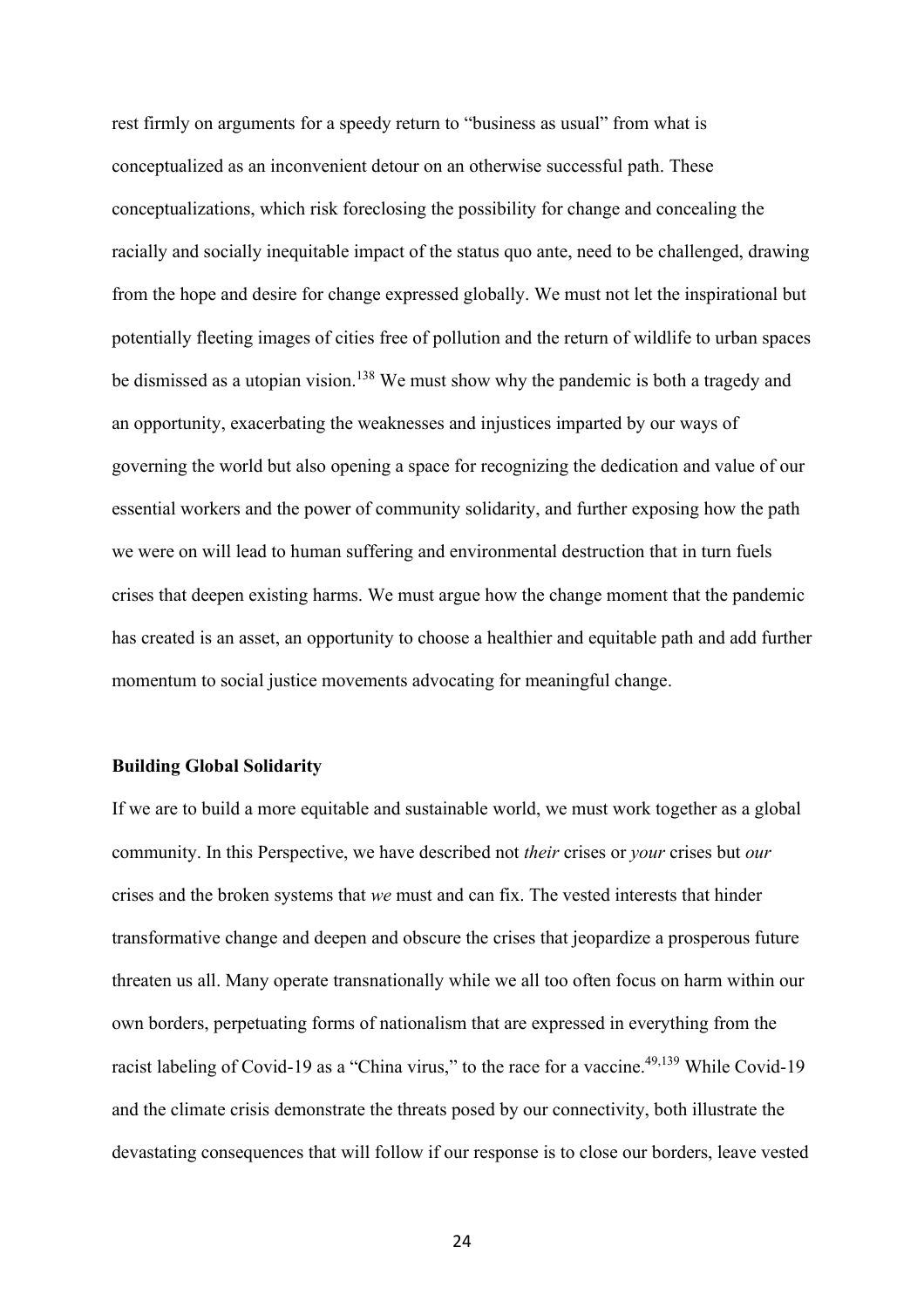rest firmly on arguments for a speedy return to "business as usual" from what is conceptualized as an inconvenient detour on an otherwise successful path. These conceptualizations, which risk foreclosing the possibility for change and concealing the racially and socially inequitable impact of the status quo ante, need to be challenged, drawing from the hope and desire for change expressed globally. We must not let the inspirational but potentially fleeting images of cities free of pollution and the return of wildlife to urban spaces be dismissed as a utopian vision.<sup>138</sup> We must show why the pandemic is both a tragedy and an opportunity, exacerbating the weaknesses and injustices imparted by our ways of governing the world but also opening a space for recognizing the dedication and value of our essential workers and the power of community solidarity, and further exposing how the path we were on will lead to human suffering and environmental destruction that in turn fuels crises that deepen existing harms. We must argue how the change moment that the pandemic has created is an asset, an opportunity to choose a healthier and equitable path and add further momentum to social justice movements advocating for meaningful change.

#### **Building Global Solidarity**

If we are to build a more equitable and sustainable world, we must work together as a global community. In this Perspective, we have described not *their* crises or *your* crises but *our* crises and the broken systems that *we* must and can fix. The vested interests that hinder transformative change and deepen and obscure the crises that jeopardize a prosperous future threaten us all. Many operate transnationally while we all too often focus on harm within our own borders, perpetuating forms of nationalism that are expressed in everything from the racist labeling of Covid-19 as a "China virus," to the race for a vaccine.<sup>49,139</sup> While Covid-19 and the climate crisis demonstrate the threats posed by our connectivity, both illustrate the devastating consequences that will follow if our response is to close our borders, leave vested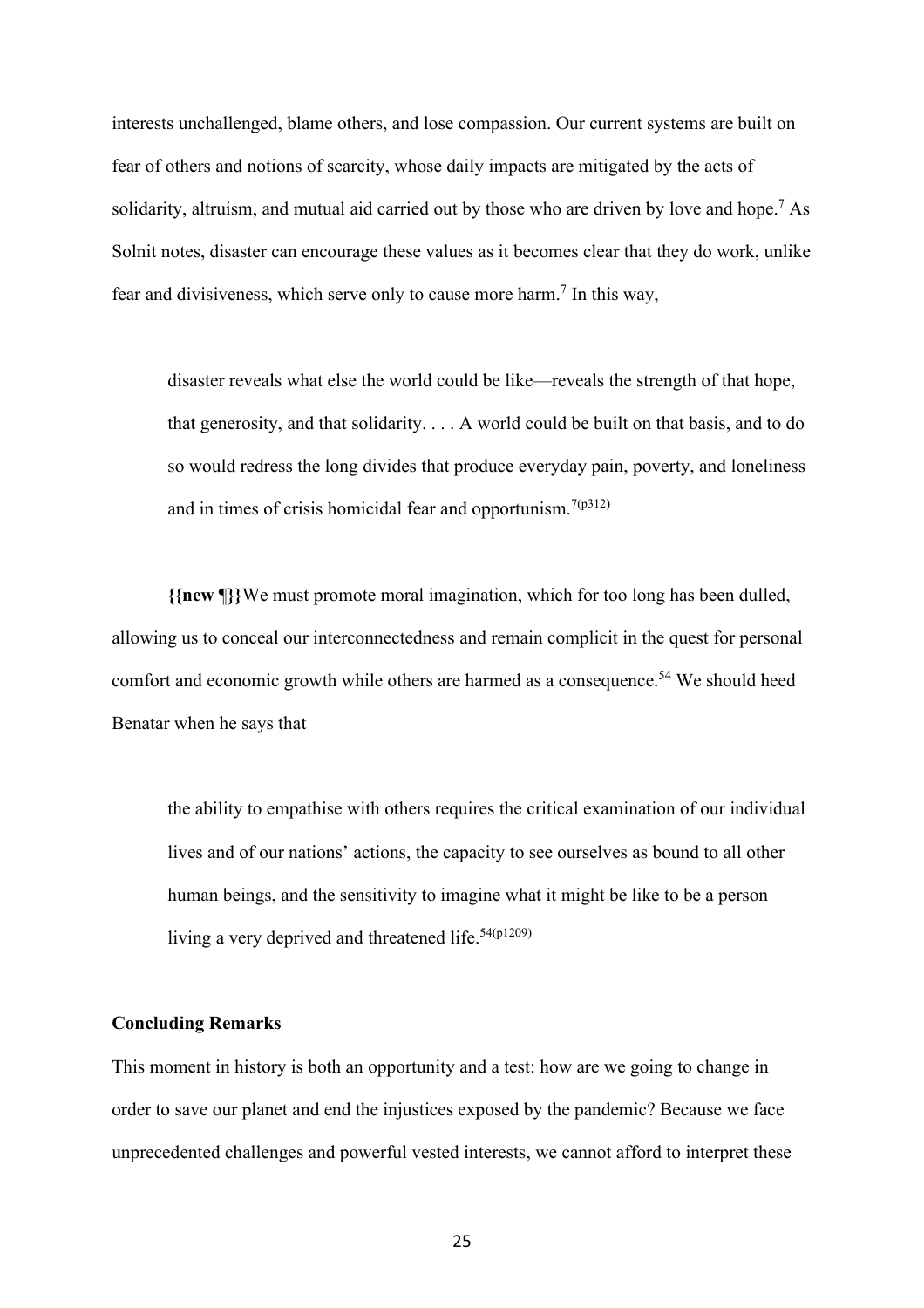interests unchallenged, blame others, and lose compassion. Our current systems are built on fear of others and notions of scarcity, whose daily impacts are mitigated by the acts of solidarity, altruism, and mutual aid carried out by those who are driven by love and hope.<sup>7</sup> As Solnit notes, disaster can encourage these values as it becomes clear that they do work, unlike fear and divisiveness, which serve only to cause more harm.<sup>7</sup> In this way,

disaster reveals what else the world could be like—reveals the strength of that hope, that generosity, and that solidarity. . . . A world could be built on that basis, and to do so would redress the long divides that produce everyday pain, poverty, and loneliness and in times of crisis homicidal fear and opportunism.<sup>7(p312)</sup>

**{{new** ¶**}}**We must promote moral imagination, which for too long has been dulled, allowing us to conceal our interconnectedness and remain complicit in the quest for personal comfort and economic growth while others are harmed as a consequence.<sup>54</sup> We should heed Benatar when he says that

the ability to empathise with others requires the critical examination of our individual lives and of our nations' actions, the capacity to see ourselves as bound to all other human beings, and the sensitivity to imagine what it might be like to be a person living a very deprived and threatened life.<sup>54(p1209)</sup>

## **Concluding Remarks**

This moment in history is both an opportunity and a test: how are we going to change in order to save our planet and end the injustices exposed by the pandemic? Because we face unprecedented challenges and powerful vested interests, we cannot afford to interpret these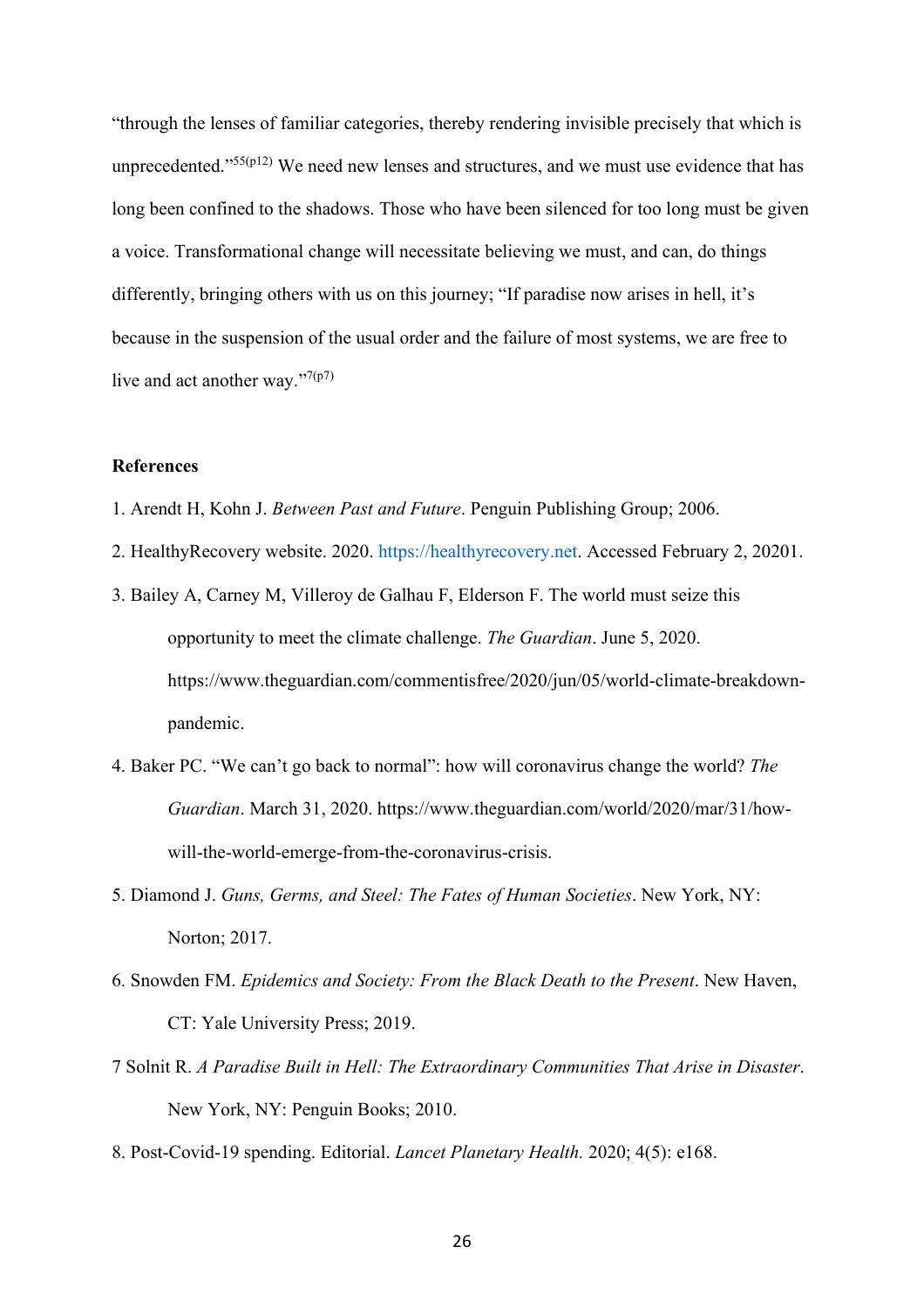"through the lenses of familiar categories, thereby rendering invisible precisely that which is unprecedented." $55(p12)$  We need new lenses and structures, and we must use evidence that has long been confined to the shadows. Those who have been silenced for too long must be given a voice. Transformational change will necessitate believing we must, and can, do things differently, bringing others with us on this journey; "If paradise now arises in hell, it's because in the suspension of the usual order and the failure of most systems, we are free to live and act another way."<sup>7(p7)</sup>

## **References**

- 1. Arendt H, Kohn J. *Between Past and Future*. Penguin Publishing Group; 2006.
- 2. HealthyRecovery website. 2020. [https://healthyrecovery.net.](https://healthyrecovery.net/) Accessed February 2, 20201.
- 3. Bailey A, Carney M, Villeroy de Galhau F, Elderson F. The world must seize this opportunity to meet the climate challenge. *The Guardian*. June 5, 2020. https://www.theguardian.com/commentisfree/2020/jun/05/world-climate-breakdownpandemic.
- 4. Baker PC. "We can't go back to normal": how will coronavirus change the world? *The Guardian*. March 31, 2020. https://www.theguardian.com/world/2020/mar/31/howwill-the-world-emerge-from-the-coronavirus-crisis.
- 5. Diamond J. *Guns, Germs, and Steel: The Fates of Human Societies*. New York, NY: Norton; 2017.
- 6. Snowden FM. *Epidemics and Society: From the Black Death to the Present*. New Haven, CT: Yale University Press; 2019.
- 7 Solnit R. *A Paradise Built in Hell: The Extraordinary Communities That Arise in Disaster*. New York, NY: Penguin Books; 2010.
- 8. Post-Covid-19 spending. Editorial. *Lancet Planetary Health.* 2020; 4(5): e168.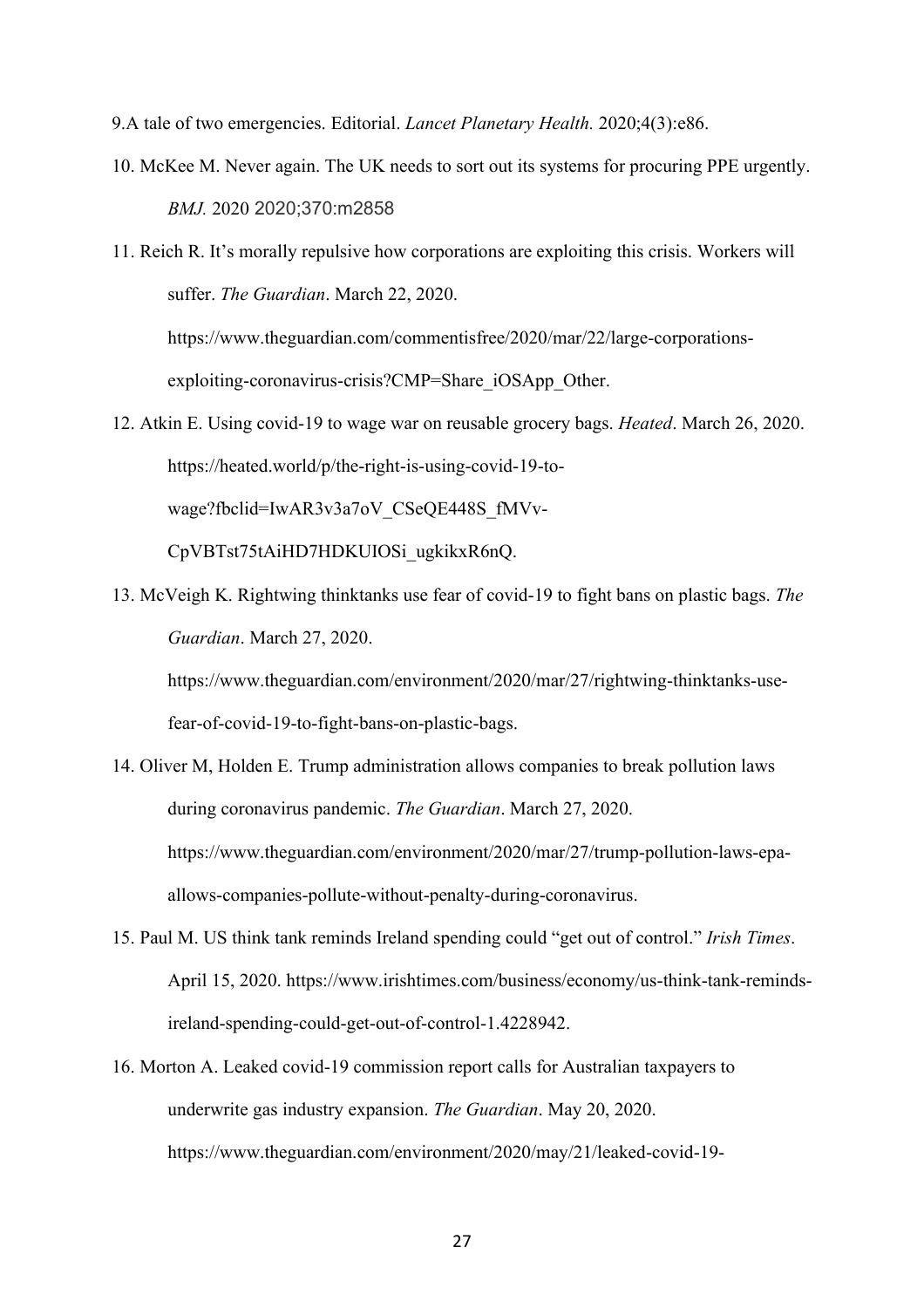9.A tale of two emergencies. Editorial. *Lancet Planetary Health.* 2020;4(3):e86.

exploiting-coronavirus-crisis?CMP=Share\_iOSApp\_Other.

10. McKee M. Never again. The UK needs to sort out its systems for procuring PPE urgently. *BMJ.* 2020 2020;370:m2858

11. Reich R. It's morally repulsive how corporations are exploiting this crisis. Workers will suffer. *The Guardian*. March 22, 2020. https://www.theguardian.com/commentisfree/2020/mar/22/large-corporations-

- 12. Atkin E. Using covid-19 to wage war on reusable grocery bags. *Heated*. March 26, 2020. https://heated.world/p/the-right-is-using-covid-19-towage?fbclid=IwAR3v3a7oV\_CSeQE448S\_fMVv-CpVBTst75tAiHD7HDKUIOSi\_ugkikxR6nQ.
- 13. McVeigh K. Rightwing thinktanks use fear of covid-19 to fight bans on plastic bags. *The Guardian*. March 27, 2020.

https://www.theguardian.com/environment/2020/mar/27/rightwing-thinktanks-usefear-of-covid-19-to-fight-bans-on-plastic-bags.

- 14. Oliver M, Holden E. Trump administration allows companies to break pollution laws during coronavirus pandemic. *The Guardian*. March 27, 2020. https://www.theguardian.com/environment/2020/mar/27/trump-pollution-laws-epaallows-companies-pollute-without-penalty-during-coronavirus.
- 15. Paul M. US think tank reminds Ireland spending could "get out of control." *Irish Times*. April 15, 2020. https://www.irishtimes.com/business/economy/us-think-tank-remindsireland-spending-could-get-out-of-control-1.4228942.
- 16. Morton A. Leaked covid-19 commission report calls for Australian taxpayers to underwrite gas industry expansion. *The Guardian*. May 20, 2020. https://www.theguardian.com/environment/2020/may/21/leaked-covid-19-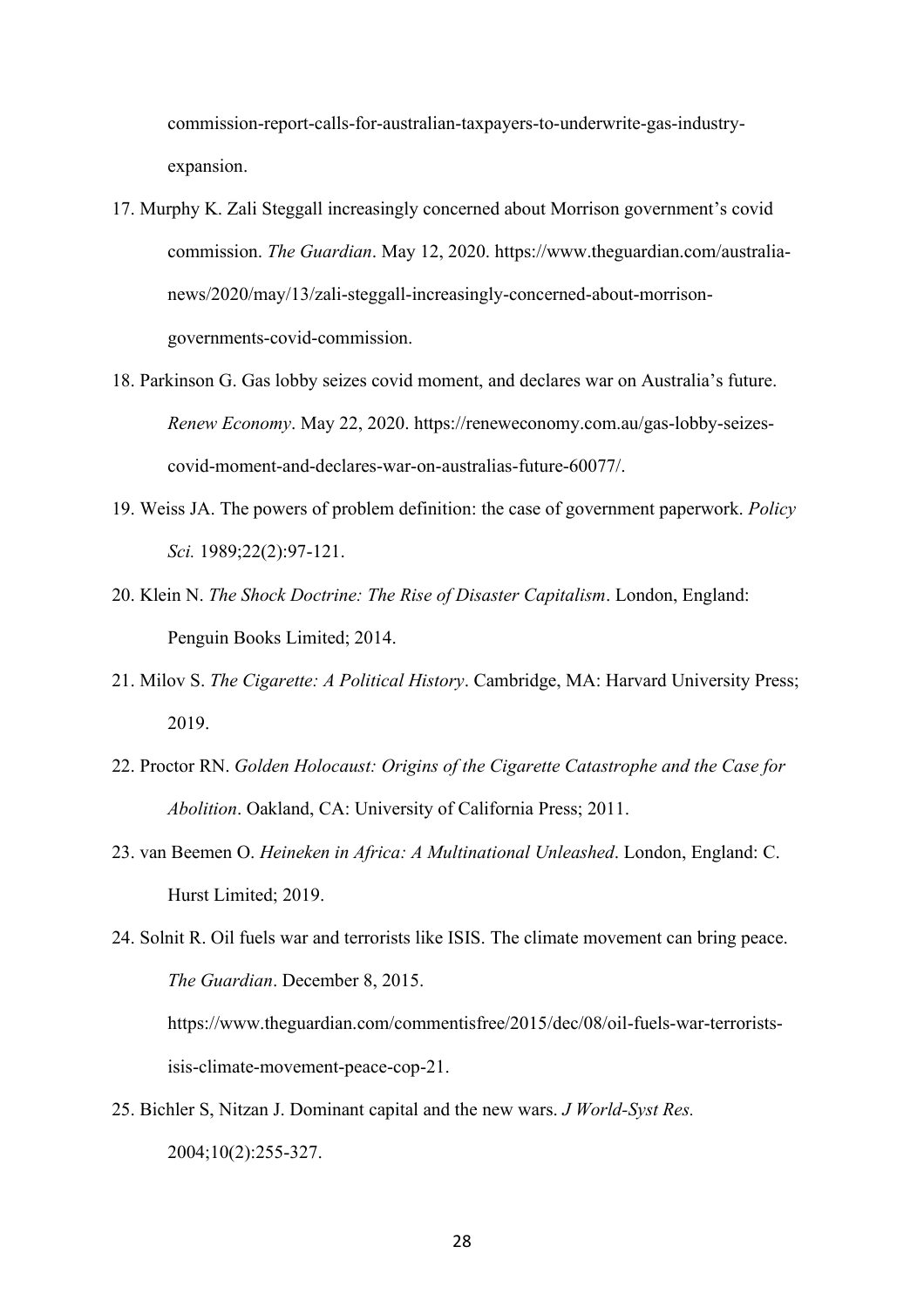commission-report-calls-for-australian-taxpayers-to-underwrite-gas-industryexpansion.

- 17. Murphy K. Zali Steggall increasingly concerned about Morrison government's covid commission. *The Guardian*. May 12, 2020. https://www.theguardian.com/australianews/2020/may/13/zali-steggall-increasingly-concerned-about-morrisongovernments-covid-commission.
- 18. Parkinson G. Gas lobby seizes covid moment, and declares war on Australia's future. *Renew Economy*. May 22, 2020. https://reneweconomy.com.au/gas-lobby-seizescovid-moment-and-declares-war-on-australias-future-60077/.
- 19. Weiss JA. The powers of problem definition: the case of government paperwork. *Policy Sci.* 1989;22(2):97-121.
- 20. Klein N. *The Shock Doctrine: The Rise of Disaster Capitalism*. London, England: Penguin Books Limited; 2014.
- 21. Milov S. *The Cigarette: A Political History*. Cambridge, MA: Harvard University Press; 2019.
- 22. Proctor RN. *Golden Holocaust: Origins of the Cigarette Catastrophe and the Case for Abolition*. Oakland, CA: University of California Press; 2011.
- 23. van Beemen O. *Heineken in Africa: A Multinational Unleashed*. London, England: C. Hurst Limited; 2019.
- 24. Solnit R. Oil fuels war and terrorists like ISIS. The climate movement can bring peace. *The Guardian*. December 8, 2015. https://www.theguardian.com/commentisfree/2015/dec/08/oil-fuels-war-terroristsisis-climate-movement-peace-cop-21.
- 25. Bichler S, Nitzan J. Dominant capital and the new wars. *J World-Syst Res.* 2004;10(2):255-327.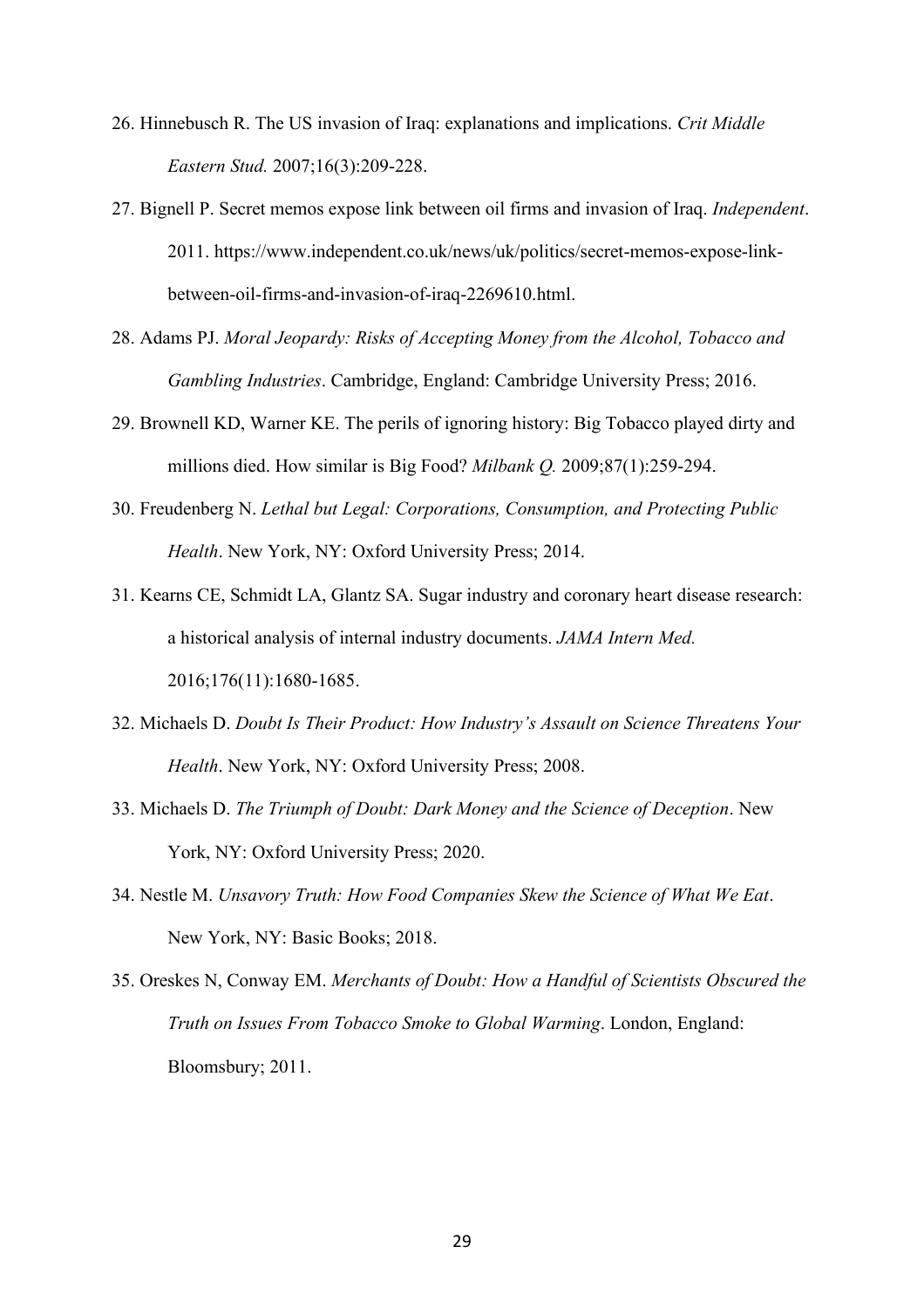- 26. Hinnebusch R. The US invasion of Iraq: explanations and implications. *Crit Middle Eastern Stud.* 2007;16(3):209-228.
- 27. Bignell P. Secret memos expose link between oil firms and invasion of Iraq. *Independent*. 2011. https://www.independent.co.uk/news/uk/politics/secret-memos-expose-linkbetween-oil-firms-and-invasion-of-iraq-2269610.html.
- 28. Adams PJ. *Moral Jeopardy: Risks of Accepting Money from the Alcohol, Tobacco and Gambling Industries*. Cambridge, England: Cambridge University Press; 2016.
- 29. Brownell KD, Warner KE. The perils of ignoring history: Big Tobacco played dirty and millions died. How similar is Big Food? *Milbank Q.* 2009;87(1):259-294.
- 30. Freudenberg N. *Lethal but Legal: Corporations, Consumption, and Protecting Public Health*. New York, NY: Oxford University Press; 2014.
- 31. Kearns CE, Schmidt LA, Glantz SA. Sugar industry and coronary heart disease research: a historical analysis of internal industry documents. *JAMA Intern Med.* 2016;176(11):1680-1685.
- 32. Michaels D. *Doubt Is Their Product: How Industry's Assault on Science Threatens Your Health*. New York, NY: Oxford University Press; 2008.
- 33. Michaels D. *The Triumph of Doubt: Dark Money and the Science of Deception*. New York, NY: Oxford University Press; 2020.
- 34. Nestle M. *Unsavory Truth: How Food Companies Skew the Science of What We Eat*. New York, NY: Basic Books; 2018.
- 35. Oreskes N, Conway EM. *Merchants of Doubt: How a Handful of Scientists Obscured the Truth on Issues From Tobacco Smoke to Global Warming*. London, England: Bloomsbury; 2011.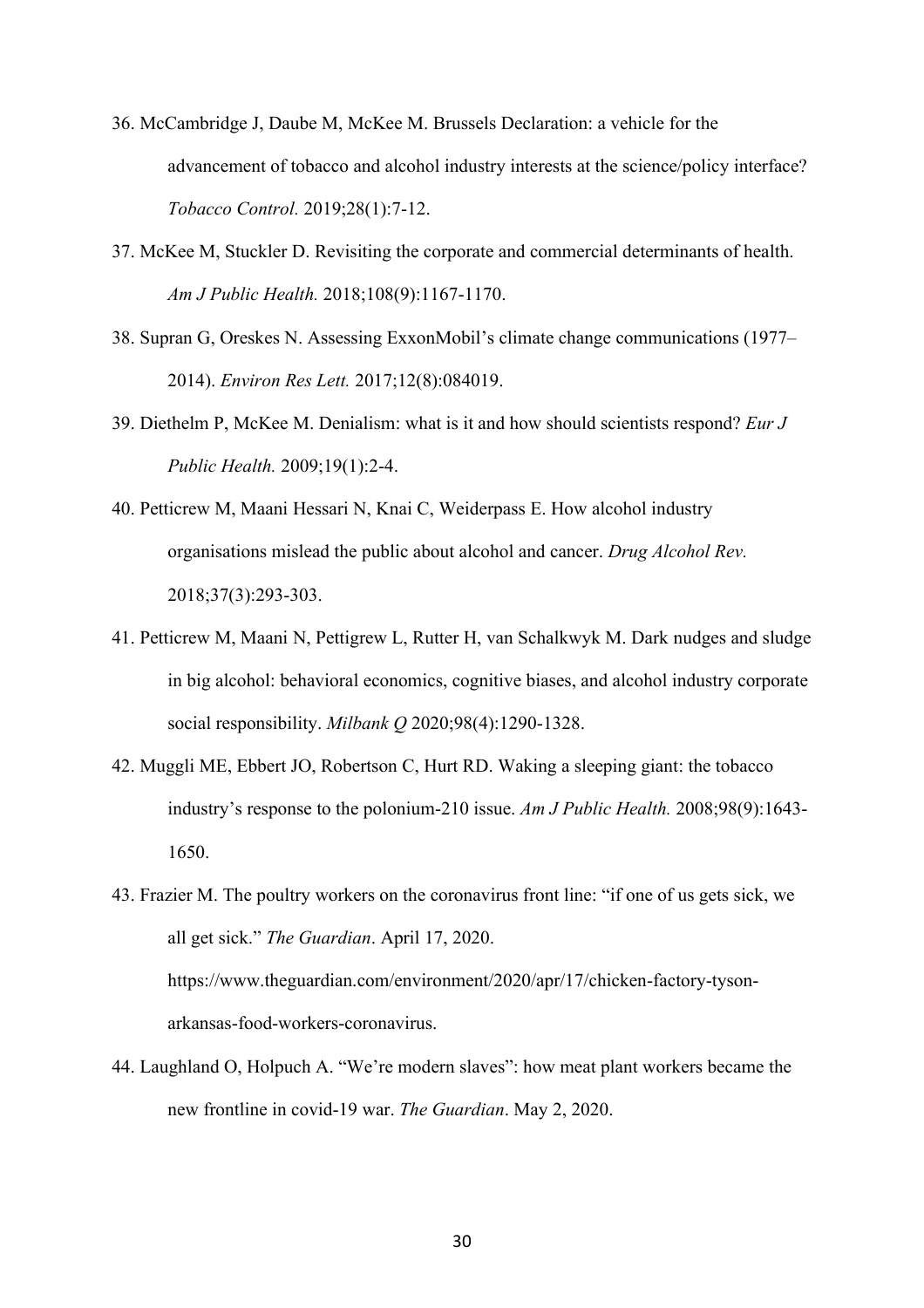- 36. McCambridge J, Daube M, McKee M. Brussels Declaration: a vehicle for the advancement of tobacco and alcohol industry interests at the science/policy interface? *Tobacco Control.* 2019;28(1):7-12.
- 37. McKee M, Stuckler D. Revisiting the corporate and commercial determinants of health. *Am J Public Health.* 2018;108(9):1167-1170.
- 38. Supran G, Oreskes N. Assessing ExxonMobil's climate change communications (1977– 2014). *Environ Res Lett.* 2017;12(8):084019.
- 39. Diethelm P, McKee M. Denialism: what is it and how should scientists respond? *Eur J Public Health.* 2009;19(1):2-4.
- 40. Petticrew M, Maani Hessari N, Knai C, Weiderpass E. How alcohol industry organisations mislead the public about alcohol and cancer. *Drug Alcohol Rev.* 2018;37(3):293-303.
- 41. Petticrew M, Maani N, Pettigrew L, Rutter H, van Schalkwyk M. Dark nudges and sludge in big alcohol: behavioral economics, cognitive biases, and alcohol industry corporate social responsibility. *Milbank Q* 2020;98(4):1290-1328.
- 42. Muggli ME, Ebbert JO, Robertson C, Hurt RD. Waking a sleeping giant: the tobacco industry's response to the polonium-210 issue. *Am J Public Health.* 2008;98(9):1643- 1650.
- 43. Frazier M. The poultry workers on the coronavirus front line: "if one of us gets sick, we all get sick." *The Guardian*. April 17, 2020. https://www.theguardian.com/environment/2020/apr/17/chicken-factory-tysonarkansas-food-workers-coronavirus.
- 44. Laughland O, Holpuch A. "We're modern slaves": how meat plant workers became the new frontline in covid-19 war. *The Guardian*. May 2, 2020.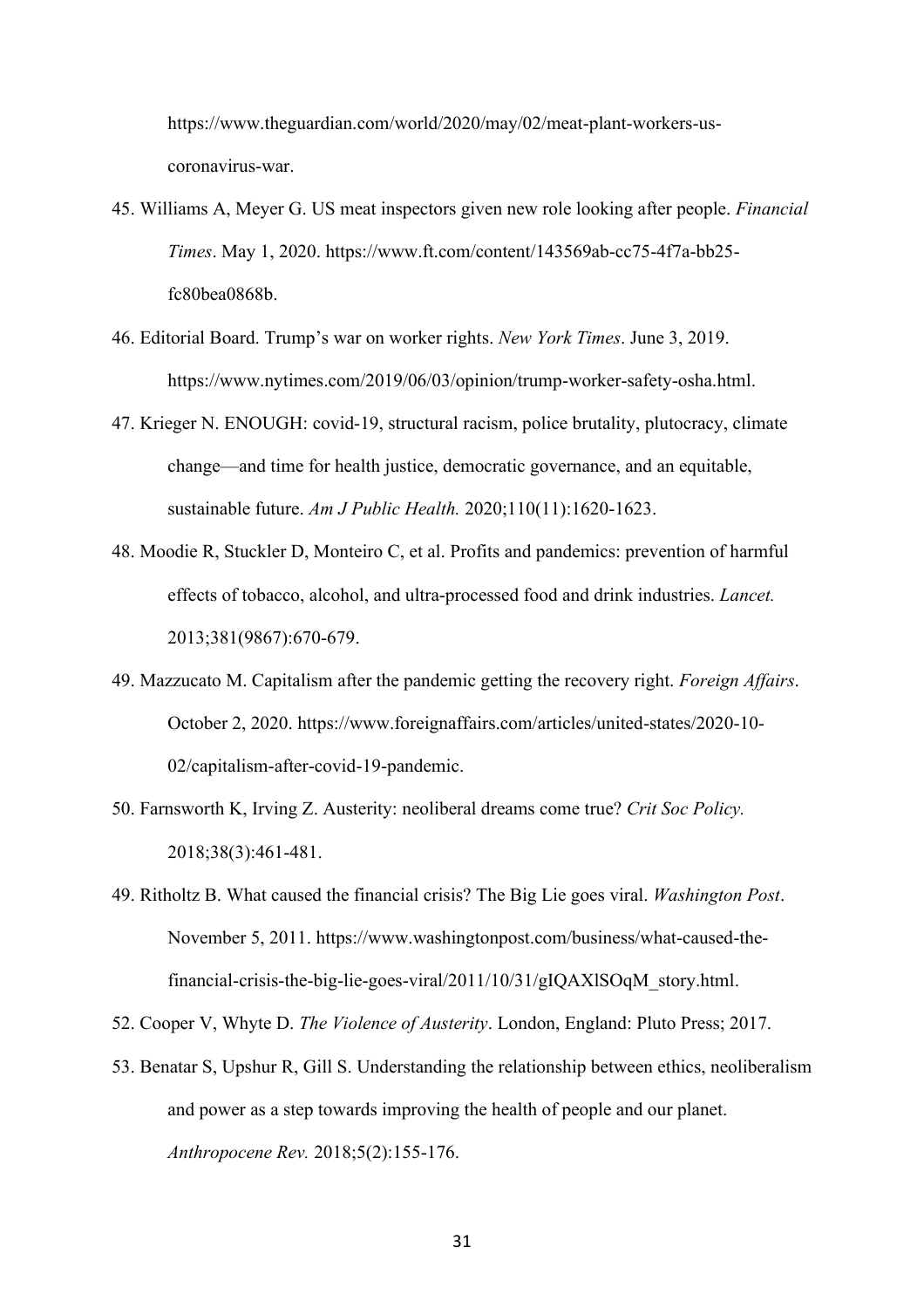https://www.theguardian.com/world/2020/may/02/meat-plant-workers-uscoronavirus-war.

- 45. Williams A, Meyer G. US meat inspectors given new role looking after people. *Financial Times*. May 1, 2020. https://www.ft.com/content/143569ab-cc75-4f7a-bb25 fc80bea0868b.
- 46. Editorial Board. Trump's war on worker rights. *New York Times*. June 3, 2019. https://www.nytimes.com/2019/06/03/opinion/trump-worker-safety-osha.html.
- 47. Krieger N. ENOUGH: covid-19, structural racism, police brutality, plutocracy, climate change—and time for health justice, democratic governance, and an equitable, sustainable future. *Am J Public Health.* 2020;110(11):1620-1623.
- 48. Moodie R, Stuckler D, Monteiro C, et al. Profits and pandemics: prevention of harmful effects of tobacco, alcohol, and ultra-processed food and drink industries. *Lancet.* 2013;381(9867):670-679.
- 49. Mazzucato M. Capitalism after the pandemic getting the recovery right. *Foreign Affairs*. October 2, 2020. https://www.foreignaffairs.com/articles/united-states/2020-10- 02/capitalism-after-covid-19-pandemic.
- 50. Farnsworth K, Irving Z. Austerity: neoliberal dreams come true? *Crit Soc Policy.* 2018;38(3):461-481.
- 49. Ritholtz B. What caused the financial crisis? The Big Lie goes viral. *Washington Post*. November 5, 2011. https://www.washingtonpost.com/business/what-caused-thefinancial-crisis-the-big-lie-goes-viral/2011/10/31/gIQAXlSOqM\_story.html.
- 52. Cooper V, Whyte D. *The Violence of Austerity*. London, England: Pluto Press; 2017.
- 53. Benatar S, Upshur R, Gill S. Understanding the relationship between ethics, neoliberalism and power as a step towards improving the health of people and our planet. *Anthropocene Rev.* 2018;5(2):155-176.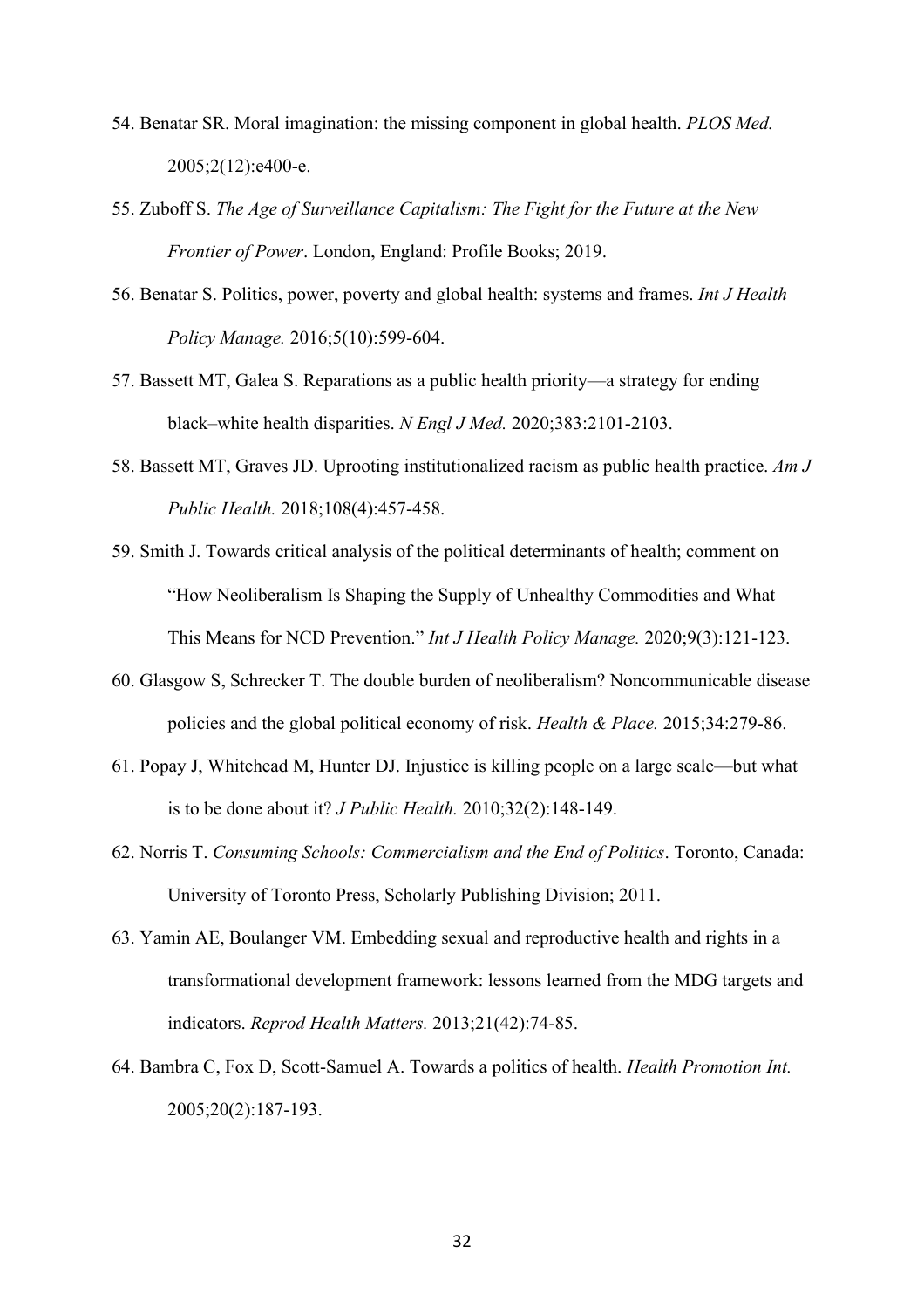- 54. Benatar SR. Moral imagination: the missing component in global health. *PLOS Med.* 2005;2(12):e400-e.
- 55. Zuboff S. *The Age of Surveillance Capitalism: The Fight for the Future at the New Frontier of Power*. London, England: Profile Books; 2019.
- 56. Benatar S. Politics, power, poverty and global health: systems and frames. *Int J Health Policy Manage.* 2016;5(10):599-604.
- 57. Bassett MT, Galea S. Reparations as a public health priority—a strategy for ending black–white health disparities. *N Engl J Med.* 2020;383:2101-2103.
- 58. Bassett MT, Graves JD. Uprooting institutionalized racism as public health practice. *Am J Public Health.* 2018;108(4):457-458.
- 59. Smith J. Towards critical analysis of the political determinants of health; comment on "How Neoliberalism Is Shaping the Supply of Unhealthy Commodities and What This Means for NCD Prevention." *Int J Health Policy Manage.* 2020;9(3):121-123.
- 60. Glasgow S, Schrecker T. The double burden of neoliberalism? Noncommunicable disease policies and the global political economy of risk. *Health & Place.* 2015;34:279-86.
- 61. Popay J, Whitehead M, Hunter DJ. Injustice is killing people on a large scale—but what is to be done about it? *J Public Health.* 2010;32(2):148-149.
- 62. Norris T. *Consuming Schools: Commercialism and the End of Politics*. Toronto, Canada: University of Toronto Press, Scholarly Publishing Division; 2011.
- 63. Yamin AE, Boulanger VM. Embedding sexual and reproductive health and rights in a transformational development framework: lessons learned from the MDG targets and indicators. *Reprod Health Matters.* 2013;21(42):74-85.
- 64. Bambra C, Fox D, Scott-Samuel A. Towards a politics of health. *Health Promotion Int.* 2005;20(2):187-193.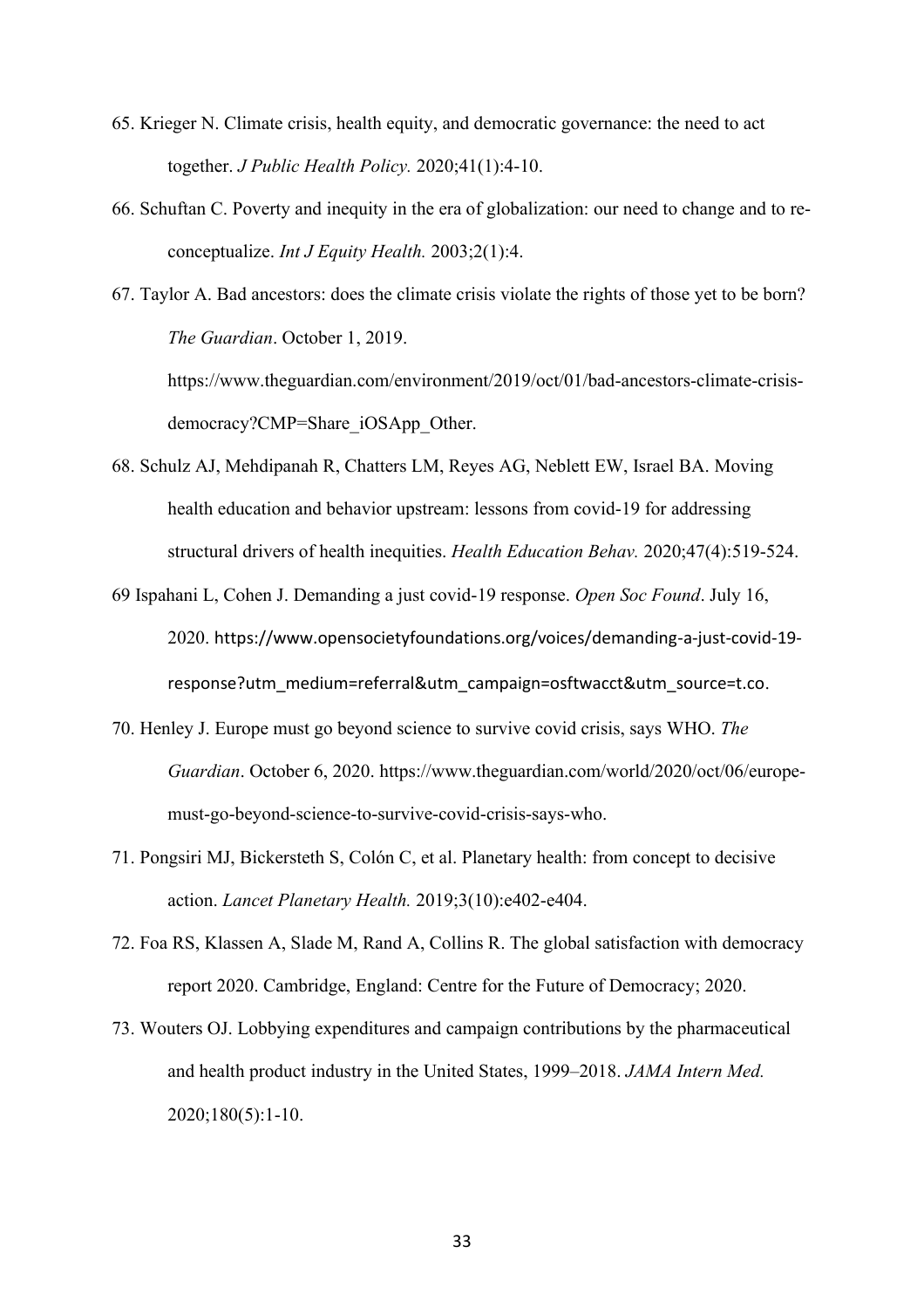- 65. Krieger N. Climate crisis, health equity, and democratic governance: the need to act together. *J Public Health Policy.* 2020;41(1):4-10.
- 66. Schuftan C. Poverty and inequity in the era of globalization: our need to change and to reconceptualize. *Int J Equity Health.* 2003;2(1):4.
- 67. Taylor A. Bad ancestors: does the climate crisis violate the rights of those yet to be born? *The Guardian*. October 1, 2019.

https://www.theguardian.com/environment/2019/oct/01/bad-ancestors-climate-crisisdemocracy?CMP=Share\_iOSApp\_Other.

- 68. Schulz AJ, Mehdipanah R, Chatters LM, Reyes AG, Neblett EW, Israel BA. Moving health education and behavior upstream: lessons from covid-19 for addressing structural drivers of health inequities. *Health Education Behav.* 2020;47(4):519-524.
- 69 Ispahani L, Cohen J. Demanding a just covid-19 response. *Open Soc Found*. July 16, 2020. https://www.opensocietyfoundations.org/voices/demanding-a-just-covid-19 response?utm\_medium=referral&utm\_campaign=osftwacct&utm\_source=t.co.
- 70. Henley J. Europe must go beyond science to survive covid crisis, says WHO. *The Guardian*. October 6, 2020. https://www.theguardian.com/world/2020/oct/06/europemust-go-beyond-science-to-survive-covid-crisis-says-who.
- 71. Pongsiri MJ, Bickersteth S, Colón C, et al. Planetary health: from concept to decisive action. *Lancet Planetary Health.* 2019;3(10):e402-e404.
- 72. Foa RS, Klassen A, Slade M, Rand A, Collins R. The global satisfaction with democracy report 2020. Cambridge, England: Centre for the Future of Democracy; 2020.
- 73. Wouters OJ. Lobbying expenditures and campaign contributions by the pharmaceutical and health product industry in the United States, 1999–2018. *JAMA Intern Med.* 2020;180(5):1-10.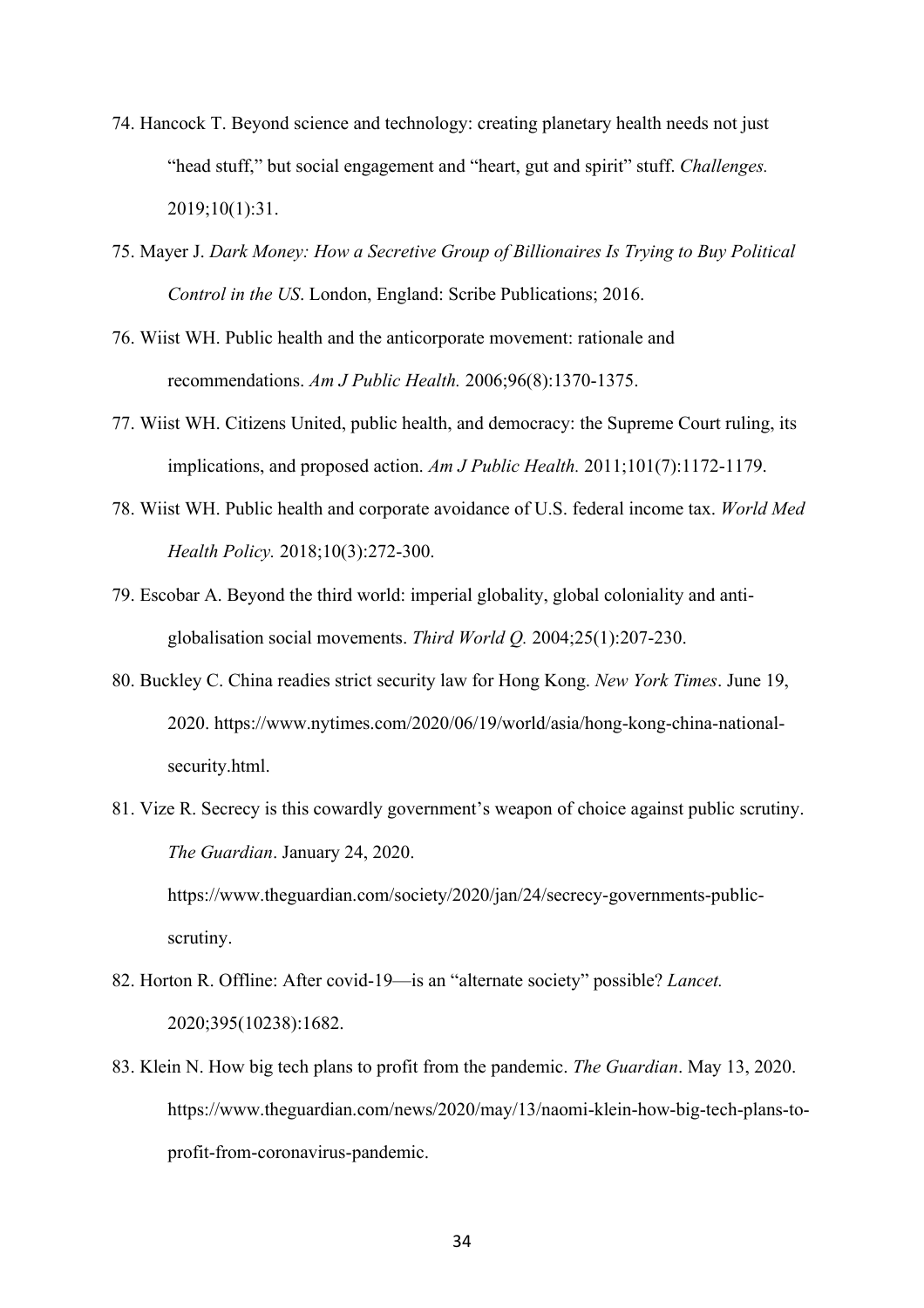- 74. Hancock T. Beyond science and technology: creating planetary health needs not just "head stuff," but social engagement and "heart, gut and spirit" stuff. *Challenges.* 2019;10(1):31.
- 75. Mayer J. *Dark Money: How a Secretive Group of Billionaires Is Trying to Buy Political Control in the US*. London, England: Scribe Publications; 2016.
- 76. Wiist WH. Public health and the anticorporate movement: rationale and recommendations. *Am J Public Health.* 2006;96(8):1370-1375.
- 77. Wiist WH. Citizens United, public health, and democracy: the Supreme Court ruling, its implications, and proposed action. *Am J Public Health.* 2011;101(7):1172-1179.
- 78. Wiist WH. Public health and corporate avoidance of U.S. federal income tax. *World Med Health Policy.* 2018;10(3):272-300.
- 79. Escobar A. Beyond the third world: imperial globality, global coloniality and antiglobalisation social movements. *Third World Q.* 2004;25(1):207-230.
- 80. Buckley C. China readies strict security law for Hong Kong. *New York Times*. June 19, 2020. https://www.nytimes.com/2020/06/19/world/asia/hong-kong-china-nationalsecurity.html.
- 81. Vize R. Secrecy is this cowardly government's weapon of choice against public scrutiny. *The Guardian*. January 24, 2020. https://www.theguardian.com/society/2020/jan/24/secrecy-governments-publicscrutiny.
- 82. Horton R. Offline: After covid-19—is an "alternate society" possible? *Lancet.* 2020;395(10238):1682.
- 83. Klein N. How big tech plans to profit from the pandemic. *The Guardian*. May 13, 2020. https://www.theguardian.com/news/2020/may/13/naomi-klein-how-big-tech-plans-toprofit-from-coronavirus-pandemic.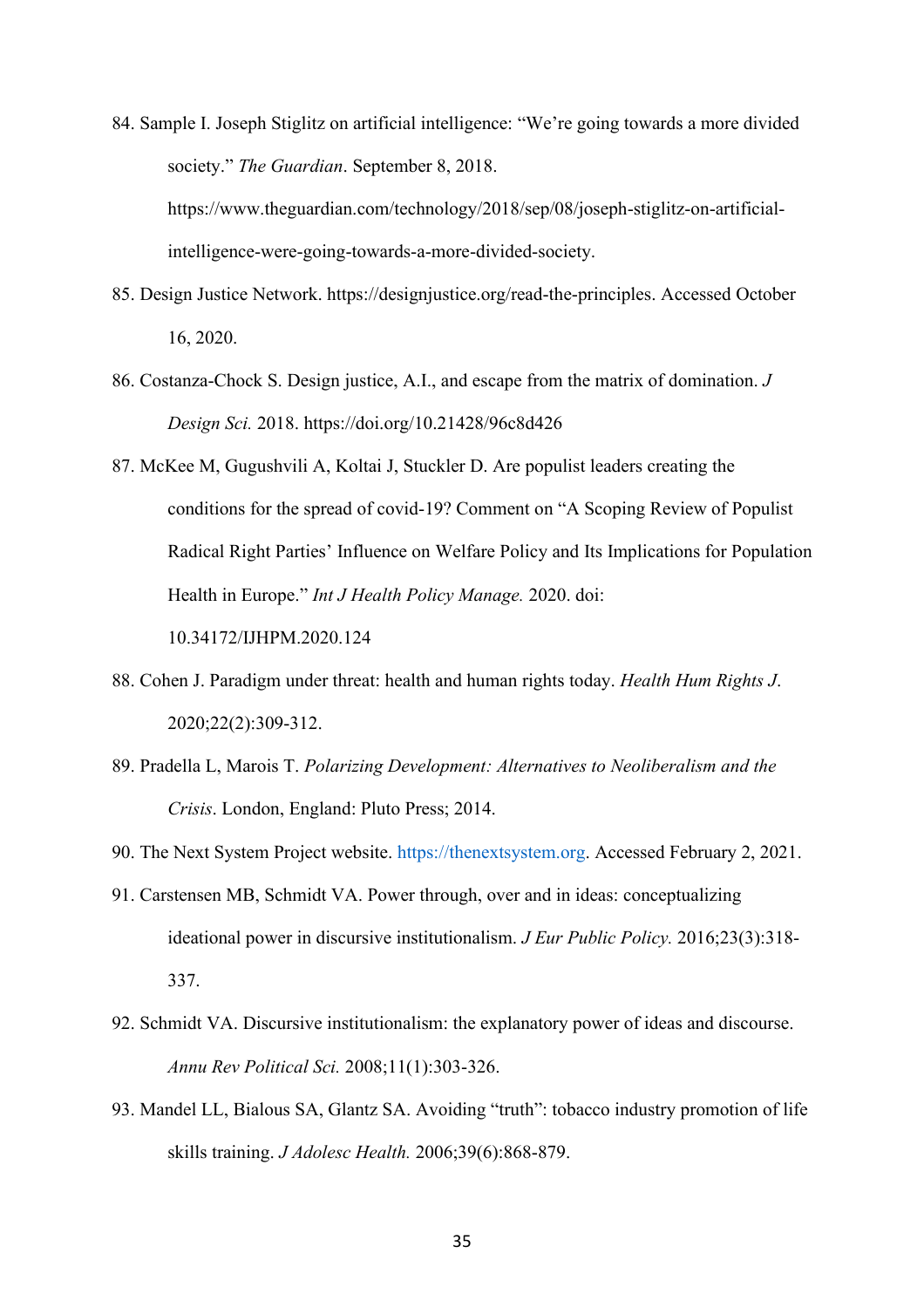84. Sample I. Joseph Stiglitz on artificial intelligence: "We're going towards a more divided society." *The Guardian*. September 8, 2018. https://www.theguardian.com/technology/2018/sep/08/joseph-stiglitz-on-artificial-

intelligence-were-going-towards-a-more-divided-society.

- 85. Design Justice Network. https://designjustice.org/read-the-principles. Accessed October 16, 2020.
- 86. Costanza-Chock S. Design justice, A.I., and escape from the matrix of domination. *J Design Sci.* 2018. https://doi.org/10.21428/96c8d426
- 87. McKee M, Gugushvili A, Koltai J, Stuckler D. Are populist leaders creating the conditions for the spread of covid-19? Comment on "A Scoping Review of Populist Radical Right Parties' Influence on Welfare Policy and Its Implications for Population Health in Europe." *Int J Health Policy Manage.* 2020. doi:

10.34172/IJHPM.2020.124

- 88. Cohen J. Paradigm under threat: health and human rights today. *Health Hum Rights J*. 2020;22(2):309-312.
- 89. Pradella L, Marois T. *Polarizing Development: Alternatives to Neoliberalism and the Crisis*. London, England: Pluto Press; 2014.
- 90. The Next System Project website. [https://thenextsystem.org.](https://thenextsystem.org/) Accessed February 2, 2021.
- 91. Carstensen MB, Schmidt VA. Power through, over and in ideas: conceptualizing ideational power in discursive institutionalism. *J Eur Public Policy.* 2016;23(3):318- 337.
- 92. Schmidt VA. Discursive institutionalism: the explanatory power of ideas and discourse. *Annu Rev Political Sci.* 2008;11(1):303-326.
- 93. Mandel LL, Bialous SA, Glantz SA. Avoiding "truth": tobacco industry promotion of life skills training. *J Adolesc Health.* 2006;39(6):868-879.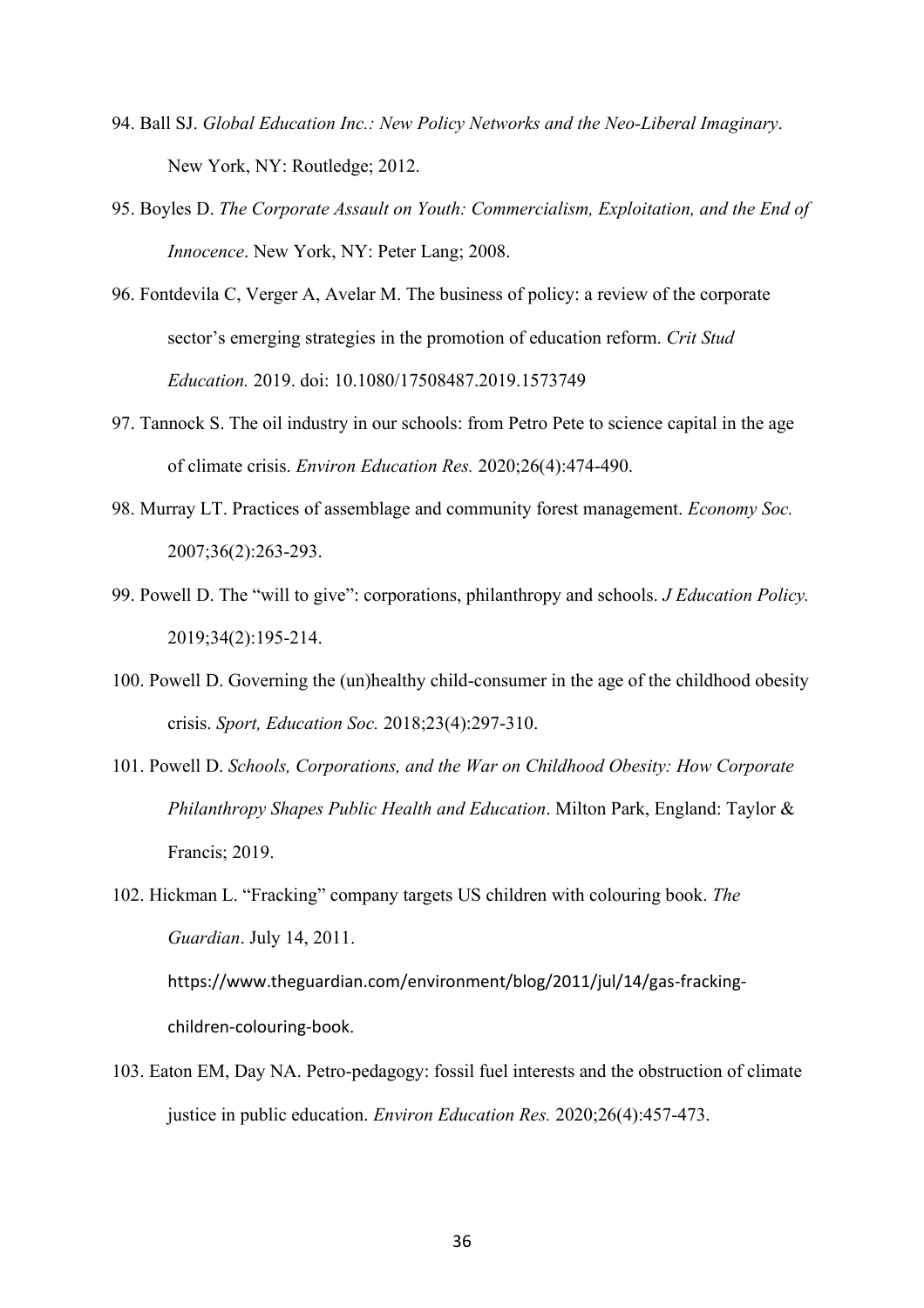- 94. Ball SJ. *Global Education Inc.: New Policy Networks and the Neo-Liberal Imaginary*. New York, NY: Routledge; 2012.
- 95. Boyles D. *The Corporate Assault on Youth: Commercialism, Exploitation, and the End of Innocence*. New York, NY: Peter Lang; 2008.
- 96. Fontdevila C, Verger A, Avelar M. The business of policy: a review of the corporate sector's emerging strategies in the promotion of education reform. *Crit Stud Education.* 2019. doi: 10.1080/17508487.2019.1573749
- 97. Tannock S. The oil industry in our schools: from Petro Pete to science capital in the age of climate crisis. *Environ Education Res.* 2020;26(4):474-490.
- 98. Murray LT. Practices of assemblage and community forest management. *Economy Soc.* 2007;36(2):263-293.
- 99. Powell D. The "will to give": corporations, philanthropy and schools. *J Education Policy.* 2019;34(2):195-214.
- 100. Powell D. Governing the (un)healthy child-consumer in the age of the childhood obesity crisis. *Sport, Education Soc.* 2018;23(4):297-310.
- 101. Powell D. *Schools, Corporations, and the War on Childhood Obesity: How Corporate Philanthropy Shapes Public Health and Education*. Milton Park, England: Taylor & Francis; 2019.
- 102. Hickman L. "Fracking" company targets US children with colouring book. *The Guardian*. July 14, 2011. https://www.theguardian.com/environment/blog/2011/jul/14/gas-frackingchildren-colouring-book.
- 103. Eaton EM, Day NA. Petro-pedagogy: fossil fuel interests and the obstruction of climate justice in public education. *Environ Education Res.* 2020;26(4):457-473.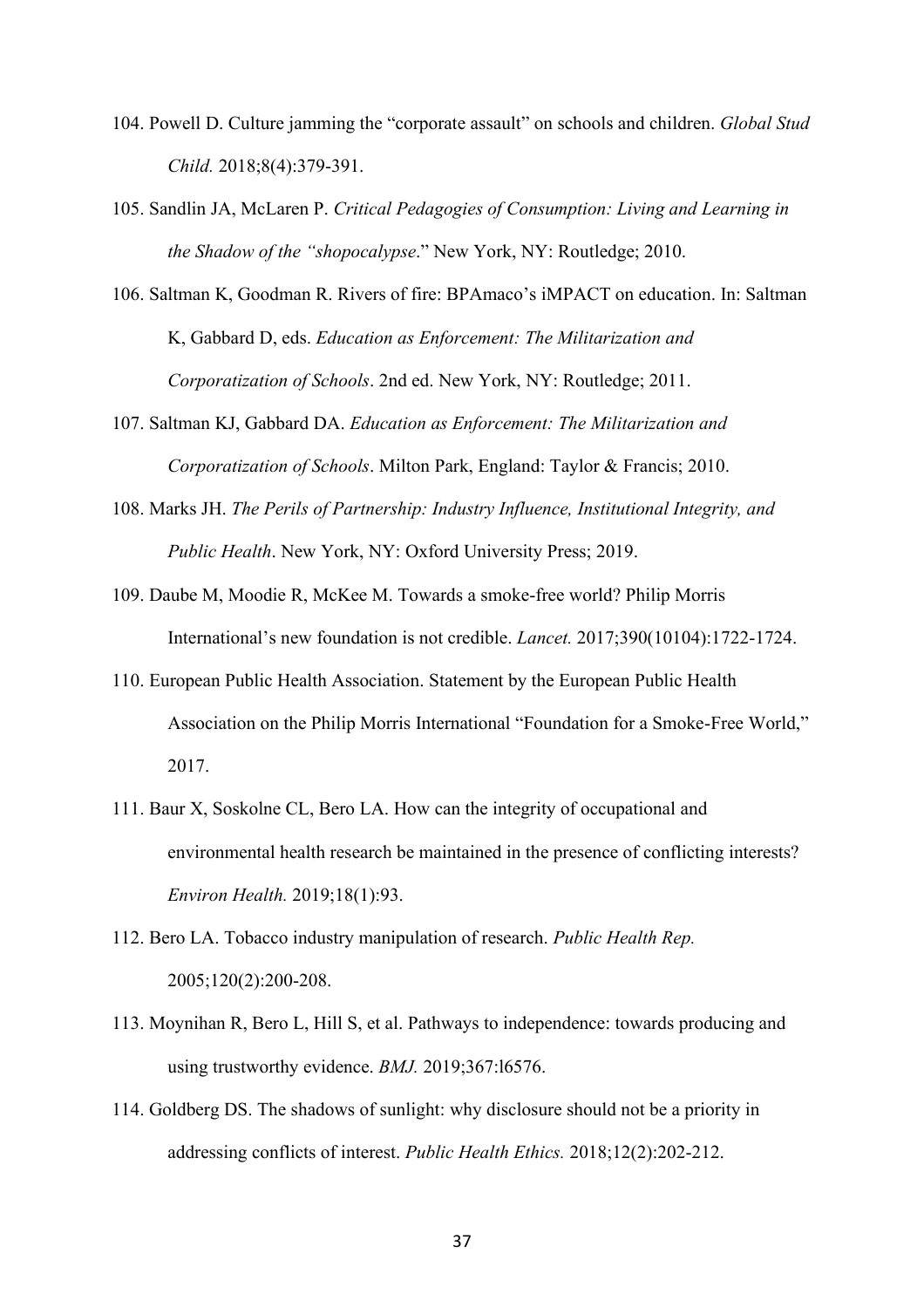- 104. Powell D. Culture jamming the "corporate assault" on schools and children. *Global Stud Child.* 2018;8(4):379-391.
- 105. Sandlin JA, McLaren P. *Critical Pedagogies of Consumption: Living and Learning in the Shadow of the "shopocalypse*." New York, NY: Routledge; 2010.
- 106. Saltman K, Goodman R. Rivers of fire: BPAmaco's iMPACT on education. In: Saltman K, Gabbard D, eds. *Education as Enforcement: The Militarization and Corporatization of Schools*. 2nd ed. New York, NY: Routledge; 2011.
- 107. Saltman KJ, Gabbard DA. *Education as Enforcement: The Militarization and Corporatization of Schools*. Milton Park, England: Taylor & Francis; 2010.
- 108. Marks JH. *The Perils of Partnership: Industry Influence, Institutional Integrity, and Public Health*. New York, NY: Oxford University Press; 2019.
- 109. Daube M, Moodie R, McKee M. Towards a smoke-free world? Philip Morris International's new foundation is not credible. *Lancet.* 2017;390(10104):1722-1724.
- 110. European Public Health Association. Statement by the European Public Health Association on the Philip Morris International "Foundation for a Smoke-Free World," 2017.
- 111. Baur X, Soskolne CL, Bero LA. How can the integrity of occupational and environmental health research be maintained in the presence of conflicting interests? *Environ Health.* 2019;18(1):93.
- 112. Bero LA. Tobacco industry manipulation of research. *Public Health Rep.* 2005;120(2):200-208.
- 113. Moynihan R, Bero L, Hill S, et al. Pathways to independence: towards producing and using trustworthy evidence. *BMJ.* 2019;367:l6576.
- 114. Goldberg DS. The shadows of sunlight: why disclosure should not be a priority in addressing conflicts of interest. *Public Health Ethics.* 2018;12(2):202-212.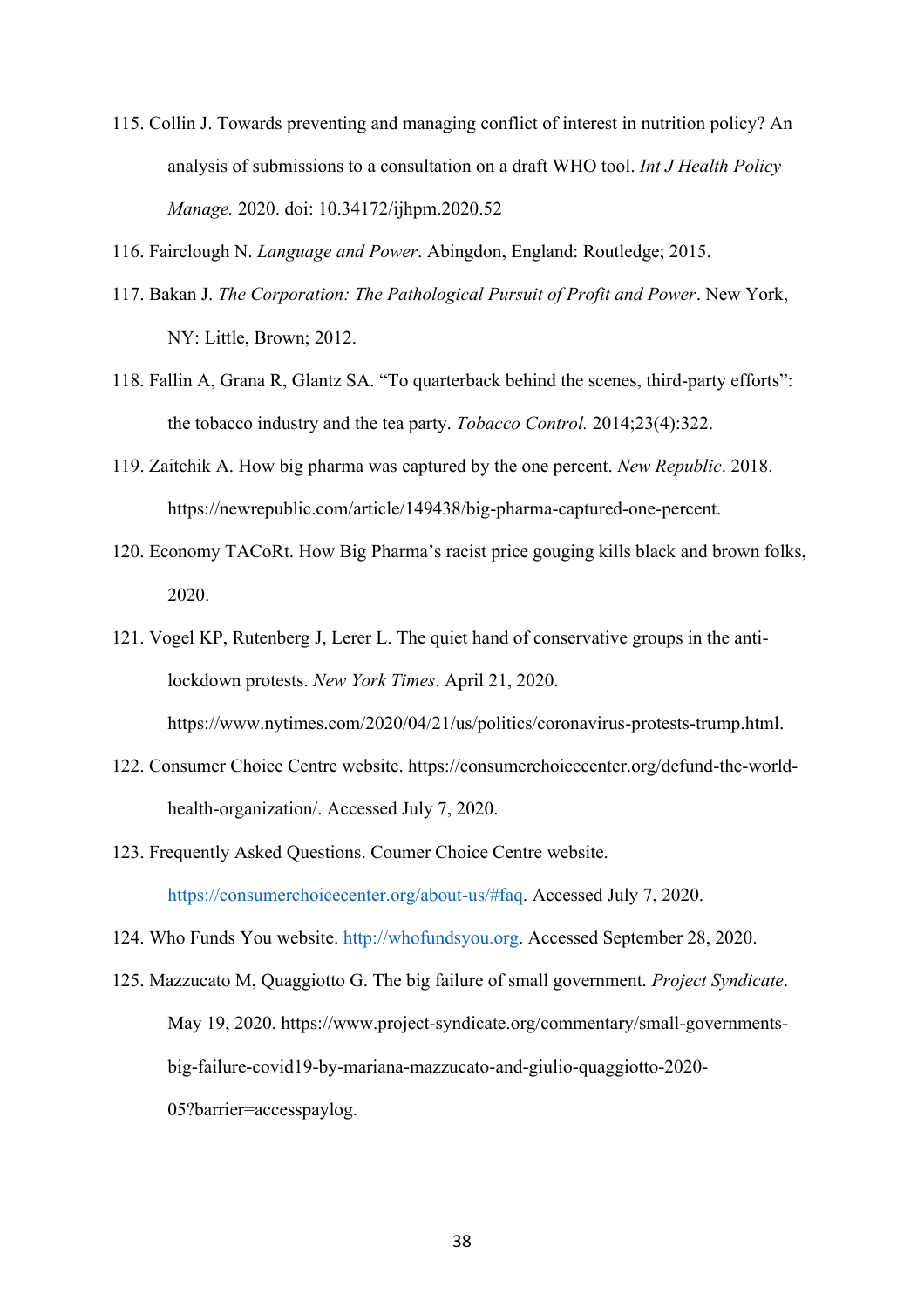- 115. Collin J. Towards preventing and managing conflict of interest in nutrition policy? An analysis of submissions to a consultation on a draft WHO tool. *Int J Health Policy Manage.* 2020. doi: 10.34172/ijhpm.2020.52
- 116. Fairclough N. *Language and Power*. Abingdon, England: Routledge; 2015.
- 117. Bakan J. *The Corporation: The Pathological Pursuit of Profit and Power*. New York, NY: Little, Brown; 2012.
- 118. Fallin A, Grana R, Glantz SA. "To quarterback behind the scenes, third-party efforts": the tobacco industry and the tea party. *Tobacco Control.* 2014;23(4):322.
- 119. Zaitchik A. How big pharma was captured by the one percent. *New Republic*. 2018. https://newrepublic.com/article/149438/big-pharma-captured-one-percent.
- 120. Economy TACoRt. How Big Pharma's racist price gouging kills black and brown folks, 2020.
- 121. Vogel KP, Rutenberg J, Lerer L. The quiet hand of conservative groups in the antilockdown protests. *New York Times*. April 21, 2020. https://www.nytimes.com/2020/04/21/us/politics/coronavirus-protests-trump.html.
- 122. Consumer Choice Centre website. https://consumerchoicecenter.org/defund-the-worldhealth-organization/. Accessed July 7, 2020.
- 123. Frequently Asked Questions. Coumer Choice Centre website. [https://consumerchoicecenter.org/about-us/#faq.](https://consumerchoicecenter.org/about-us/#faq) Accessed July 7, 2020.
- 124. Who Funds You website. [http://whofundsyou.org.](http://whofundsyou.org/) Accessed September 28, 2020.
- 125. Mazzucato M, Quaggiotto G. The big failure of small government. *Project Syndicate*. May 19, 2020. https://www.project-syndicate.org/commentary/small-governmentsbig-failure-covid19-by-mariana-mazzucato-and-giulio-quaggiotto-2020- 05?barrier=accesspaylog.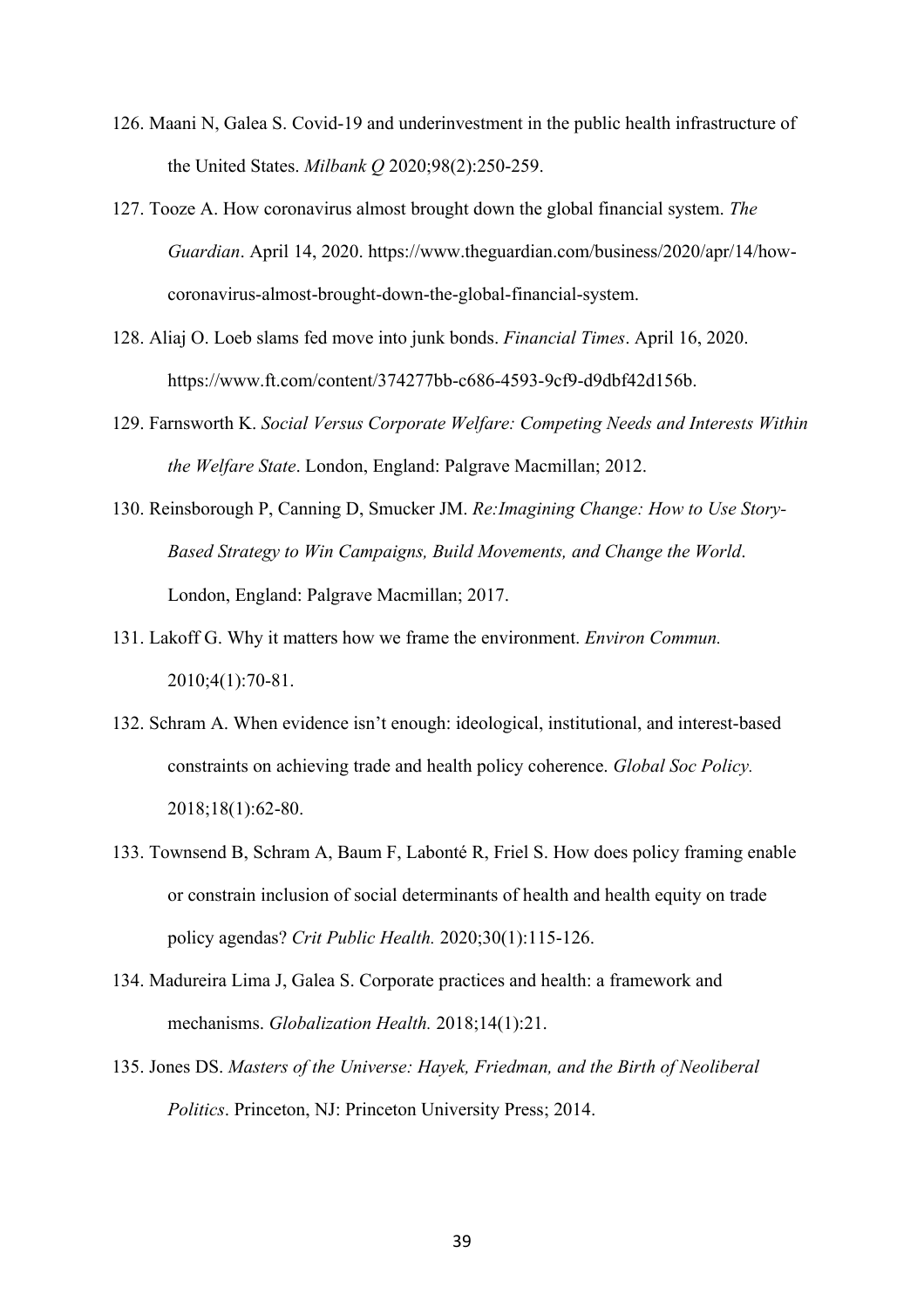- 126. Maani N, Galea S. Covid-19 and underinvestment in the public health infrastructure of the United States. *Milbank Q* 2020;98(2):250-259.
- 127. Tooze A. How coronavirus almost brought down the global financial system. *The Guardian*. April 14, 2020. https://www.theguardian.com/business/2020/apr/14/howcoronavirus-almost-brought-down-the-global-financial-system.
- 128. Aliaj O. Loeb slams fed move into junk bonds. *Financial Times*. April 16, 2020. https://www.ft.com/content/374277bb-c686-4593-9cf9-d9dbf42d156b.
- 129. Farnsworth K. *Social Versus Corporate Welfare: Competing Needs and Interests Within the Welfare State*. London, England: Palgrave Macmillan; 2012.
- 130. Reinsborough P, Canning D, Smucker JM. *Re:Imagining Change: How to Use Story-Based Strategy to Win Campaigns, Build Movements, and Change the World*. London, England: Palgrave Macmillan; 2017.
- 131. Lakoff G. Why it matters how we frame the environment. *Environ Commun.* 2010;4(1):70-81.
- 132. Schram A. When evidence isn't enough: ideological, institutional, and interest-based constraints on achieving trade and health policy coherence. *Global Soc Policy.* 2018;18(1):62-80.
- 133. Townsend B, Schram A, Baum F, Labonté R, Friel S. How does policy framing enable or constrain inclusion of social determinants of health and health equity on trade policy agendas? *Crit Public Health.* 2020;30(1):115-126.
- 134. Madureira Lima J, Galea S. Corporate practices and health: a framework and mechanisms. *Globalization Health.* 2018;14(1):21.
- 135. Jones DS. *Masters of the Universe: Hayek, Friedman, and the Birth of Neoliberal Politics*. Princeton, NJ: Princeton University Press; 2014.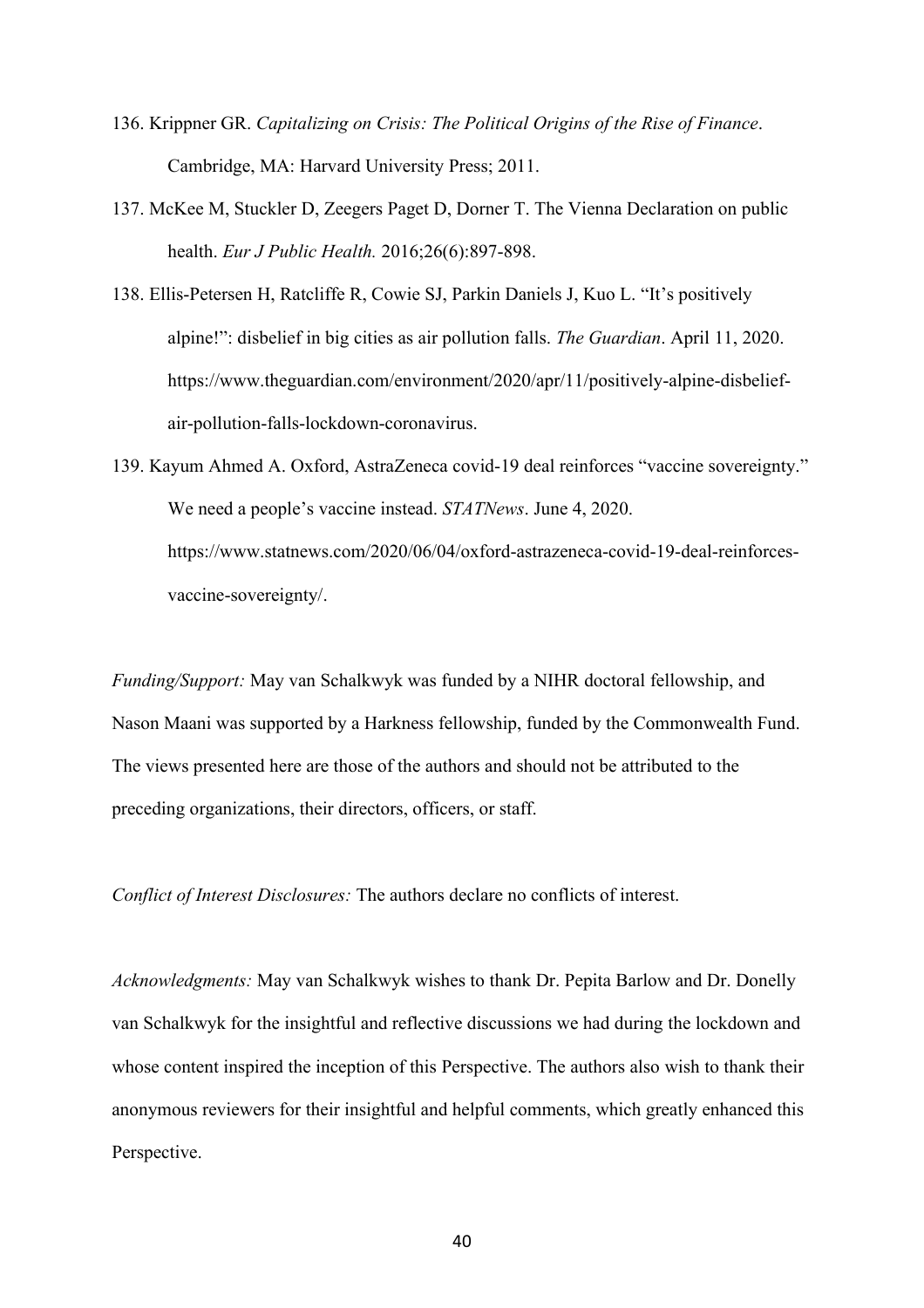- 136. Krippner GR. *Capitalizing on Crisis: The Political Origins of the Rise of Finance*. Cambridge, MA: Harvard University Press; 2011.
- 137. McKee M, Stuckler D, Zeegers Paget D, Dorner T. The Vienna Declaration on public health. *Eur J Public Health.* 2016;26(6):897-898.
- 138. Ellis-Petersen H, Ratcliffe R, Cowie SJ, Parkin Daniels J, Kuo L. "It's positively alpine!": disbelief in big cities as air pollution falls. *The Guardian*. April 11, 2020. https://www.theguardian.com/environment/2020/apr/11/positively-alpine-disbeliefair-pollution-falls-lockdown-coronavirus.
- 139. Kayum Ahmed A. Oxford, AstraZeneca covid-19 deal reinforces "vaccine sovereignty." We need a people's vaccine instead. *STATNews*. June 4, 2020. https://www.statnews.com/2020/06/04/oxford-astrazeneca-covid-19-deal-reinforcesvaccine-sovereignty/.

*Funding/Support:* May van Schalkwyk was funded by a NIHR doctoral fellowship, and Nason Maani was supported by a Harkness fellowship, funded by the Commonwealth Fund. The views presented here are those of the authors and should not be attributed to the preceding organizations, their directors, officers, or staff.

*Conflict of Interest Disclosures:* The authors declare no conflicts of interest.

*Acknowledgments:* May van Schalkwyk wishes to thank Dr. Pepita Barlow and Dr. Donelly van Schalkwyk for the insightful and reflective discussions we had during the lockdown and whose content inspired the inception of this Perspective. The authors also wish to thank their anonymous reviewers for their insightful and helpful comments, which greatly enhanced this Perspective.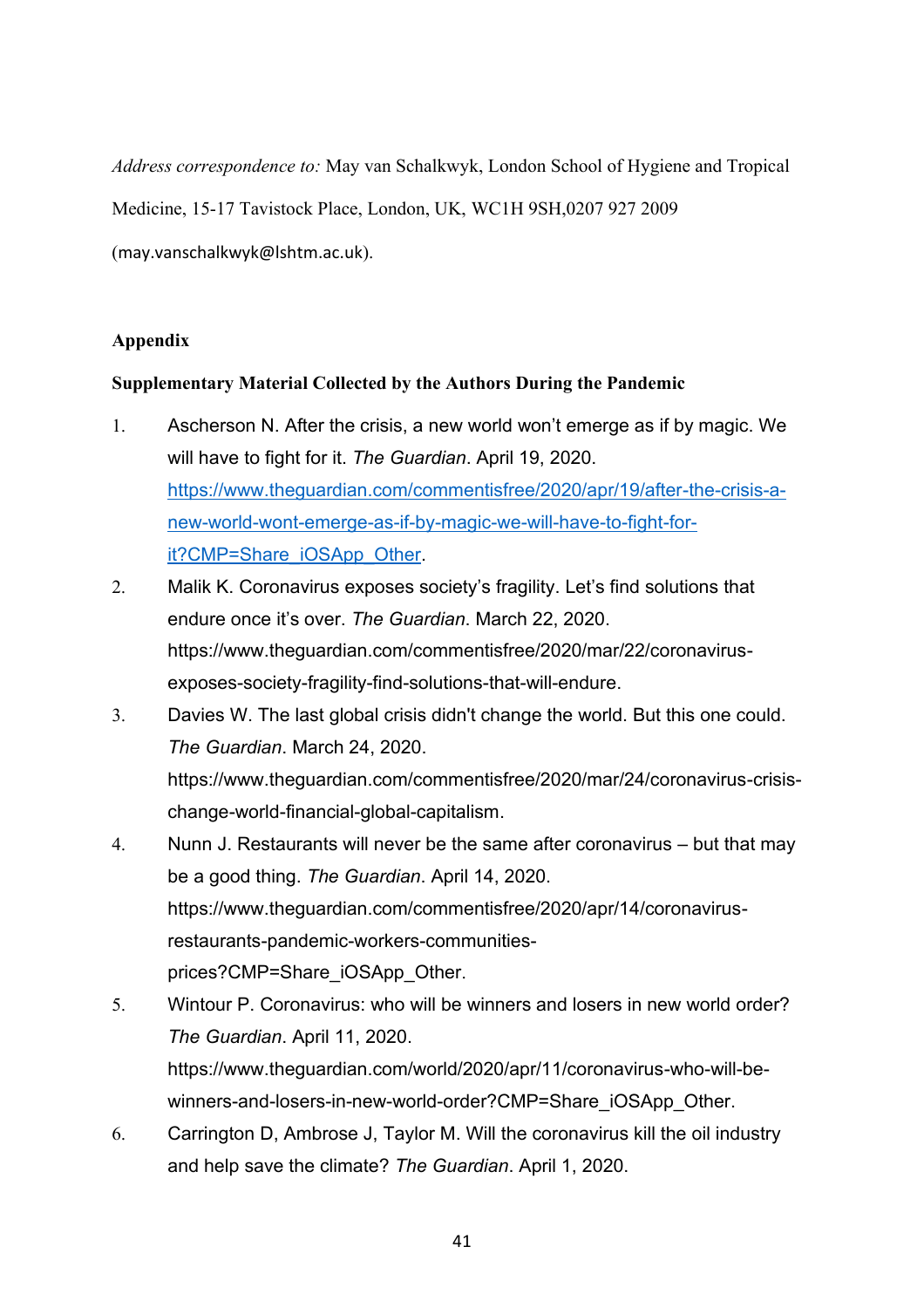*Address correspondence to:* May van Schalkwyk, London School of Hygiene and Tropical

Medicine, 15-17 Tavistock Place, London, UK, WC1H 9SH,0207 927 2009

(may.vanschalkwyk@lshtm.ac.uk).

# **Appendix**

## **Supplementary Material Collected by the Authors During the Pandemic**

- 1. Ascherson N. After the crisis, a new world won't emerge as if by magic. We will have to fight for it. *The Guardian*. April 19, 2020. [https://www.theguardian.com/commentisfree/2020/apr/19/after-the-crisis-a](https://www.theguardian.com/commentisfree/2020/apr/19/after-the-crisis-a-new-world-wont-emerge-as-if-by-magic-we-will-have-to-fight-for-it?CMP=Share_iOSApp_Other)[new-world-wont-emerge-as-if-by-magic-we-will-have-to-fight-for](https://www.theguardian.com/commentisfree/2020/apr/19/after-the-crisis-a-new-world-wont-emerge-as-if-by-magic-we-will-have-to-fight-for-it?CMP=Share_iOSApp_Other)[it?CMP=Share\\_iOSApp\\_Other.](https://www.theguardian.com/commentisfree/2020/apr/19/after-the-crisis-a-new-world-wont-emerge-as-if-by-magic-we-will-have-to-fight-for-it?CMP=Share_iOSApp_Other)
- 2. Malik K. Coronavirus exposes society's fragility. Let's find solutions that endure once it's over. *The Guardian*. March 22, 2020. [https://www.theguardian.com/commentisfree/2020/mar/22/coronavirus](https://www.theguardian.com/commentisfree/2020/mar/22/coronavirus-exposes-society-fragility-find-solutions-that-will-endure)[exposes-society-fragility-find-solutions-that-will-endure.](https://www.theguardian.com/commentisfree/2020/mar/22/coronavirus-exposes-society-fragility-find-solutions-that-will-endure)
- 3. Davies W. The last global crisis didn't change the world. But this one could. *The Guardian*. March 24, 2020. [https://www.theguardian.com/commentisfree/2020/mar/24/coronavirus-crisis](https://www.theguardian.com/commentisfree/2020/mar/24/coronavirus-crisis-change-world-financial-global-capitalism)[change-world-financial-global-capitalism.](https://www.theguardian.com/commentisfree/2020/mar/24/coronavirus-crisis-change-world-financial-global-capitalism)
- 4. Nunn J. Restaurants will never be the same after coronavirus but that may be a good thing. *The Guardian*. April 14, 2020. [https://www.theguardian.com/commentisfree/2020/apr/14/coronavirus](https://www.theguardian.com/commentisfree/2020/apr/14/coronavirus-restaurants-pandemic-workers-communities-prices?CMP=Share_iOSApp_Other)[restaurants-pandemic-workers-communities](https://www.theguardian.com/commentisfree/2020/apr/14/coronavirus-restaurants-pandemic-workers-communities-prices?CMP=Share_iOSApp_Other)[prices?CMP=Share\\_iOSApp\\_Other](https://www.theguardian.com/commentisfree/2020/apr/14/coronavirus-restaurants-pandemic-workers-communities-prices?CMP=Share_iOSApp_Other).
- 5. Wintour P. Coronavirus: who will be winners and losers in new world order? *The Guardian*. April 11, 2020. [https://www.theguardian.com/world/2020/apr/11/coronavirus-who-will-be](https://www.theguardian.com/world/2020/apr/11/coronavirus-who-will-be-winners-and-losers-in-new-world-order?CMP=Share_iOSApp_Other)[winners-and-losers-in-new-world-order?CMP=Share\\_iOSApp\\_Other.](https://www.theguardian.com/world/2020/apr/11/coronavirus-who-will-be-winners-and-losers-in-new-world-order?CMP=Share_iOSApp_Other)
- 6. Carrington D, Ambrose J, Taylor M. Will the coronavirus kill the oil industry and help save the climate? *The Guardian*. April 1, 2020.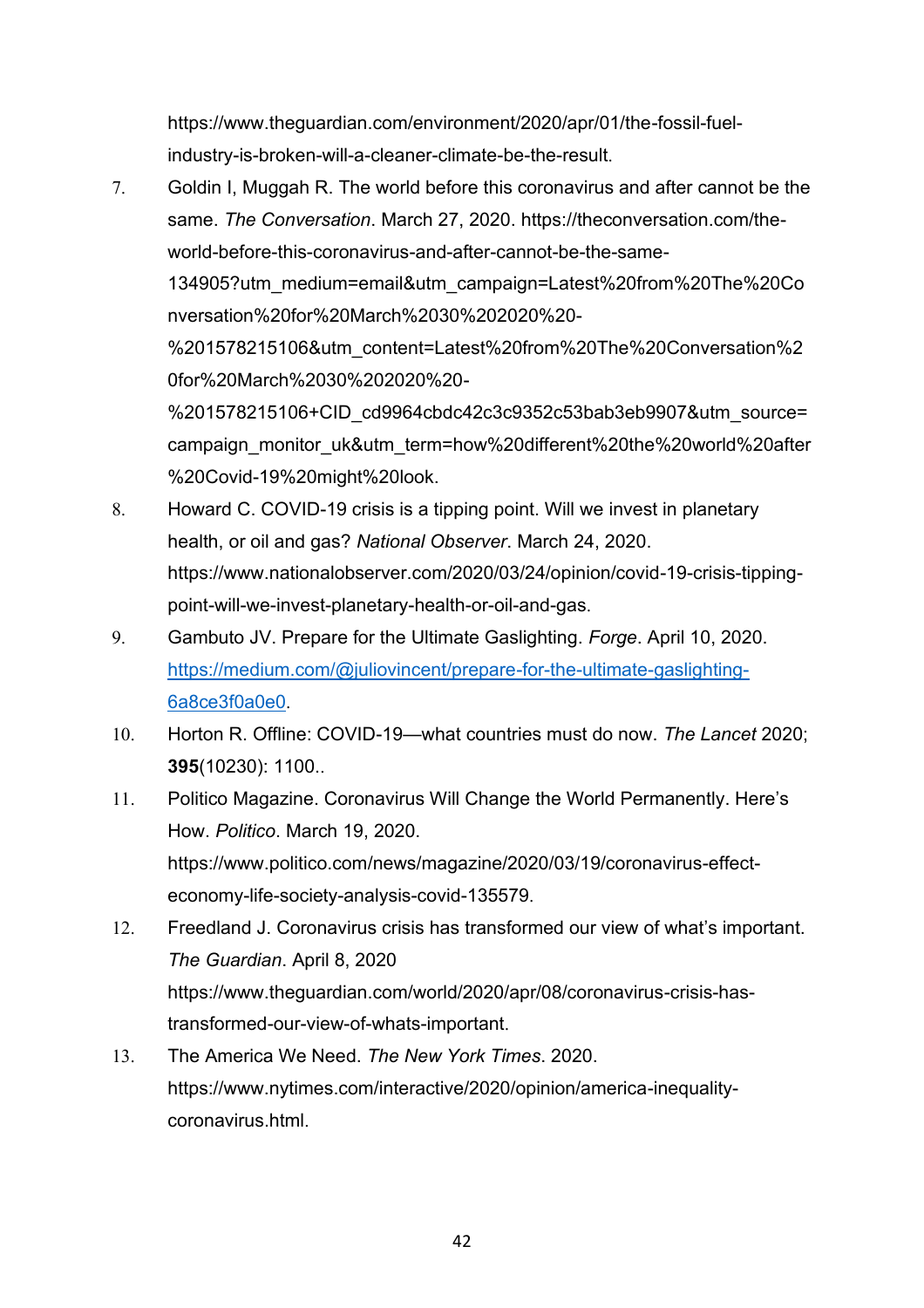[https://www.theguardian.com/environment/2020/apr/01/the-fossil-fuel](https://www.theguardian.com/environment/2020/apr/01/the-fossil-fuel-industry-is-broken-will-a-cleaner-climate-be-the-result)[industry-is-broken-will-a-cleaner-climate-be-the-result](https://www.theguardian.com/environment/2020/apr/01/the-fossil-fuel-industry-is-broken-will-a-cleaner-climate-be-the-result).

- 7. Goldin I, Muggah R. The world before this coronavirus and after cannot be the same. *The Conversation*. March 27, 2020. [https://theconversation.com/the](https://theconversation.com/the-world-before-this-coronavirus-and-after-cannot-be-the-same-134905?utm_medium=email&utm_campaign=Latest%20from%20The%20Conversation%20for%20March%2030%202020%20-%201578215106&utm_content=Latest%20from%20The%20Conversation%20for%20March%2030%202020%20-%201578215106+CID_cd9964cbdc42c3c9352c53bab3eb9907&utm_source=campaign_monitor_uk&utm_term=how%20different%20the%20world%20after%20Covid-19%20might%20look)[world-before-this-coronavirus-and-after-cannot-be-the-same-](https://theconversation.com/the-world-before-this-coronavirus-and-after-cannot-be-the-same-134905?utm_medium=email&utm_campaign=Latest%20from%20The%20Conversation%20for%20March%2030%202020%20-%201578215106&utm_content=Latest%20from%20The%20Conversation%20for%20March%2030%202020%20-%201578215106+CID_cd9964cbdc42c3c9352c53bab3eb9907&utm_source=campaign_monitor_uk&utm_term=how%20different%20the%20world%20after%20Covid-19%20might%20look)[134905?utm\\_medium=email&utm\\_campaign=Latest%20from%20The%20Co](https://theconversation.com/the-world-before-this-coronavirus-and-after-cannot-be-the-same-134905?utm_medium=email&utm_campaign=Latest%20from%20The%20Conversation%20for%20March%2030%202020%20-%201578215106&utm_content=Latest%20from%20The%20Conversation%20for%20March%2030%202020%20-%201578215106+CID_cd9964cbdc42c3c9352c53bab3eb9907&utm_source=campaign_monitor_uk&utm_term=how%20different%20the%20world%20after%20Covid-19%20might%20look) [nversation%20for%20March%2030%202020%20-](https://theconversation.com/the-world-before-this-coronavirus-and-after-cannot-be-the-same-134905?utm_medium=email&utm_campaign=Latest%20from%20The%20Conversation%20for%20March%2030%202020%20-%201578215106&utm_content=Latest%20from%20The%20Conversation%20for%20March%2030%202020%20-%201578215106+CID_cd9964cbdc42c3c9352c53bab3eb9907&utm_source=campaign_monitor_uk&utm_term=how%20different%20the%20world%20after%20Covid-19%20might%20look) [%201578215106&utm\\_content=Latest%20from%20The%20Conversation%2](https://theconversation.com/the-world-before-this-coronavirus-and-after-cannot-be-the-same-134905?utm_medium=email&utm_campaign=Latest%20from%20The%20Conversation%20for%20March%2030%202020%20-%201578215106&utm_content=Latest%20from%20The%20Conversation%20for%20March%2030%202020%20-%201578215106+CID_cd9964cbdc42c3c9352c53bab3eb9907&utm_source=campaign_monitor_uk&utm_term=how%20different%20the%20world%20after%20Covid-19%20might%20look) [0for%20March%2030%202020%20-](https://theconversation.com/the-world-before-this-coronavirus-and-after-cannot-be-the-same-134905?utm_medium=email&utm_campaign=Latest%20from%20The%20Conversation%20for%20March%2030%202020%20-%201578215106&utm_content=Latest%20from%20The%20Conversation%20for%20March%2030%202020%20-%201578215106+CID_cd9964cbdc42c3c9352c53bab3eb9907&utm_source=campaign_monitor_uk&utm_term=how%20different%20the%20world%20after%20Covid-19%20might%20look) [%201578215106+CID\\_cd9964cbdc42c3c9352c53bab3eb9907&utm\\_source=](https://theconversation.com/the-world-before-this-coronavirus-and-after-cannot-be-the-same-134905?utm_medium=email&utm_campaign=Latest%20from%20The%20Conversation%20for%20March%2030%202020%20-%201578215106&utm_content=Latest%20from%20The%20Conversation%20for%20March%2030%202020%20-%201578215106+CID_cd9964cbdc42c3c9352c53bab3eb9907&utm_source=campaign_monitor_uk&utm_term=how%20different%20the%20world%20after%20Covid-19%20might%20look) [campaign\\_monitor\\_uk&utm\\_term=how%20different%20the%20world%20after](https://theconversation.com/the-world-before-this-coronavirus-and-after-cannot-be-the-same-134905?utm_medium=email&utm_campaign=Latest%20from%20The%20Conversation%20for%20March%2030%202020%20-%201578215106&utm_content=Latest%20from%20The%20Conversation%20for%20March%2030%202020%20-%201578215106+CID_cd9964cbdc42c3c9352c53bab3eb9907&utm_source=campaign_monitor_uk&utm_term=how%20different%20the%20world%20after%20Covid-19%20might%20look) [%20Covid-19%20might%20look.](https://theconversation.com/the-world-before-this-coronavirus-and-after-cannot-be-the-same-134905?utm_medium=email&utm_campaign=Latest%20from%20The%20Conversation%20for%20March%2030%202020%20-%201578215106&utm_content=Latest%20from%20The%20Conversation%20for%20March%2030%202020%20-%201578215106+CID_cd9964cbdc42c3c9352c53bab3eb9907&utm_source=campaign_monitor_uk&utm_term=how%20different%20the%20world%20after%20Covid-19%20might%20look)
- 8. Howard C. COVID-19 crisis is a tipping point. Will we invest in planetary health, or oil and gas? *National Observer*. March 24, 2020. [https://www.nationalobserver.com/2020/03/24/opinion/covid-19-crisis-tipping](https://www.nationalobserver.com/2020/03/24/opinion/covid-19-crisis-tipping-point-will-we-invest-planetary-health-or-oil-and-gas)[point-will-we-invest-planetary-health-or-oil-and-gas](https://www.nationalobserver.com/2020/03/24/opinion/covid-19-crisis-tipping-point-will-we-invest-planetary-health-or-oil-and-gas).
- 9. Gambuto JV. Prepare for the Ultimate Gaslighting. *Forge*. April 10, 2020. [https://medium.com/@juliovincent/prepare-for-the-ultimate-gaslighting-](https://medium.com/@juliovincent/prepare-for-the-ultimate-gaslighting-6a8ce3f0a0e0)[6a8ce3f0a0e0](https://medium.com/@juliovincent/prepare-for-the-ultimate-gaslighting-6a8ce3f0a0e0).
- 10. Horton R. Offline: COVID-19—what countries must do now. *The Lancet* 2020; **395**(10230): 1100..
- 11. Politico Magazine. Coronavirus Will Change the World Permanently. Here's How. *Politico*. March 19, 2020. [https://www.politico.com/news/magazine/2020/03/19/coronavirus-effect](https://www.politico.com/news/magazine/2020/03/19/coronavirus-effect-economy-life-society-analysis-covid-135579)[economy-life-society-analysis-covid-135579](https://www.politico.com/news/magazine/2020/03/19/coronavirus-effect-economy-life-society-analysis-covid-135579).
- 12. Freedland J. Coronavirus crisis has transformed our view of what's important. *The Guardian*. April 8, 2020 [https://www.theguardian.com/world/2020/apr/08/coronavirus-crisis-has](https://www.theguardian.com/world/2020/apr/08/coronavirus-crisis-has-transformed-our-view-of-whats-important)[transformed-our-view-of-whats-important](https://www.theguardian.com/world/2020/apr/08/coronavirus-crisis-has-transformed-our-view-of-whats-important).
- 13. The America We Need. *The New York Times*. 2020. [https://www.nytimes.com/interactive/2020/opinion/america-inequality](https://www.nytimes.com/interactive/2020/opinion/america-inequality-coronavirus.html)[coronavirus.html](https://www.nytimes.com/interactive/2020/opinion/america-inequality-coronavirus.html).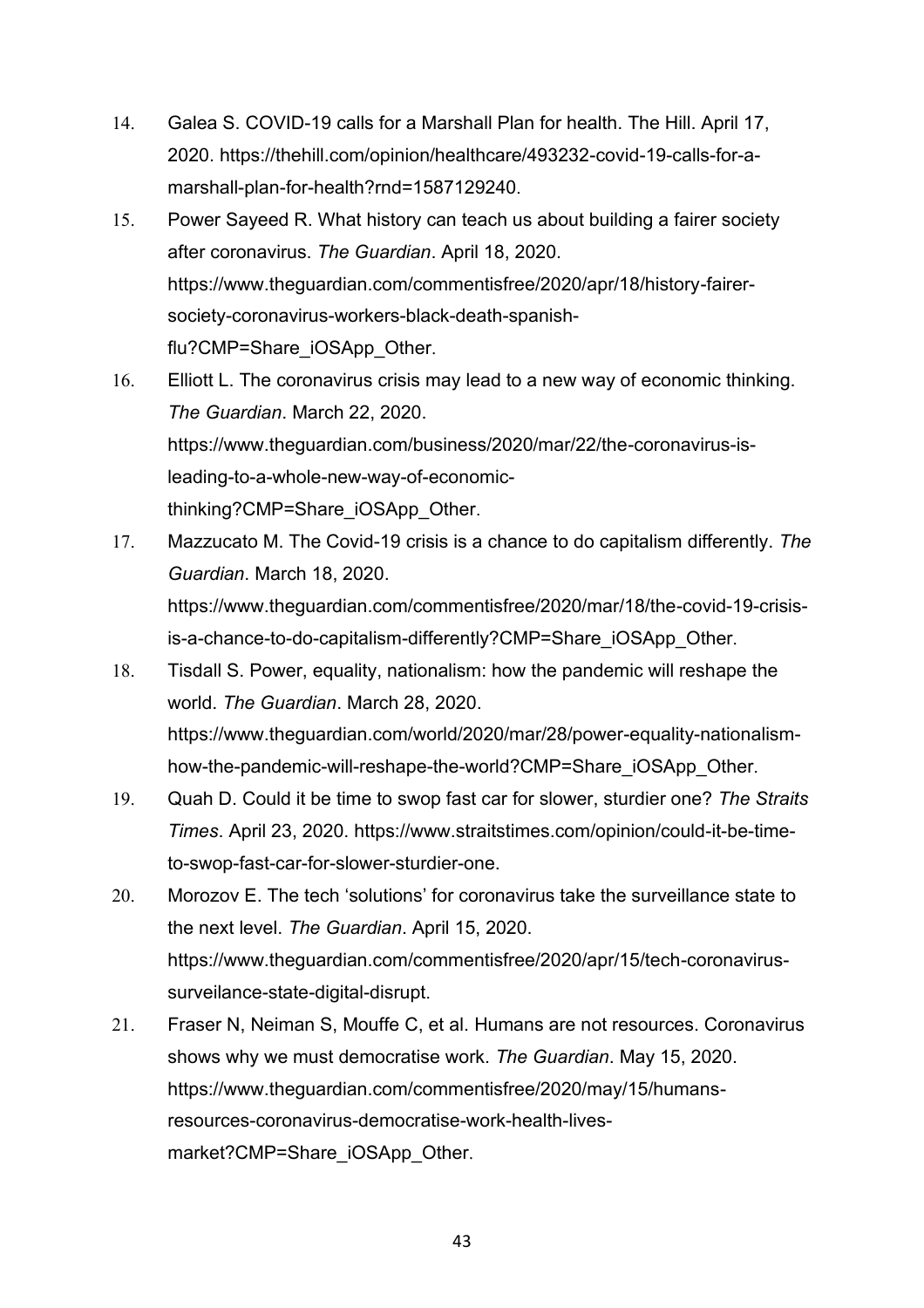- 14. Galea S. COVID-19 calls for a Marshall Plan for health. The Hill. April 17, 2020. [https://thehill.com/opinion/healthcare/493232-covid-19-calls-for-a](https://thehill.com/opinion/healthcare/493232-covid-19-calls-for-a-marshall-plan-for-health?rnd=1587129240)[marshall-plan-for-health?rnd=1587129240](https://thehill.com/opinion/healthcare/493232-covid-19-calls-for-a-marshall-plan-for-health?rnd=1587129240).
- 15. Power Sayeed R. What history can teach us about building a fairer society after coronavirus. *The Guardian*. April 18, 2020. [https://www.theguardian.com/commentisfree/2020/apr/18/history-fairer](https://www.theguardian.com/commentisfree/2020/apr/18/history-fairer-society-coronavirus-workers-black-death-spanish-flu?CMP=Share_iOSApp_Other)[society-coronavirus-workers-black-death-spanish](https://www.theguardian.com/commentisfree/2020/apr/18/history-fairer-society-coronavirus-workers-black-death-spanish-flu?CMP=Share_iOSApp_Other)[flu?CMP=Share\\_iOSApp\\_Other](https://www.theguardian.com/commentisfree/2020/apr/18/history-fairer-society-coronavirus-workers-black-death-spanish-flu?CMP=Share_iOSApp_Other).
- 16. Elliott L. The coronavirus crisis may lead to a new way of economic thinking. *The Guardian*. March 22, 2020. [https://www.theguardian.com/business/2020/mar/22/the-coronavirus-is](https://www.theguardian.com/business/2020/mar/22/the-coronavirus-is-leading-to-a-whole-new-way-of-economic-thinking?CMP=Share_iOSApp_Other)[leading-to-a-whole-new-way-of-economic](https://www.theguardian.com/business/2020/mar/22/the-coronavirus-is-leading-to-a-whole-new-way-of-economic-thinking?CMP=Share_iOSApp_Other)[thinking?CMP=Share\\_iOSApp\\_Other](https://www.theguardian.com/business/2020/mar/22/the-coronavirus-is-leading-to-a-whole-new-way-of-economic-thinking?CMP=Share_iOSApp_Other).
- 17. Mazzucato M. The Covid-19 crisis is a chance to do capitalism differently. *The Guardian*. March 18, 2020. [https://www.theguardian.com/commentisfree/2020/mar/18/the-covid-19-crisis](https://www.theguardian.com/commentisfree/2020/mar/18/the-covid-19-crisis-is-a-chance-to-do-capitalism-differently?CMP=Share_iOSApp_Other)[is-a-chance-to-do-capitalism-differently?CMP=Share\\_iOSApp\\_Other](https://www.theguardian.com/commentisfree/2020/mar/18/the-covid-19-crisis-is-a-chance-to-do-capitalism-differently?CMP=Share_iOSApp_Other).
- 18. Tisdall S. Power, equality, nationalism: how the pandemic will reshape the world. *The Guardian*. March 28, 2020. [https://www.theguardian.com/world/2020/mar/28/power-equality-nationalism](https://www.theguardian.com/world/2020/mar/28/power-equality-nationalism-how-the-pandemic-will-reshape-the-world?CMP=Share_iOSApp_Other)[how-the-pandemic-will-reshape-the-world?CMP=Share\\_iOSApp\\_Other](https://www.theguardian.com/world/2020/mar/28/power-equality-nationalism-how-the-pandemic-will-reshape-the-world?CMP=Share_iOSApp_Other).
- 19. Quah D. Could it be time to swop fast car for slower, sturdier one? *The Straits Times*. April 23, 2020. [https://www.straitstimes.com/opinion/could-it-be-time](https://www.straitstimes.com/opinion/could-it-be-time-to-swop-fast-car-for-slower-sturdier-one)[to-swop-fast-car-for-slower-sturdier-one.](https://www.straitstimes.com/opinion/could-it-be-time-to-swop-fast-car-for-slower-sturdier-one)
- 20. Morozov E. The tech 'solutions' for coronavirus take the surveillance state to the next level. *The Guardian*. April 15, 2020. [https://www.theguardian.com/commentisfree/2020/apr/15/tech-coronavirus](https://www.theguardian.com/commentisfree/2020/apr/15/tech-coronavirus-surveilance-state-digital-disrupt)[surveilance-state-digital-disrupt](https://www.theguardian.com/commentisfree/2020/apr/15/tech-coronavirus-surveilance-state-digital-disrupt).
- 21. Fraser N, Neiman S, Mouffe C, et al. Humans are not resources. Coronavirus shows why we must democratise work. *The Guardian*. May 15, 2020. [https://www.theguardian.com/commentisfree/2020/may/15/humans](https://www.theguardian.com/commentisfree/2020/may/15/humans-resources-coronavirus-democratise-work-health-lives-market?CMP=Share_iOSApp_Other)[resources-coronavirus-democratise-work-health-lives](https://www.theguardian.com/commentisfree/2020/may/15/humans-resources-coronavirus-democratise-work-health-lives-market?CMP=Share_iOSApp_Other)[market?CMP=Share\\_iOSApp\\_Other](https://www.theguardian.com/commentisfree/2020/may/15/humans-resources-coronavirus-democratise-work-health-lives-market?CMP=Share_iOSApp_Other).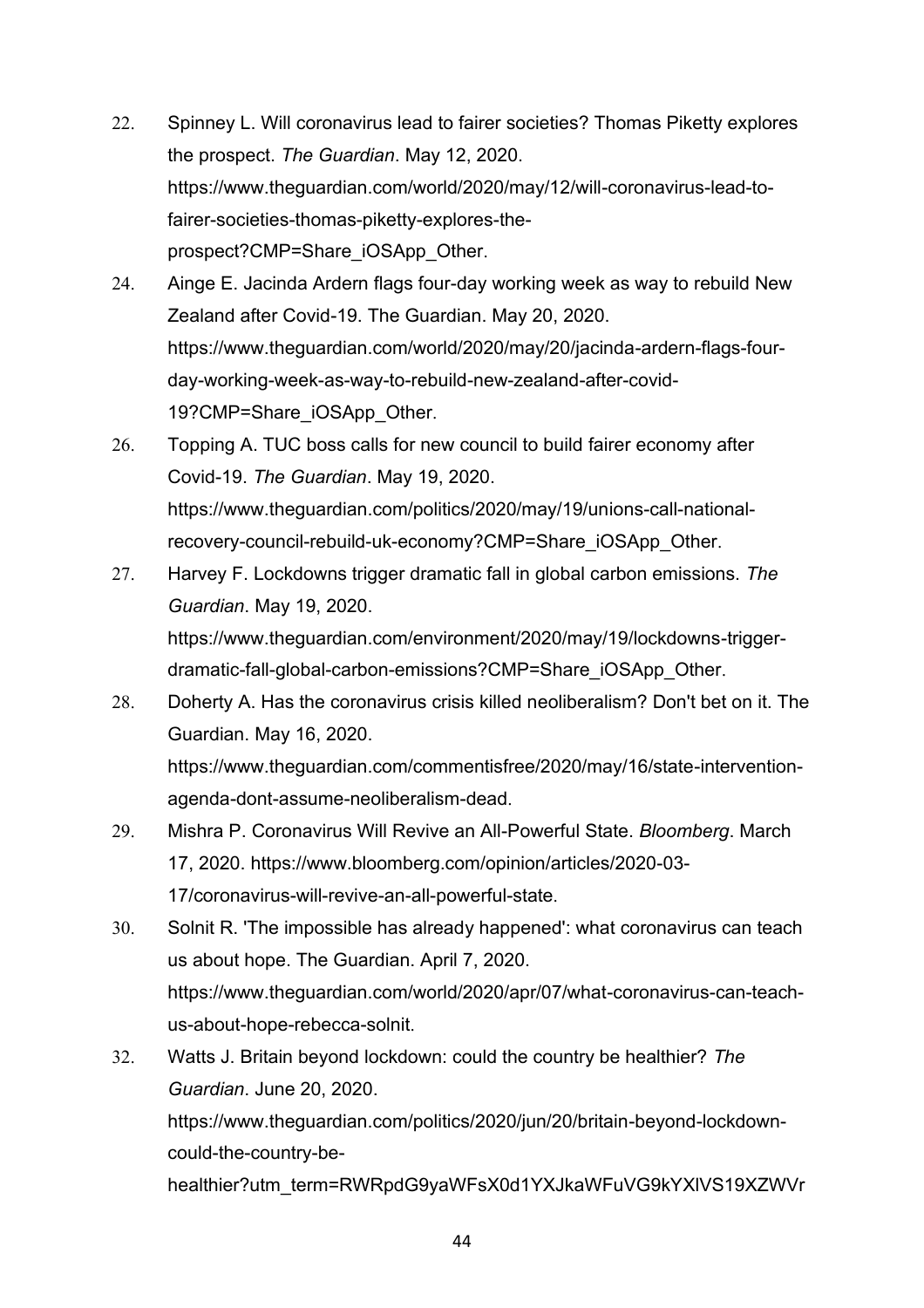- 22. Spinney L. Will coronavirus lead to fairer societies? Thomas Piketty explores the prospect. *The Guardian*. May 12, 2020. [https://www.theguardian.com/world/2020/may/12/will-coronavirus-lead-to](https://www.theguardian.com/world/2020/may/12/will-coronavirus-lead-to-fairer-societies-thomas-piketty-explores-the-prospect?CMP=Share_iOSApp_Other)[fairer-societies-thomas-piketty-explores-the](https://www.theguardian.com/world/2020/may/12/will-coronavirus-lead-to-fairer-societies-thomas-piketty-explores-the-prospect?CMP=Share_iOSApp_Other)[prospect?CMP=Share\\_iOSApp\\_Other](https://www.theguardian.com/world/2020/may/12/will-coronavirus-lead-to-fairer-societies-thomas-piketty-explores-the-prospect?CMP=Share_iOSApp_Other).
- 24. Ainge E. Jacinda Ardern flags four-day working week as way to rebuild New Zealand after Covid-19. The Guardian. May 20, 2020. [https://www.theguardian.com/world/2020/may/20/jacinda-ardern-flags-four](https://www.theguardian.com/world/2020/may/20/jacinda-ardern-flags-four-day-working-week-as-way-to-rebuild-new-zealand-after-covid-19?CMP=Share_iOSApp_Other)[day-working-week-as-way-to-rebuild-new-zealand-after-covid-](https://www.theguardian.com/world/2020/may/20/jacinda-ardern-flags-four-day-working-week-as-way-to-rebuild-new-zealand-after-covid-19?CMP=Share_iOSApp_Other)[19?CMP=Share\\_iOSApp\\_Other](https://www.theguardian.com/world/2020/may/20/jacinda-ardern-flags-four-day-working-week-as-way-to-rebuild-new-zealand-after-covid-19?CMP=Share_iOSApp_Other).
- 26. Topping A. TUC boss calls for new council to build fairer economy after Covid-19. *The Guardian*. May 19, 2020. [https://www.theguardian.com/politics/2020/may/19/unions-call-national](https://www.theguardian.com/politics/2020/may/19/unions-call-national-recovery-council-rebuild-uk-economy?CMP=Share_iOSApp_Other)[recovery-council-rebuild-uk-economy?CMP=Share\\_iOSApp\\_Other](https://www.theguardian.com/politics/2020/may/19/unions-call-national-recovery-council-rebuild-uk-economy?CMP=Share_iOSApp_Other).
- 27. Harvey F. Lockdowns trigger dramatic fall in global carbon emissions. *The Guardian*. May 19, 2020. [https://www.theguardian.com/environment/2020/may/19/lockdowns-trigger](https://www.theguardian.com/environment/2020/may/19/lockdowns-trigger-dramatic-fall-global-carbon-emissions?CMP=Share_iOSApp_Other)[dramatic-fall-global-carbon-emissions?CMP=Share\\_iOSApp\\_Other](https://www.theguardian.com/environment/2020/may/19/lockdowns-trigger-dramatic-fall-global-carbon-emissions?CMP=Share_iOSApp_Other).
- 28. Doherty A. Has the coronavirus crisis killed neoliberalism? Don't bet on it. The Guardian. May 16, 2020.

[https://www.theguardian.com/commentisfree/2020/may/16/state-intervention](https://www.theguardian.com/commentisfree/2020/may/16/state-intervention-agenda-dont-assume-neoliberalism-dead)[agenda-dont-assume-neoliberalism-dead](https://www.theguardian.com/commentisfree/2020/may/16/state-intervention-agenda-dont-assume-neoliberalism-dead).

- 29. Mishra P. Coronavirus Will Revive an All-Powerful State. *Bloomberg*. March 17, 2020. [https://www.bloomberg.com/opinion/articles/2020-03-](https://www.bloomberg.com/opinion/articles/2020-03-17/coronavirus-will-revive-an-all-powerful-state) [17/coronavirus-will-revive-an-all-powerful-state](https://www.bloomberg.com/opinion/articles/2020-03-17/coronavirus-will-revive-an-all-powerful-state).
- 30. Solnit R. 'The impossible has already happened': what coronavirus can teach us about hope. The Guardian. April 7, 2020. [https://www.theguardian.com/world/2020/apr/07/what-coronavirus-can-teach](https://www.theguardian.com/world/2020/apr/07/what-coronavirus-can-teach-us-about-hope-rebecca-solnit)[us-about-hope-rebecca-solnit](https://www.theguardian.com/world/2020/apr/07/what-coronavirus-can-teach-us-about-hope-rebecca-solnit).
- 32. Watts J. Britain beyond lockdown: could the country be healthier? *The Guardian*. June 20, 2020. [https://www.theguardian.com/politics/2020/jun/20/britain-beyond-lockdown](https://www.theguardian.com/politics/2020/jun/20/britain-beyond-lockdown-could-the-country-be-healthier?utm_term=RWRpdG9yaWFsX0d1YXJkaWFuVG9kYXlVS19XZWVrZW5kLTIwMDYyMA%3D%3D&utm_source=esp&utm_medium=Email&CMP=GTUK_email&utm_campaign=GuardianTodayUK)[could-the-country-be-](https://www.theguardian.com/politics/2020/jun/20/britain-beyond-lockdown-could-the-country-be-healthier?utm_term=RWRpdG9yaWFsX0d1YXJkaWFuVG9kYXlVS19XZWVrZW5kLTIwMDYyMA%3D%3D&utm_source=esp&utm_medium=Email&CMP=GTUK_email&utm_campaign=GuardianTodayUK)

[healthier?utm\\_term=RWRpdG9yaWFsX0d1YXJkaWFuVG9kYXlVS19XZWVr](https://www.theguardian.com/politics/2020/jun/20/britain-beyond-lockdown-could-the-country-be-healthier?utm_term=RWRpdG9yaWFsX0d1YXJkaWFuVG9kYXlVS19XZWVrZW5kLTIwMDYyMA%3D%3D&utm_source=esp&utm_medium=Email&CMP=GTUK_email&utm_campaign=GuardianTodayUK)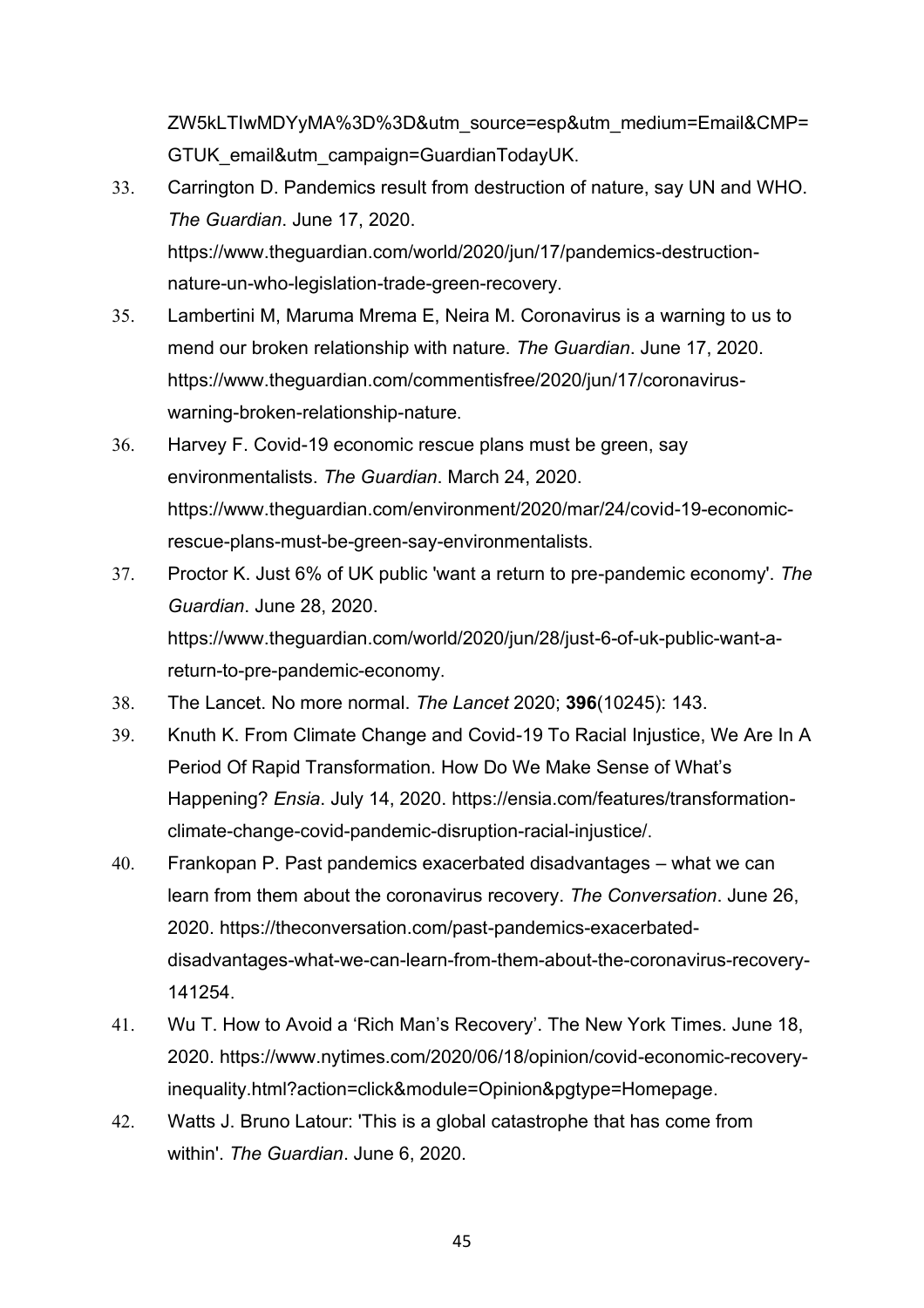[ZW5kLTIwMDYyMA%3D%3D&utm\\_source=esp&utm\\_medium=Email&CMP=](https://www.theguardian.com/politics/2020/jun/20/britain-beyond-lockdown-could-the-country-be-healthier?utm_term=RWRpdG9yaWFsX0d1YXJkaWFuVG9kYXlVS19XZWVrZW5kLTIwMDYyMA%3D%3D&utm_source=esp&utm_medium=Email&CMP=GTUK_email&utm_campaign=GuardianTodayUK) [GTUK\\_email&utm\\_campaign=GuardianTodayUK](https://www.theguardian.com/politics/2020/jun/20/britain-beyond-lockdown-could-the-country-be-healthier?utm_term=RWRpdG9yaWFsX0d1YXJkaWFuVG9kYXlVS19XZWVrZW5kLTIwMDYyMA%3D%3D&utm_source=esp&utm_medium=Email&CMP=GTUK_email&utm_campaign=GuardianTodayUK).

- 33. Carrington D. Pandemics result from destruction of nature, say UN and WHO. *The Guardian*. June 17, 2020. [https://www.theguardian.com/world/2020/jun/17/pandemics-destruction](https://www.theguardian.com/world/2020/jun/17/pandemics-destruction-nature-un-who-legislation-trade-green-recovery)[nature-un-who-legislation-trade-green-recovery](https://www.theguardian.com/world/2020/jun/17/pandemics-destruction-nature-un-who-legislation-trade-green-recovery).
- 35. Lambertini M, Maruma Mrema E, Neira M. Coronavirus is a warning to us to mend our broken relationship with nature. *The Guardian*. June 17, 2020. [https://www.theguardian.com/commentisfree/2020/jun/17/coronavirus](https://www.theguardian.com/commentisfree/2020/jun/17/coronavirus-warning-broken-relationship-nature)[warning-broken-relationship-nature](https://www.theguardian.com/commentisfree/2020/jun/17/coronavirus-warning-broken-relationship-nature).
- 36. Harvey F. Covid-19 economic rescue plans must be green, say environmentalists. *The Guardian*. March 24, 2020. [https://www.theguardian.com/environment/2020/mar/24/covid-19-economic](https://www.theguardian.com/environment/2020/mar/24/covid-19-economic-rescue-plans-must-be-green-say-environmentalists)[rescue-plans-must-be-green-say-environmentalists](https://www.theguardian.com/environment/2020/mar/24/covid-19-economic-rescue-plans-must-be-green-say-environmentalists).
- 37. Proctor K. Just 6% of UK public 'want a return to pre-pandemic economy'. *The Guardian*. June 28, 2020. [https://www.theguardian.com/world/2020/jun/28/just-6-of-uk-public-want-a](https://www.theguardian.com/world/2020/jun/28/just-6-of-uk-public-want-a-return-to-pre-pandemic-economy)[return-to-pre-pandemic-economy](https://www.theguardian.com/world/2020/jun/28/just-6-of-uk-public-want-a-return-to-pre-pandemic-economy).
- 38. The Lancet. No more normal. *The Lancet* 2020; **396**(10245): 143.
- 39. Knuth K. From Climate Change and Covid-19 To Racial Injustice, We Are In A Period Of Rapid Transformation. How Do We Make Sense of What's Happening? *Ensia*. July 14, 2020. [https://ensia.com/features/transformation](https://ensia.com/features/transformation-climate-change-covid-pandemic-disruption-racial-injustice/)[climate-change-covid-pandemic-disruption-racial-injustice/](https://ensia.com/features/transformation-climate-change-covid-pandemic-disruption-racial-injustice/).
- 40. Frankopan P. Past pandemics exacerbated disadvantages what we can learn from them about the coronavirus recovery. *The Conversation*. June 26, 2020. [https://theconversation.com/past-pandemics-exacerbated](https://theconversation.com/past-pandemics-exacerbated-disadvantages-what-we-can-learn-from-them-about-the-coronavirus-recovery-141254)[disadvantages-what-we-can-learn-from-them-about-the-coronavirus-recovery-](https://theconversation.com/past-pandemics-exacerbated-disadvantages-what-we-can-learn-from-them-about-the-coronavirus-recovery-141254)[141254](https://theconversation.com/past-pandemics-exacerbated-disadvantages-what-we-can-learn-from-them-about-the-coronavirus-recovery-141254).
- 41. Wu T. How to Avoid a 'Rich Man's Recovery'. The New York Times. June 18, 2020. [https://www.nytimes.com/2020/06/18/opinion/covid-economic-recovery](https://www.nytimes.com/2020/06/18/opinion/covid-economic-recovery-inequality.html?action=click&module=Opinion&pgtype=Homepage)[inequality.html?action=click&module=Opinion&pgtype=Homepage](https://www.nytimes.com/2020/06/18/opinion/covid-economic-recovery-inequality.html?action=click&module=Opinion&pgtype=Homepage).
- 42. Watts J. Bruno Latour: 'This is a global catastrophe that has come from within'. *The Guardian*. June 6, 2020.